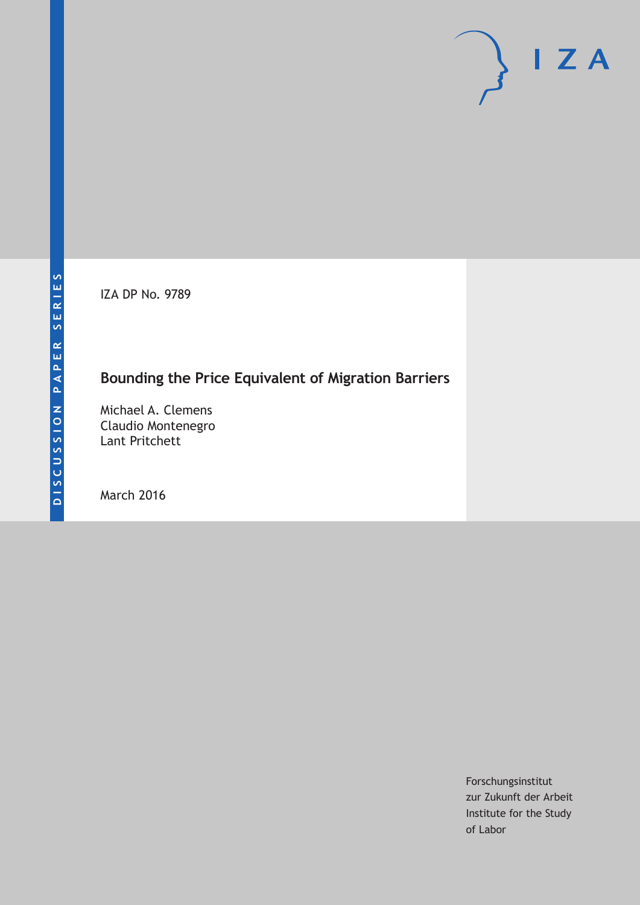IZA DP No. 9789

## **Bounding the Price Equivalent of Migration Barriers**

Michael A. Clemens Claudio Montenegro Lant Pritchett

March 2016

Forschungsinstitut zur Zukunft der Arbeit Institute for the Study of Labor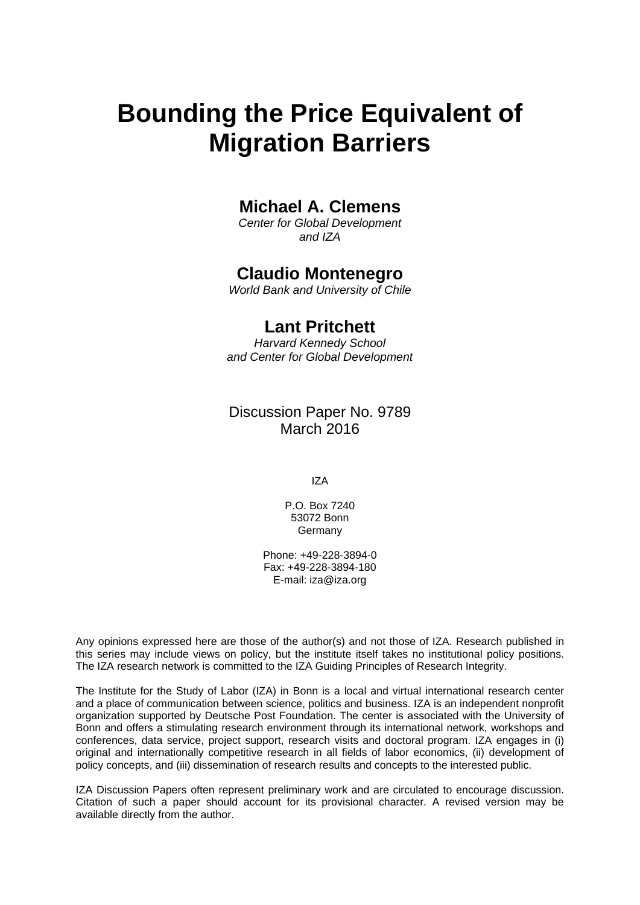# **Bounding the Price Equivalent of Migration Barriers**

## **Michael A. Clemens**

*Center for Global Development and IZA* 

## **Claudio Montenegro**

*World Bank and University of Chile* 

## **Lant Pritchett**

*Harvard Kennedy School and Center for Global Development*

## Discussion Paper No. 9789 March 2016

IZA

P.O. Box 7240 53072 Bonn Germany

Phone: +49-228-3894-0 Fax: +49-228-3894-180 E-mail: iza@iza.org

Any opinions expressed here are those of the author(s) and not those of IZA. Research published in this series may include views on policy, but the institute itself takes no institutional policy positions. The IZA research network is committed to the IZA Guiding Principles of Research Integrity.

The Institute for the Study of Labor (IZA) in Bonn is a local and virtual international research center and a place of communication between science, politics and business. IZA is an independent nonprofit organization supported by Deutsche Post Foundation. The center is associated with the University of Bonn and offers a stimulating research environment through its international network, workshops and conferences, data service, project support, research visits and doctoral program. IZA engages in (i) original and internationally competitive research in all fields of labor economics, (ii) development of policy concepts, and (iii) dissemination of research results and concepts to the interested public.

IZA Discussion Papers often represent preliminary work and are circulated to encourage discussion. Citation of such a paper should account for its provisional character. A revised version may be available directly from the author.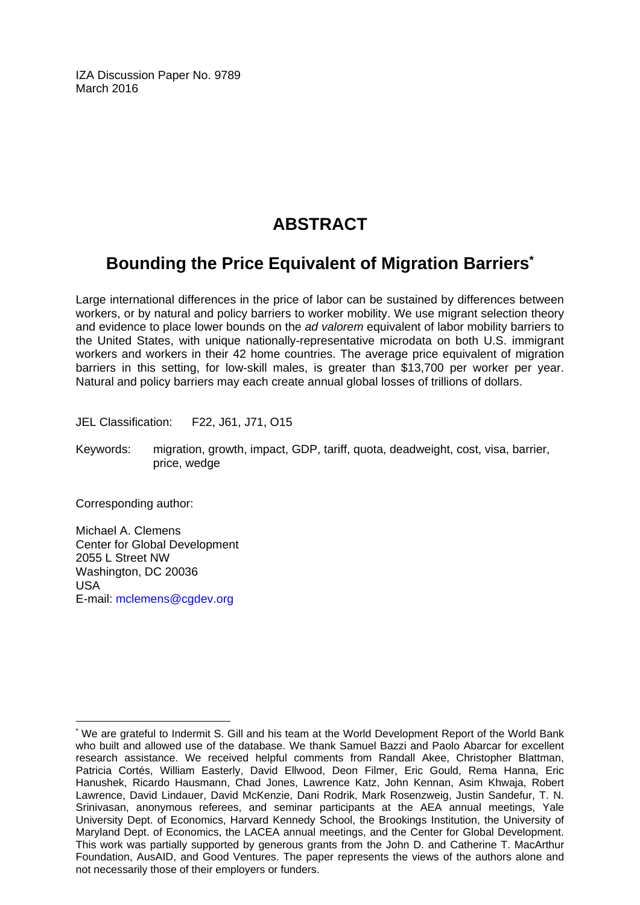IZA Discussion Paper No. 9789 March 2016

## **ABSTRACT**

## **Bounding the Price Equivalent of Migration Barriers\***

Large international differences in the price of labor can be sustained by differences between workers, or by natural and policy barriers to worker mobility. We use migrant selection theory and evidence to place lower bounds on the *ad valorem* equivalent of labor mobility barriers to the United States, with unique nationally-representative microdata on both U.S. immigrant workers and workers in their 42 home countries. The average price equivalent of migration barriers in this setting, for low-skill males, is greater than \$13,700 per worker per year. Natural and policy barriers may each create annual global losses of trillions of dollars.

JEL Classification: F22, J61, J71, O15

Keywords: migration, growth, impact, GDP, tariff, quota, deadweight, cost, visa, barrier, price, wedge

Corresponding author:

 $\overline{a}$ 

Michael A. Clemens Center for Global Development 2055 L Street NW Washington, DC 20036 USA E-mail: mclemens@cgdev.org

<sup>\*</sup> We are grateful to Indermit S. Gill and his team at the World Development Report of the World Bank who built and allowed use of the database. We thank Samuel Bazzi and Paolo Abarcar for excellent research assistance. We received helpful comments from Randall Akee, Christopher Blattman, Patricia Cortés, William Easterly, David Ellwood, Deon Filmer, Eric Gould, Rema Hanna, Eric Hanushek, Ricardo Hausmann, Chad Jones, Lawrence Katz, John Kennan, Asim Khwaja, Robert Lawrence, David Lindauer, David McKenzie, Dani Rodrik, Mark Rosenzweig, Justin Sandefur, T. N. Srinivasan, anonymous referees, and seminar participants at the AEA annual meetings, Yale University Dept. of Economics, Harvard Kennedy School, the Brookings Institution, the University of Maryland Dept. of Economics, the LACEA annual meetings, and the Center for Global Development. This work was partially supported by generous grants from the John D. and Catherine T. MacArthur Foundation, AusAID, and Good Ventures. The paper represents the views of the authors alone and not necessarily those of their employers or funders.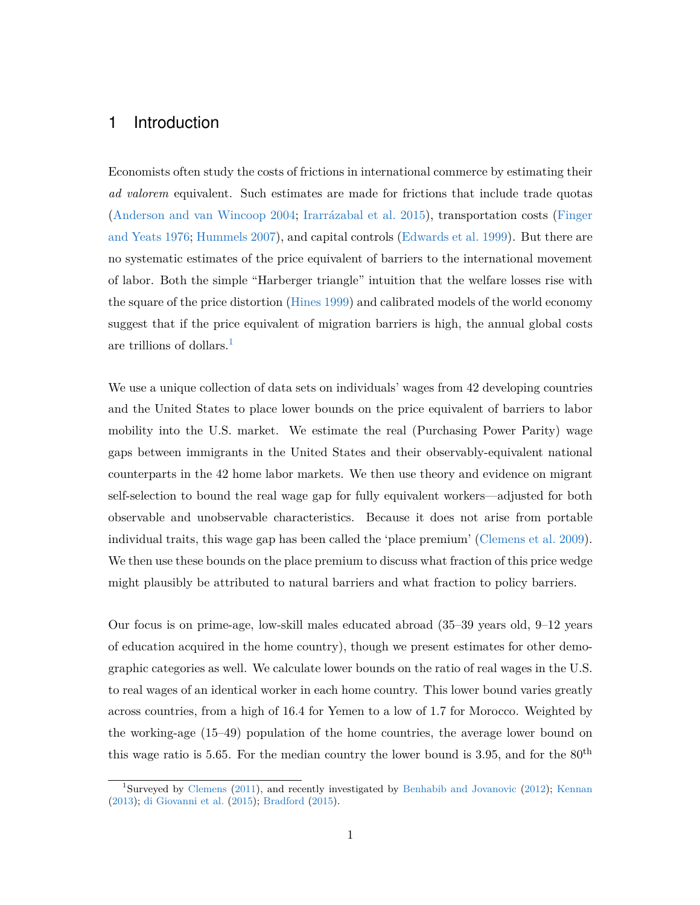### 1 Introduction

Economists often study the costs of frictions in international commerce by estimating their *ad valorem* equivalent. Such estimates are made for frictions that include trade quotas [\(Anderson and van Wincoop](#page-28-0) [2004;](#page-28-0) [Irarrázabal et al.](#page-31-0) [2015\)](#page-31-0), transportation costs [\(Finger](#page-30-0) [and Yeats](#page-30-0) [1976;](#page-30-0) [Hummels](#page-31-1) [2007\)](#page-31-1), and capital controls [\(Edwards et al.](#page-30-1) [1999\)](#page-30-1). But there are no systematic estimates of the price equivalent of barriers to the international movement of labor. Both the simple "Harberger triangle" intuition that the welfare losses rise with the square of the price distortion [\(Hines](#page-31-2) [1999\)](#page-31-2) and calibrated models of the world economy suggest that if the price equivalent of migration barriers is high, the annual global costs are trillions of dollars.[1](#page-3-0)

We use a unique collection of data sets on individuals' wages from 42 developing countries and the United States to place lower bounds on the price equivalent of barriers to labor mobility into the U.S. market. We estimate the real (Purchasing Power Parity) wage gaps between immigrants in the United States and their observably-equivalent national counterparts in the 42 home labor markets. We then use theory and evidence on migrant self-selection to bound the real wage gap for fully equivalent workers—adjusted for both observable and unobservable characteristics. Because it does not arise from portable individual traits, this wage gap has been called the 'place premium' [\(Clemens et al.](#page-30-2) [2009\)](#page-30-2). We then use these bounds on the place premium to discuss what fraction of this price wedge might plausibly be attributed to natural barriers and what fraction to policy barriers.

Our focus is on prime-age, low-skill males educated abroad (35–39 years old, 9–12 years of education acquired in the home country), though we present estimates for other demographic categories as well. We calculate lower bounds on the ratio of real wages in the U.S. to real wages of an identical worker in each home country. This lower bound varies greatly across countries, from a high of 16.4 for Yemen to a low of 1.7 for Morocco. Weighted by the working-age (15–49) population of the home countries, the average lower bound on this wage ratio is 5.65. For the median country the lower bound is 3.95, and for the  $80<sup>th</sup>$ 

<span id="page-3-0"></span><sup>&</sup>lt;sup>1</sup>Surveyed by [Clemens](#page-30-3) [\(2011\)](#page-30-3), and recently investigated by [Benhabib and Jovanovic](#page-29-0) [\(2012\)](#page-29-0); [Kennan](#page-32-0) [\(2013\)](#page-32-0); [di Giovanni et al.](#page-30-4) [\(2015\)](#page-30-4); [Bradford](#page-29-1) [\(2015\)](#page-29-1).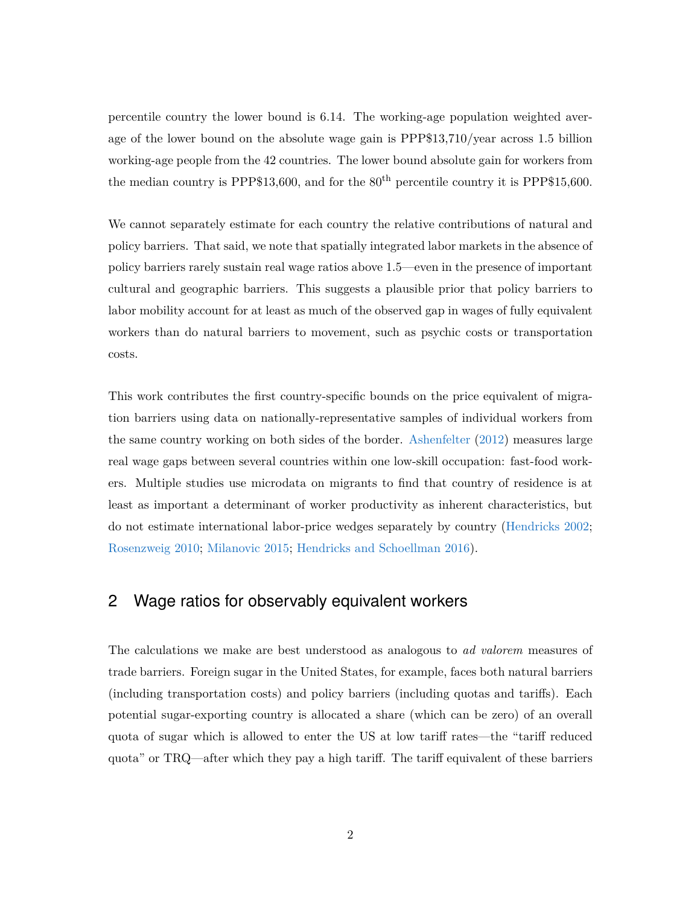percentile country the lower bound is 6.14. The working-age population weighted average of the lower bound on the absolute wage gain is PPP\$13,710/year across 1.5 billion working-age people from the 42 countries. The lower bound absolute gain for workers from the median country is PPP\$13,600, and for the  $80<sup>th</sup>$  percentile country it is PPP\$15,600.

We cannot separately estimate for each country the relative contributions of natural and policy barriers. That said, we note that spatially integrated labor markets in the absence of policy barriers rarely sustain real wage ratios above 1.5—even in the presence of important cultural and geographic barriers. This suggests a plausible prior that policy barriers to labor mobility account for at least as much of the observed gap in wages of fully equivalent workers than do natural barriers to movement, such as psychic costs or transportation costs.

This work contributes the first country-specific bounds on the price equivalent of migration barriers using data on nationally-representative samples of individual workers from the same country working on both sides of the border. [Ashenfelter](#page-28-1) [\(2012\)](#page-28-1) measures large real wage gaps between several countries within one low-skill occupation: fast-food workers. Multiple studies use microdata on migrants to find that country of residence is at least as important a determinant of worker productivity as inherent characteristics, but do not estimate international labor-price wedges separately by country [\(Hendricks](#page-31-3) [2002;](#page-31-3) [Rosenzweig](#page-33-0) [2010;](#page-33-0) [Milanovic](#page-32-1) [2015;](#page-32-1) [Hendricks and Schoellman](#page-31-4) [2016\)](#page-31-4).

## 2 Wage ratios for observably equivalent workers

The calculations we make are best understood as analogous to *ad valorem* measures of trade barriers. Foreign sugar in the United States, for example, faces both natural barriers (including transportation costs) and policy barriers (including quotas and tariffs). Each potential sugar-exporting country is allocated a share (which can be zero) of an overall quota of sugar which is allowed to enter the US at low tariff rates—the "tariff reduced quota" or TRQ—after which they pay a high tariff. The tariff equivalent of these barriers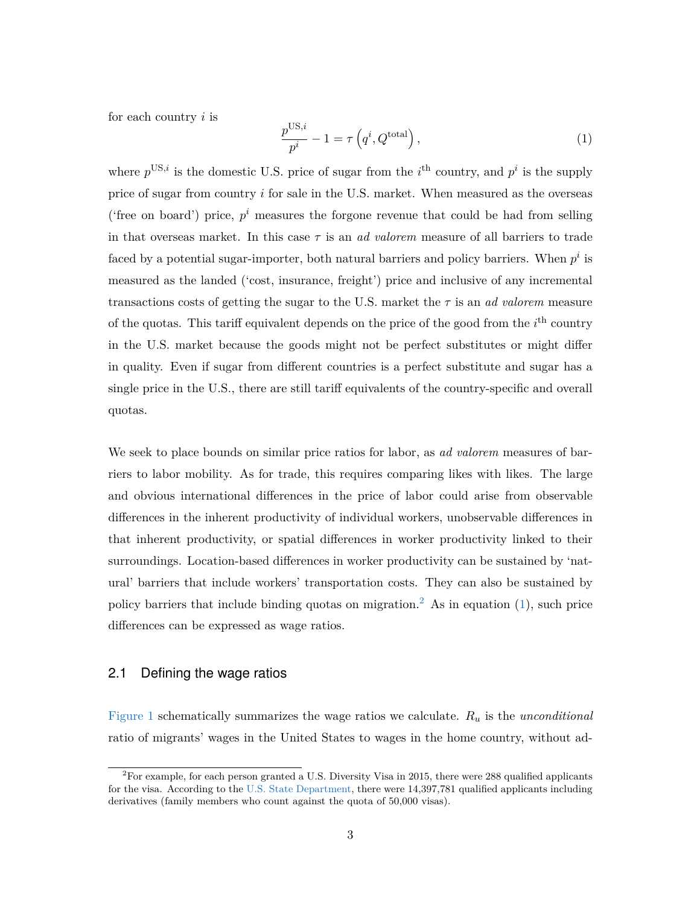for each country *i* is

<span id="page-5-1"></span>
$$
\frac{p^{\text{US},i}}{p^i} - 1 = \tau \left( q^i, Q^{\text{total}} \right),\tag{1}
$$

where  $p^{\text{US},i}$  is the domestic U.S. price of sugar from the *i*<sup>th</sup> country, and  $p^i$  is the supply price of sugar from country *i* for sale in the U.S. market. When measured as the overseas ('free on board') price,  $p^i$  measures the forgone revenue that could be had from selling in that overseas market. In this case *τ* is an *ad valorem* measure of all barriers to trade faced by a potential sugar-importer, both natural barriers and policy barriers. When  $p^i$  is measured as the landed ('cost, insurance, freight') price and inclusive of any incremental transactions costs of getting the sugar to the U.S. market the *τ* is an *ad valorem* measure of the quotas. This tariff equivalent depends on the price of the good from the  $i<sup>th</sup>$  country in the U.S. market because the goods might not be perfect substitutes or might differ in quality. Even if sugar from different countries is a perfect substitute and sugar has a single price in the U.S., there are still tariff equivalents of the country-specific and overall quotas.

We seek to place bounds on similar price ratios for labor, as *ad valorem* measures of barriers to labor mobility. As for trade, this requires comparing likes with likes. The large and obvious international differences in the price of labor could arise from observable differences in the inherent productivity of individual workers, unobservable differences in that inherent productivity, or spatial differences in worker productivity linked to their surroundings. Location-based differences in worker productivity can be sustained by 'natural' barriers that include workers' transportation costs. They can also be sustained by policy barriers that include binding quotas on migration.<sup>[2](#page-5-0)</sup> As in equation [\(1\)](#page-5-1), such price differences can be expressed as wage ratios.

#### 2.1 Defining the wage ratios

[Figure 1](#page-34-0) schematically summarizes the wage ratios we calculate. *R<sup>u</sup>* is the *unconditional* ratio of migrants' wages in the United States to wages in the home country, without ad-

<span id="page-5-0"></span><sup>2</sup>For example, for each person granted a U.S. Diversity Visa in 2015, there were 288 qualified applicants for the visa. According to the [U.S. State Department,](https://travel.state.gov/content/visas/en/immigrate/diversity-visa/dv-2015-selected-entrants.html) there were 14,397,781 qualified applicants including derivatives (family members who count against the quota of 50,000 visas).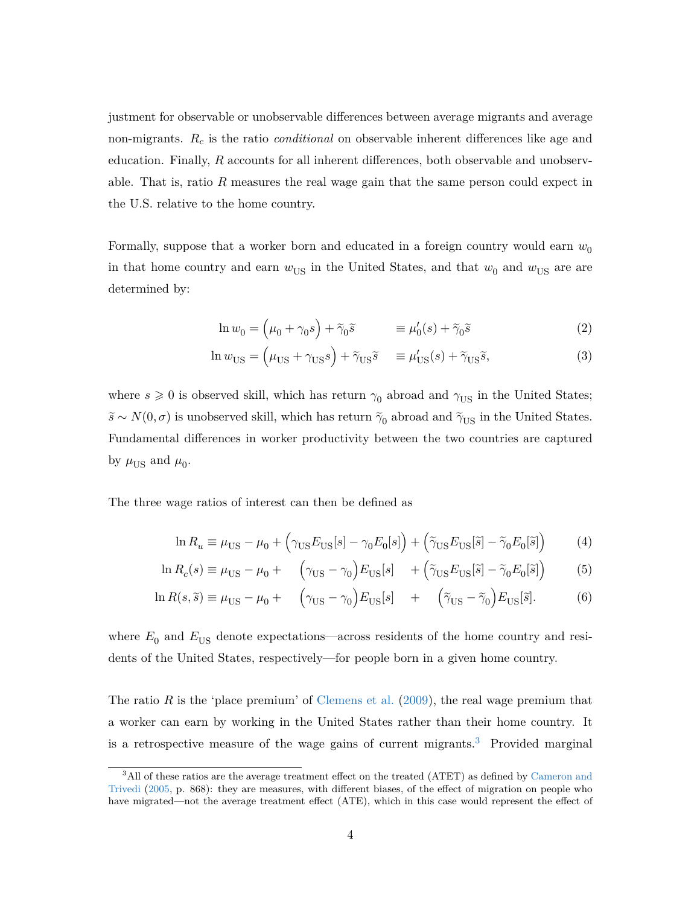justment for observable or unobservable differences between average migrants and average non-migrants. *R<sup>c</sup>* is the ratio *conditional* on observable inherent differences like age and education. Finally, *R* accounts for all inherent differences, both observable and unobservable. That is, ratio *R* measures the real wage gain that the same person could expect in the U.S. relative to the home country.

Formally, suppose that a worker born and educated in a foreign country would earn  $w_0$ in that home country and earn  $w_{\text{US}}$  in the United States, and that  $w_0$  and  $w_{\text{US}}$  are are determined by:

<span id="page-6-2"></span><span id="page-6-1"></span>
$$
\ln w_0 = \left(\mu_0 + \gamma_0 s\right) + \tilde{\gamma}_0 \tilde{s} \qquad \equiv \mu'_0(s) + \tilde{\gamma}_0 \tilde{s} \qquad (2)
$$

$$
\ln w_{\rm US} = \left(\mu_{\rm US} + \gamma_{\rm US} s\right) + \tilde{\gamma}_{\rm US} \tilde{s} \quad \equiv \mu'_{\rm US}(s) + \tilde{\gamma}_{\rm US} \tilde{s},\tag{3}
$$

where  $s \geq 0$  is observed skill, which has return  $\gamma_0$  abroad and  $\gamma_{US}$  in the United States;  $\widetilde{s} \sim N(0, \sigma)$  is unobserved skill, which has return  $\widetilde{\gamma}_0$  abroad and  $\widetilde{\gamma}_{\text{US}}$  in the United States. Fundamental differences in worker productivity between the two countries are captured by  $\mu_{\text{US}}$  and  $\mu_0$ .

The three wage ratios of interest can then be defined as

<span id="page-6-4"></span><span id="page-6-3"></span>
$$
\ln R_u \equiv \mu_{\rm US} - \mu_0 + \left(\gamma_{\rm US} E_{\rm US}[s] - \gamma_0 E_0[s]\right) + \left(\tilde{\gamma}_{\rm US} E_{\rm US}[\tilde{s}] - \tilde{\gamma}_0 E_0[\tilde{s}]\right) \tag{4}
$$

$$
\ln R_c(s) \equiv \mu_{\text{US}} - \mu_0 + \left(\gamma_{\text{US}} - \gamma_0\right) E_{\text{US}}[s] + \left(\tilde{\gamma}_{\text{US}} E_{\text{US}}[\tilde{s}] - \tilde{\gamma}_0 E_0[\tilde{s}]\right) \tag{5}
$$

$$
\ln R(s,\tilde{s}) \equiv \mu_{\text{US}} - \mu_0 + \left(\gamma_{\text{US}} - \gamma_0\right) E_{\text{US}}[s] + \left(\tilde{\gamma}_{\text{US}} - \tilde{\gamma}_0\right) E_{\text{US}}[\tilde{s}].\tag{6}
$$

where  $E_0$  and  $E_{\text{US}}$  denote expectations—across residents of the home country and residents of the United States, respectively—for people born in a given home country.

The ratio  $R$  is the 'place premium' of [Clemens et al.](#page-30-2) [\(2009\)](#page-30-2), the real wage premium that a worker can earn by working in the United States rather than their home country. It is a retrospective measure of the wage gains of current migrants.<sup>[3](#page-6-0)</sup> Provided marginal

<span id="page-6-0"></span><sup>&</sup>lt;sup>3</sup>All of these ratios are the average treatment effect on the treated (ATET) as defined by [Cameron and](#page-29-2) [Trivedi](#page-29-2) [\(2005,](#page-29-2) p. 868): they are measures, with different biases, of the effect of migration on people who have migrated—not the average treatment effect (ATE), which in this case would represent the effect of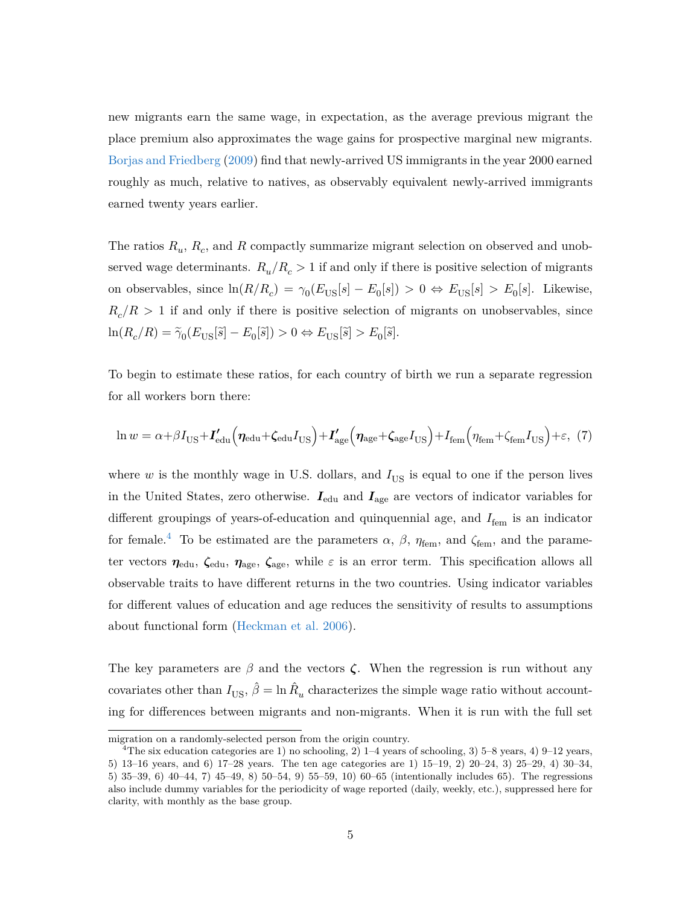new migrants earn the same wage, in expectation, as the average previous migrant the place premium also approximates the wage gains for prospective marginal new migrants. [Borjas and Friedberg](#page-29-3) [\(2009\)](#page-29-3) find that newly-arrived US immigrants in the year 2000 earned roughly as much, relative to natives, as observably equivalent newly-arrived immigrants earned twenty years earlier.

The ratios  $R_u$ ,  $R_c$ , and  $R$  compactly summarize migrant selection on observed and unobserved wage determinants.  $R_u/R_c > 1$  if and only if there is positive selection of migrants on observables, since  $\ln(R/R_c) = \gamma_0(E_{\text{US}}[s] - E_0[s]) > 0 \Leftrightarrow E_{\text{US}}[s] > E_0[s]$ . Likewise,  $R_c/R > 1$  if and only if there is positive selection of migrants on unobservables, since  $\ln(R_c/R) = \tilde{\gamma}_0(E_{\text{US}}[\tilde{s}] - E_0[\tilde{s}]) > 0 \Leftrightarrow E_{\text{US}}[\tilde{s}] > E_0[\tilde{s}].$ 

To begin to estimate these ratios, for each country of birth we run a separate regression for all workers born there:

<span id="page-7-1"></span>
$$
\ln w = \alpha + \beta I_{\text{US}} + I'_{\text{edu}} \left( \eta_{\text{edu}} + \zeta_{\text{edu}} I_{\text{US}} \right) + I'_{\text{age}} \left( \eta_{\text{age}} + \zeta_{\text{age}} I_{\text{US}} \right) + I_{\text{fem}} \left( \eta_{\text{fem}} + \zeta_{\text{fem}} I_{\text{US}} \right) + \varepsilon, (7)
$$

where  $w$  is the monthly wage in U.S. dollars, and  $I_{US}$  is equal to one if the person lives in the United States, zero otherwise. *I*edu and *I*age are vectors of indicator variables for different groupings of years-of-education and quinquennial age, and  $I_{\text{fem}}$  is an indicator for female.<sup>[4](#page-7-0)</sup> To be estimated are the parameters  $\alpha$ ,  $\beta$ ,  $\eta_{\text{fem}}$ , and  $\zeta_{\text{fem}}$ , and the parameter vectors  $\eta_{\text{edu}}$ ,  $\zeta_{\text{edu}}$ ,  $\eta_{\text{age}}$ ,  $\zeta_{\text{age}}$ , while  $\varepsilon$  is an error term. This specification allows all observable traits to have different returns in the two countries. Using indicator variables for different values of education and age reduces the sensitivity of results to assumptions about functional form [\(Heckman et al.](#page-31-5) [2006\)](#page-31-5).

The key parameters are  $\beta$  and the vectors  $\zeta$ . When the regression is run without any covariates other than  $I_{\text{US}}, \hat{\beta} = \ln \hat{R}_u$  characterizes the simple wage ratio without accounting for differences between migrants and non-migrants. When it is run with the full set

migration on a randomly-selected person from the origin country.

<span id="page-7-0"></span><sup>&</sup>lt;sup>4</sup>The six education categories are 1) no schooling, 2) 1–4 years of schooling, 3) 5–8 years, 4) 9–12 years, 5) 13–16 years, and 6) 17–28 years. The ten age categories are 1) 15–19, 2) 20–24, 3) 25–29, 4) 30–34, 5) 35–39, 6) 40–44, 7) 45–49, 8) 50–54, 9) 55–59, 10) 60–65 (intentionally includes 65). The regressions also include dummy variables for the periodicity of wage reported (daily, weekly, etc.), suppressed here for clarity, with monthly as the base group.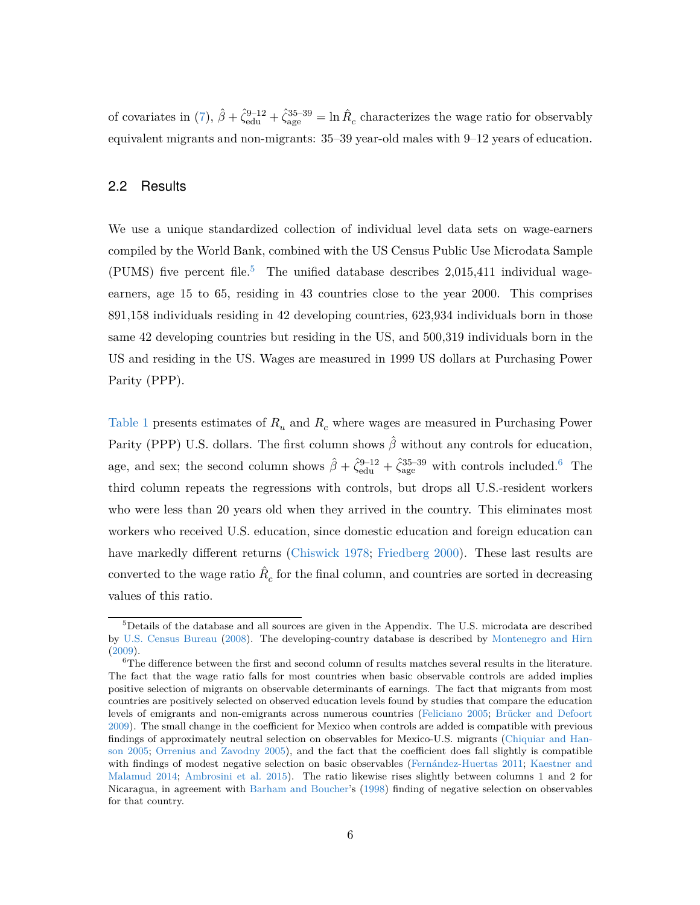of covariates in [\(7\)](#page-7-1),  $\hat{\beta} + \hat{\zeta}_{\text{edu}}^{9-12} + \hat{\zeta}_{\text{age}}^{35-39} = \ln \hat{R}_c$  characterizes the wage ratio for observably equivalent migrants and non-migrants: 35–39 year-old males with 9–12 years of education.

#### 2.2 Results

We use a unique standardized collection of individual level data sets on wage-earners compiled by the World Bank, combined with the US Census Public Use Microdata Sample (PUMS) five percent file.<sup>[5](#page-8-0)</sup> The unified database describes 2,015,411 individual wageearners, age 15 to 65, residing in 43 countries close to the year 2000. This comprises 891,158 individuals residing in 42 developing countries, 623,934 individuals born in those same 42 developing countries but residing in the US, and 500,319 individuals born in the US and residing in the US. Wages are measured in 1999 US dollars at Purchasing Power Parity (PPP).

[Table 1](#page-35-0) presents estimates of  $R_u$  and  $R_c$  where wages are measured in Purchasing Power Parity (PPP) U.S. dollars. The first column shows *β*ˆ without any controls for education, age, and sex; the second column shows  $\hat{\beta} + \hat{\zeta}_{\text{edu}}^{9-12} + \hat{\zeta}_{\text{age}}^{35-39}$  with controls included.<sup>[6](#page-8-1)</sup> The third column repeats the regressions with controls, but drops all U.S.-resident workers who were less than 20 years old when they arrived in the country. This eliminates most workers who received U.S. education, since domestic education and foreign education can have markedly different returns [\(Chiswick](#page-30-5) [1978;](#page-30-5) [Friedberg](#page-30-6) [2000\)](#page-30-6). These last results are converted to the wage ratio  $\hat{R}_c$  for the final column, and countries are sorted in decreasing values of this ratio.

<span id="page-8-0"></span> $5$ Details of the database and all sources are given in the Appendix. The U.S. microdata are described by [U.S. Census Bureau](#page-33-1) [\(2008\)](#page-33-1). The developing-country database is described by [Montenegro and Hirn](#page-32-2) [\(2009\)](#page-32-2).

<span id="page-8-1"></span> $^6\!$  The difference between the first and second column of results matches several results in the literature. The fact that the wage ratio falls for most countries when basic observable controls are added implies positive selection of migrants on observable determinants of earnings. The fact that migrants from most countries are positively selected on observed education levels found by studies that compare the education levels of emigrants and non-emigrants across numerous countries [\(Feliciano](#page-30-7) [2005;](#page-30-7) [Brücker and Defoort](#page-29-4) [2009\)](#page-29-4). The small change in the coefficient for Mexico when controls are added is compatible with previous findings of approximately neutral selection on observables for Mexico-U.S. migrants [\(Chiquiar and Han](#page-30-8)[son](#page-30-8) [2005;](#page-30-8) [Orrenius and Zavodny](#page-32-3) [2005\)](#page-32-3), and the fact that the coefficient does fall slightly is compatible with findings of modest negative selection on basic observables [\(Fernández-Huertas](#page-30-9) [2011;](#page-30-9) [Kaestner and](#page-32-4) [Malamud](#page-32-4) [2014;](#page-32-4) [Ambrosini et al.](#page-28-2) [2015\)](#page-28-2). The ratio likewise rises slightly between columns 1 and 2 for Nicaragua, in agreement with [Barham and Boucher'](#page-29-5)s [\(1998\)](#page-29-5) finding of negative selection on observables for that country.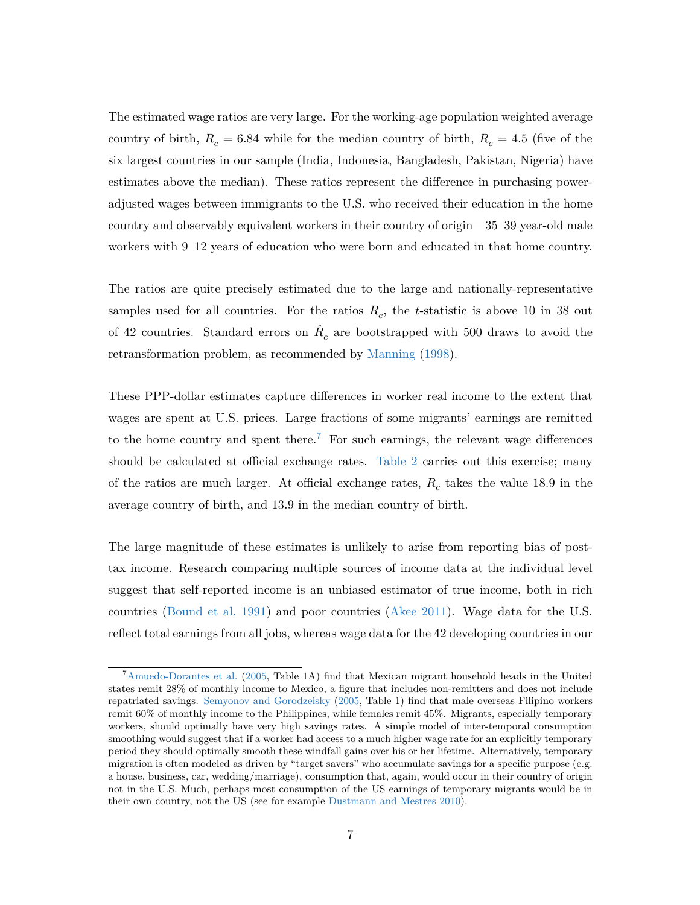The estimated wage ratios are very large. For the working-age population weighted average country of birth,  $R_c = 6.84$  while for the median country of birth,  $R_c = 4.5$  (five of the six largest countries in our sample (India, Indonesia, Bangladesh, Pakistan, Nigeria) have estimates above the median). These ratios represent the difference in purchasing poweradjusted wages between immigrants to the U.S. who received their education in the home country and observably equivalent workers in their country of origin—35–39 year-old male workers with 9–12 years of education who were born and educated in that home country.

The ratios are quite precisely estimated due to the large and nationally-representative samples used for all countries. For the ratios  $R_c$ , the *t*-statistic is above 10 in 38 out of 42 countries. Standard errors on  $\hat{R}_c$  are bootstrapped with 500 draws to avoid the retransformation problem, as recommended by [Manning](#page-32-5) [\(1998\)](#page-32-5).

These PPP-dollar estimates capture differences in worker real income to the extent that wages are spent at U.S. prices. Large fractions of some migrants' earnings are remitted to the home country and spent there.<sup>[7](#page-9-0)</sup> For such earnings, the relevant wage differences should be calculated at official exchange rates. [Table 2](#page-36-0) carries out this exercise; many of the ratios are much larger. At official exchange rates, *R<sup>c</sup>* takes the value 18.9 in the average country of birth, and 13.9 in the median country of birth.

The large magnitude of these estimates is unlikely to arise from reporting bias of posttax income. Research comparing multiple sources of income data at the individual level suggest that self-reported income is an unbiased estimator of true income, both in rich countries [\(Bound et al.](#page-29-6) [1991\)](#page-29-6) and poor countries [\(Akee](#page-28-3) [2011\)](#page-28-3). Wage data for the U.S. reflect total earnings from all jobs, whereas wage data for the 42 developing countries in our

<span id="page-9-0"></span><sup>7</sup>[Amuedo-Dorantes et al.](#page-28-4) [\(2005,](#page-28-4) Table 1A) find that Mexican migrant household heads in the United states remit 28% of monthly income to Mexico, a figure that includes non-remitters and does not include repatriated savings. [Semyonov and Gorodzeisky](#page-33-2) [\(2005,](#page-33-2) Table 1) find that male overseas Filipino workers remit 60% of monthly income to the Philippines, while females remit 45%. Migrants, especially temporary workers, should optimally have very high savings rates. A simple model of inter-temporal consumption smoothing would suggest that if a worker had access to a much higher wage rate for an explicitly temporary period they should optimally smooth these windfall gains over his or her lifetime. Alternatively, temporary migration is often modeled as driven by "target savers" who accumulate savings for a specific purpose (e.g. a house, business, car, wedding/marriage), consumption that, again, would occur in their country of origin not in the U.S. Much, perhaps most consumption of the US earnings of temporary migrants would be in their own country, not the US (see for example [Dustmann and Mestres](#page-30-10) [2010\)](#page-30-10).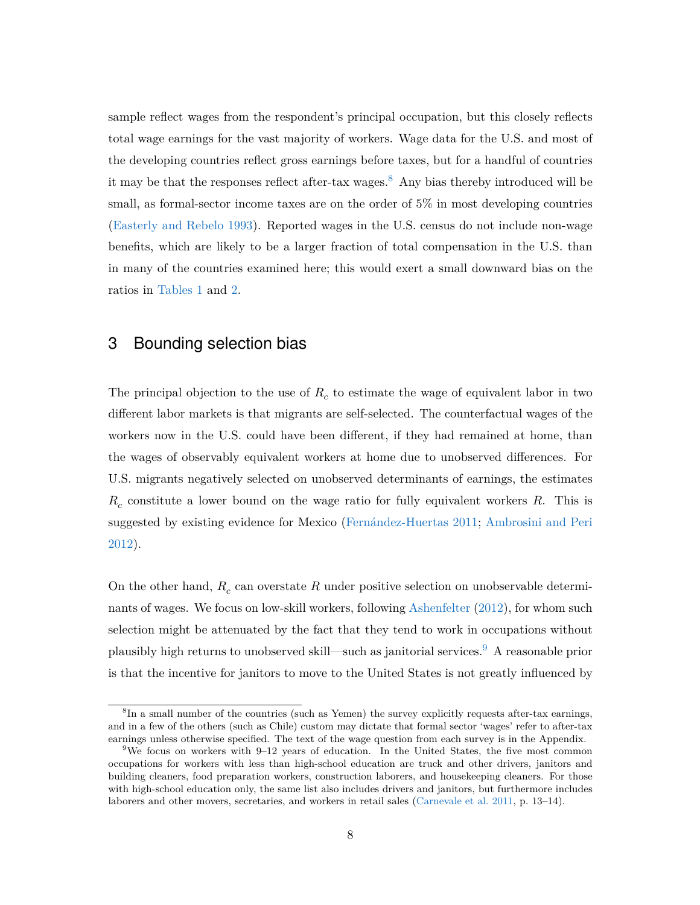sample reflect wages from the respondent's principal occupation, but this closely reflects total wage earnings for the vast majority of workers. Wage data for the U.S. and most of the developing countries reflect gross earnings before taxes, but for a handful of countries it may be that the responses reflect after-tax wages.<sup>[8](#page-10-0)</sup> Any bias thereby introduced will be small, as formal-sector income taxes are on the order of 5% in most developing countries [\(Easterly and Rebelo](#page-30-11) [1993\)](#page-30-11). Reported wages in the U.S. census do not include non-wage benefits, which are likely to be a larger fraction of total compensation in the U.S. than in many of the countries examined here; this would exert a small downward bias on the ratios in [Tables](tab:ratiosppp) [1](#page-35-0) and [2.](#page-36-0)

## 3 Bounding selection bias

The principal objection to the use of *R<sup>c</sup>* to estimate the wage of equivalent labor in two different labor markets is that migrants are self-selected. The counterfactual wages of the workers now in the U.S. could have been different, if they had remained at home, than the wages of observably equivalent workers at home due to unobserved differences. For U.S. migrants negatively selected on unobserved determinants of earnings, the estimates *Rc* constitute a lower bound on the wage ratio for fully equivalent workers *R*. This is suggested by existing evidence for Mexico [\(Fernández-Huertas](#page-30-9) [2011;](#page-30-9) [Ambrosini and Peri](#page-28-5) [2012\)](#page-28-5).

On the other hand,  $R_c$  can overstate  $R$  under positive selection on unobservable determinants of wages. We focus on low-skill workers, following [Ashenfelter](#page-28-1) [\(2012\)](#page-28-1), for whom such selection might be attenuated by the fact that they tend to work in occupations without plausibly high returns to unobserved skill—such as janitorial services.[9](#page-10-1) A reasonable prior is that the incentive for janitors to move to the United States is not greatly influenced by

<span id="page-10-0"></span><sup>&</sup>lt;sup>8</sup>In a small number of the countries (such as Yemen) the survey explicitly requests after-tax earnings, and in a few of the others (such as Chile) custom may dictate that formal sector 'wages' refer to after-tax earnings unless otherwise specified. The text of the wage question from each survey is in the Appendix.

<span id="page-10-1"></span><sup>&</sup>lt;sup>9</sup>We focus on workers with 9–12 years of education. In the United States, the five most common occupations for workers with less than high-school education are truck and other drivers, janitors and building cleaners, food preparation workers, construction laborers, and housekeeping cleaners. For those with high-school education only, the same list also includes drivers and janitors, but furthermore includes laborers and other movers, secretaries, and workers in retail sales [\(Carnevale et al.](#page-29-7) [2011,](#page-29-7) p. 13–14).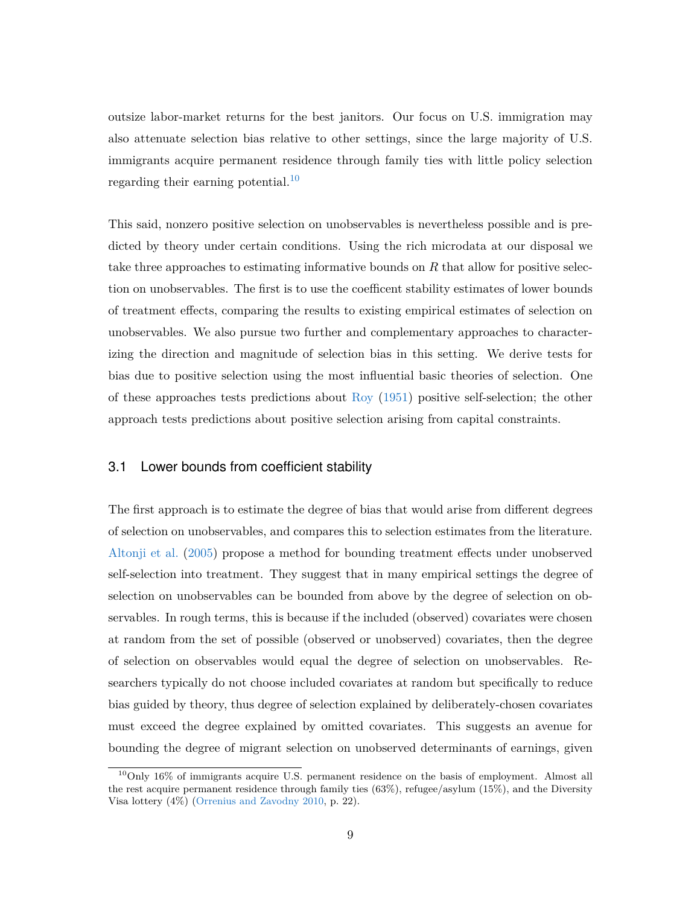outsize labor-market returns for the best janitors. Our focus on U.S. immigration may also attenuate selection bias relative to other settings, since the large majority of U.S. immigrants acquire permanent residence through family ties with little policy selection regarding their earning potential.<sup>[10](#page-11-0)</sup>

This said, nonzero positive selection on unobservables is nevertheless possible and is predicted by theory under certain conditions. Using the rich microdata at our disposal we take three approaches to estimating informative bounds on *R* that allow for positive selection on unobservables. The first is to use the coefficent stability estimates of lower bounds of treatment effects, comparing the results to existing empirical estimates of selection on unobservables. We also pursue two further and complementary approaches to characterizing the direction and magnitude of selection bias in this setting. We derive tests for bias due to positive selection using the most influential basic theories of selection. One of these approaches tests predictions about [Roy](#page-33-3) [\(1951\)](#page-33-3) positive self-selection; the other approach tests predictions about positive selection arising from capital constraints.

#### 3.1 Lower bounds from coefficient stability

The first approach is to estimate the degree of bias that would arise from different degrees of selection on unobservables, and compares this to selection estimates from the literature. [Altonji et al.](#page-28-6) [\(2005\)](#page-28-6) propose a method for bounding treatment effects under unobserved self-selection into treatment. They suggest that in many empirical settings the degree of selection on unobservables can be bounded from above by the degree of selection on observables. In rough terms, this is because if the included (observed) covariates were chosen at random from the set of possible (observed or unobserved) covariates, then the degree of selection on observables would equal the degree of selection on unobservables. Researchers typically do not choose included covariates at random but specifically to reduce bias guided by theory, thus degree of selection explained by deliberately-chosen covariates must exceed the degree explained by omitted covariates. This suggests an avenue for bounding the degree of migrant selection on unobserved determinants of earnings, given

<span id="page-11-0"></span><sup>10</sup>Only 16% of immigrants acquire U.S. permanent residence on the basis of employment. Almost all the rest acquire permanent residence through family ties (63%), refugee/asylum (15%), and the Diversity Visa lottery (4%) [\(Orrenius and Zavodny](#page-32-6) [2010,](#page-32-6) p. 22).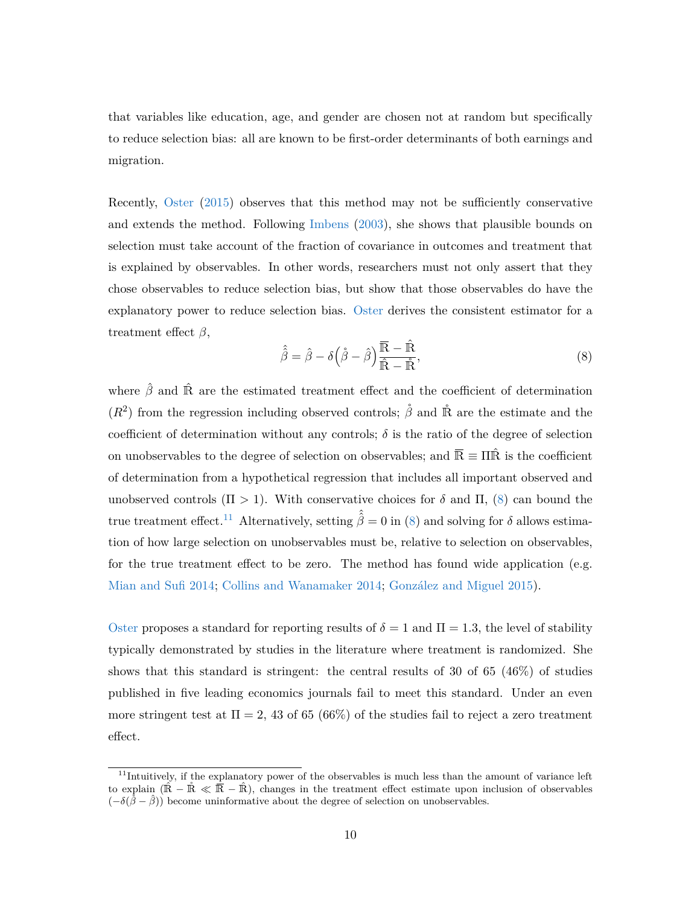that variables like education, age, and gender are chosen not at random but specifically to reduce selection bias: all are known to be first-order determinants of both earnings and migration.

Recently, [Oster](#page-33-4) [\(2015\)](#page-33-4) observes that this method may not be sufficiently conservative and extends the method. Following [Imbens](#page-31-6) [\(2003\)](#page-31-6), she shows that plausible bounds on selection must take account of the fraction of covariance in outcomes and treatment that is explained by observables. In other words, researchers must not only assert that they chose observables to reduce selection bias, but show that those observables do have the explanatory power to reduce selection bias. [Oster](#page-33-4) derives the consistent estimator for a treatment effect *β*,

<span id="page-12-0"></span>
$$
\hat{\hat{\beta}} = \hat{\beta} - \delta \left( \dot{\beta} - \hat{\beta} \right) \frac{\overline{\mathbb{R}} - \hat{\mathbb{R}}}{\hat{\mathbb{R}} - \hat{\mathbb{R}}},\tag{8}
$$

where  $\hat{\beta}$  and  $\hat{\mathbb{R}}$  are the estimated treatment effect and the coefficient of determination  $(R<sup>2</sup>)$  from the regression including observed controls;  $\overset{\circ}{\beta}$  and  $\overset{\circ}{\mathbb{R}}$  are the estimate and the coefficient of determination without any controls;  $\delta$  is the ratio of the degree of selection on unobservables to the degree of selection on observables; and  $\overline{\mathbb{R}} \equiv \Pi \hat{\mathbb{R}}$  is the coefficient of determination from a hypothetical regression that includes all important observed and unobserved controls  $(\Pi > 1)$ . With conservative choices for  $\delta$  and  $\Pi$ ,  $(8)$  can bound the true treatment effect.<sup>[11](#page-12-1)</sup> Alternatively, setting  $\hat{\hat{\beta}} = 0$  in [\(8\)](#page-12-0) and solving for  $\delta$  allows estimation of how large selection on unobservables must be, relative to selection on observables, for the true treatment effect to be zero. The method has found wide application (e.g. [Mian and Sufi](#page-32-7) [2014;](#page-32-7) [Collins and Wanamaker](#page-30-12) [2014;](#page-30-12) [González and Miguel](#page-30-13) [2015\)](#page-30-13).

[Oster](#page-33-4) proposes a standard for reporting results of  $\delta = 1$  and  $\Pi = 1.3$ , the level of stability typically demonstrated by studies in the literature where treatment is randomized. She shows that this standard is stringent: the central results of 30 of 65 (46%) of studies published in five leading economics journals fail to meet this standard. Under an even more stringent test at  $\Pi = 2, 43$  of 65 (66%) of the studies fail to reject a zero treatment effect.

<span id="page-12-1"></span><sup>&</sup>lt;sup>11</sup>Intuitively, if the explanatory power of the observables is much less than the amount of variance left to explain  $(\hat{\mathbb{R}} - \hat{\mathbb{R}} \ll \overline{\hat{\mathbb{R}}} - \hat{\mathbb{R}})$ , changes in the treatment effect estimate upon inclusion of observables  $(-\delta(\hat{\hat{\beta}} - \hat{\beta}))$  become uninformative about the degree of selection on unobservables.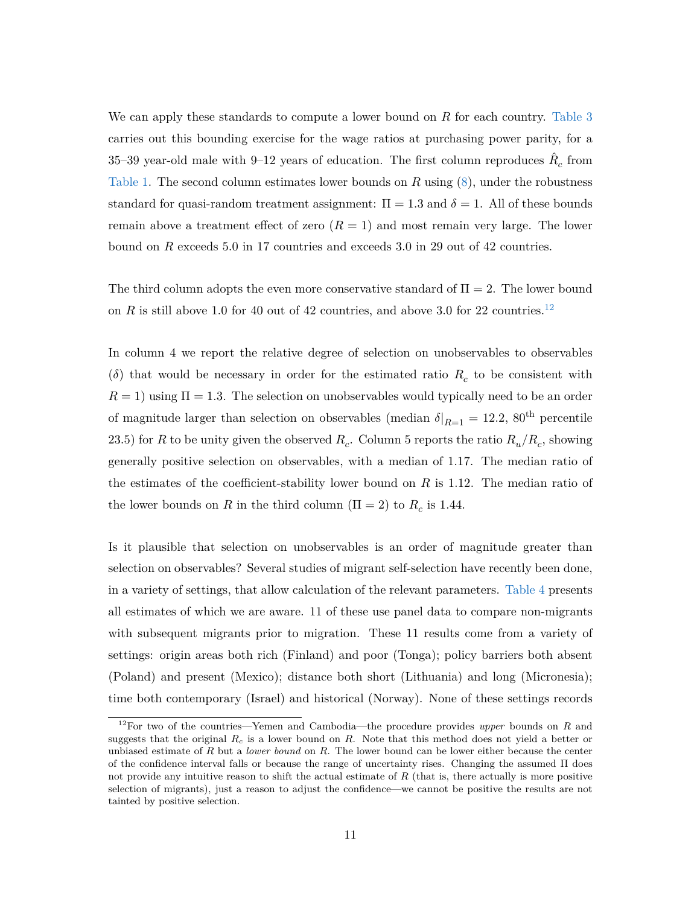We can apply these standards to compute a lower bound on *R* for each country. [Table 3](#page-37-0) carries out this bounding exercise for the wage ratios at purchasing power parity, for a 35–39 year-old male with 9–12 years of education. The first column reproduces  $\hat{R}_c$  from [Table 1.](#page-35-0) The second column estimates lower bounds on *R* using [\(8\)](#page-12-0), under the robustness standard for quasi-random treatment assignment:  $\Pi = 1.3$  and  $\delta = 1$ . All of these bounds remain above a treatment effect of zero  $(R = 1)$  and most remain very large. The lower bound on *R* exceeds 5.0 in 17 countries and exceeds 3.0 in 29 out of 42 countries.

The third column adopts the even more conservative standard of  $\Pi = 2$ . The lower bound on *R* is still above 1.0 for 40 out of 42 countries, and above 3.0 for 22 countries.<sup>[12](#page-13-0)</sup>

In column 4 we report the relative degree of selection on unobservables to observables ( $\delta$ ) that would be necessary in order for the estimated ratio  $R_c$  to be consistent with  $R = 1$ ) using  $\Pi = 1.3$ . The selection on unobservables would typically need to be an order of magnitude larger than selection on observables (median  $\delta|_{R=1} = 12.2$ , 80<sup>th</sup> percentile 23.5) for *R* to be unity given the observed  $R_c$ . Column 5 reports the ratio  $R_u/R_c$ , showing generally positive selection on observables, with a median of 1.17. The median ratio of the estimates of the coefficient-stability lower bound on *R* is 1.12. The median ratio of the lower bounds on *R* in the third column ( $\Pi = 2$ ) to  $R_c$  is 1.44.

Is it plausible that selection on unobservables is an order of magnitude greater than selection on observables? Several studies of migrant self-selection have recently been done, in a variety of settings, that allow calculation of the relevant parameters. [Table 4](#page-38-0) presents all estimates of which we are aware. 11 of these use panel data to compare non-migrants with subsequent migrants prior to migration. These 11 results come from a variety of settings: origin areas both rich (Finland) and poor (Tonga); policy barriers both absent (Poland) and present (Mexico); distance both short (Lithuania) and long (Micronesia); time both contemporary (Israel) and historical (Norway). None of these settings records

<span id="page-13-0"></span><sup>12</sup>For two of the countries—Yemen and Cambodia—the procedure provides *upper* bounds on *R* and suggests that the original *R<sup>c</sup>* is a lower bound on *R*. Note that this method does not yield a better or unbiased estimate of *R* but a *lower bound* on *R*. The lower bound can be lower either because the center of the confidence interval falls or because the range of uncertainty rises. Changing the assumed Π does not provide any intuitive reason to shift the actual estimate of *R* (that is, there actually is more positive selection of migrants), just a reason to adjust the confidence—we cannot be positive the results are not tainted by positive selection.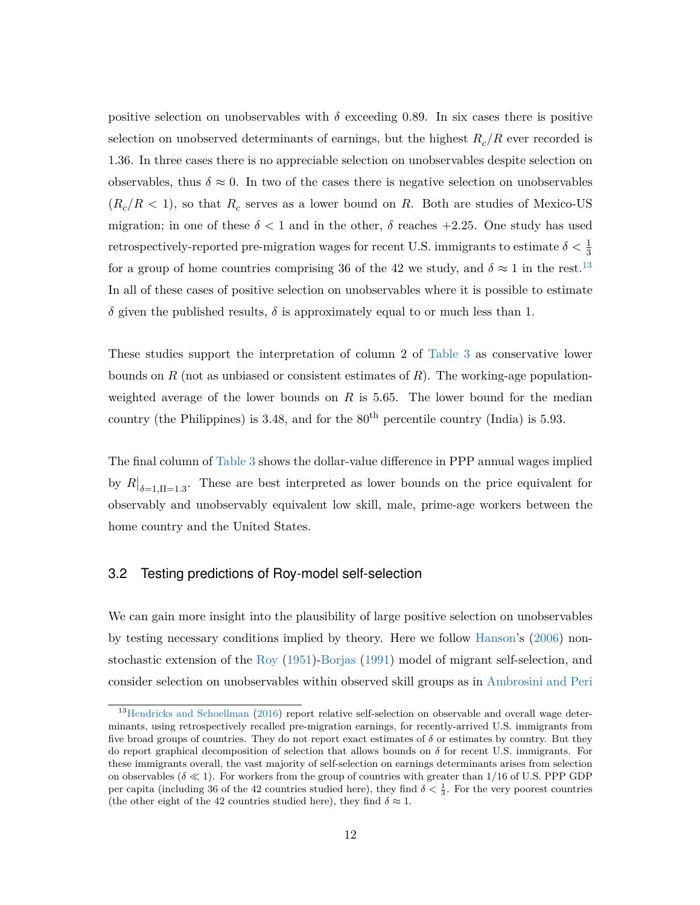positive selection on unobservables with  $\delta$  exceeding 0.89. In six cases there is positive selection on unobserved determinants of earnings, but the highest  $R_c/R$  ever recorded is 1.36. In three cases there is no appreciable selection on unobservables despite selection on observables, thus  $\delta \approx 0$ . In two of the cases there is negative selection on unobservables  $(R_c/R < 1)$ , so that  $R_c$  serves as a lower bound on  $R$ . Both are studies of Mexico-US migration; in one of these  $\delta$  < 1 and in the other,  $\delta$  reaches +2.25. One study has used retrospectively-reported pre-migration wages for recent U.S. immigrants to estimate  $\delta < \frac{1}{3}$ for a group of home countries comprising 36 of the 42 we study, and  $\delta \approx 1$  in the rest.<sup>[13](#page-14-0)</sup> In all of these cases of positive selection on unobservables where it is possible to estimate *δ* given the published results, *δ* is approximately equal to or much less than 1.

These studies support the interpretation of column 2 of [Table 3](#page-37-0) as conservative lower bounds on *R* (not as unbiased or consistent estimates of *R*). The working-age populationweighted average of the lower bounds on *R* is 5*.*65. The lower bound for the median country (the Philippines) is  $3.48$ , and for the  $80<sup>th</sup>$  percentile country (India) is  $5.93$ .

The final column of [Table 3](#page-37-0) shows the dollar-value difference in PPP annual wages implied by  $R|_{\delta=1,\Pi=1,3}$ . These are best interpreted as lower bounds on the price equivalent for observably and unobservably equivalent low skill, male, prime-age workers between the home country and the United States.

#### <span id="page-14-1"></span>3.2 Testing predictions of Roy-model self-selection

We can gain more insight into the plausibility of large positive selection on unobservables by testing necessary conditions implied by theory. Here we follow [Hanson'](#page-31-7)s [\(2006\)](#page-31-7) nonstochastic extension of the [Roy](#page-33-3) [\(1951\)](#page-33-3)[-Borjas](#page-29-8) [\(1991\)](#page-29-8) model of migrant self-selection, and consider selection on unobservables within observed skill groups as in [Ambrosini and Peri](#page-28-5)

<span id="page-14-0"></span><sup>&</sup>lt;sup>13</sup>[Hendricks and Schoellman](#page-31-4) [\(2016\)](#page-31-4) report relative self-selection on observable and overall wage determinants, using retrospectively recalled pre-migration earnings, for recently-arrived U.S. immigrants from five broad groups of countries. They do not report exact estimates of  $\delta$  or estimates by country. But they do report graphical decomposition of selection that allows bounds on *δ* for recent U.S. immigrants. For these immigrants overall, the vast majority of self-selection on earnings determinants arises from selection on observables ( $\delta \ll 1$ ). For workers from the group of countries with greater than 1/16 of U.S. PPP GDP per capita (including 36 of the 42 countries studied here), they find  $\delta < \frac{1}{3}$ . For the very poorest countries (the other eight of the 42 countries studied here), they find  $\delta \approx 1$ .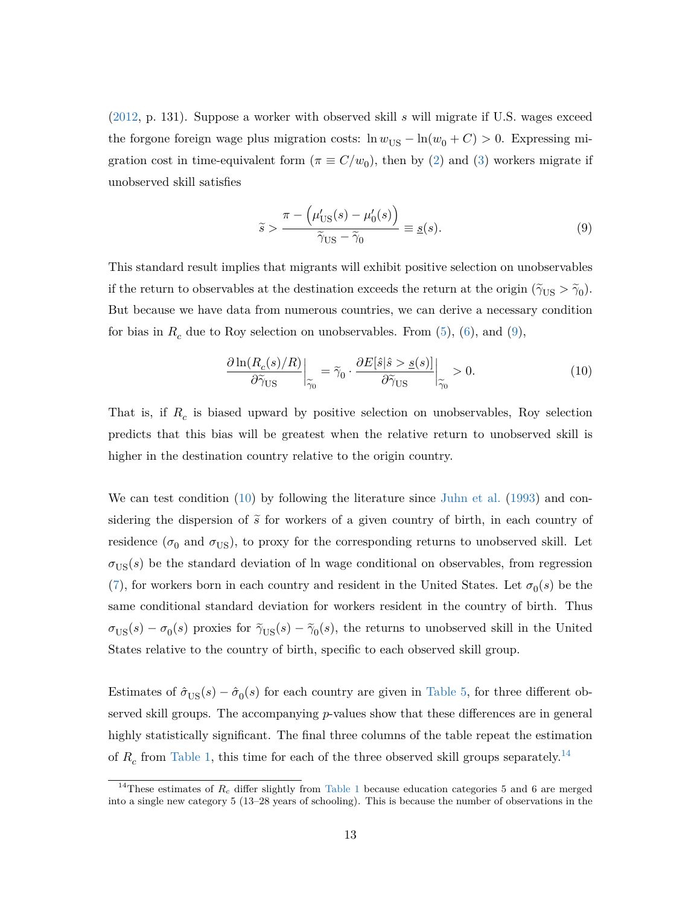[\(2012,](#page-28-5) p. 131). Suppose a worker with observed skill *s* will migrate if U.S. wages exceed the forgone foreign wage plus migration costs:  $\ln w_{\text{US}} - \ln(w_0 + C) > 0$ . Expressing migration cost in time-equivalent form  $(\pi \equiv C/w_0)$ , then by [\(2\)](#page-6-1) and [\(3\)](#page-6-2) workers migrate if unobserved skill satisfies

<span id="page-15-0"></span>
$$
\widetilde{s} > \frac{\pi - \left(\mu'_{\text{US}}(s) - \mu'_0(s)\right)}{\widetilde{\gamma}_{\text{US}} - \widetilde{\gamma}_0} \equiv \underline{s}(s). \tag{9}
$$

This standard result implies that migrants will exhibit positive selection on unobservables if the return to observables at the destination exceeds the return at the origin  $(\tilde{\gamma}_{US} > \tilde{\gamma}_0)$ . But because we have data from numerous countries, we can derive a necessary condition for bias in  $R_c$  due to Roy selection on unobservables. From  $(5)$ ,  $(6)$ , and  $(9)$ ,

<span id="page-15-1"></span>
$$
\frac{\partial \ln(R_c(s)/R)}{\partial \tilde{\gamma}_{\text{US}}} \bigg|_{\tilde{\gamma}_0} = \tilde{\gamma}_0 \cdot \frac{\partial E[\hat{s}|\hat{s} > s(s)]}{\partial \tilde{\gamma}_{\text{US}}} \bigg|_{\tilde{\gamma}_0} > 0. \tag{10}
$$

That is, if *R<sup>c</sup>* is biased upward by positive selection on unobservables, Roy selection predicts that this bias will be greatest when the relative return to unobserved skill is higher in the destination country relative to the origin country.

We can test condition [\(10\)](#page-15-1) by following the literature since [Juhn et al.](#page-32-8) [\(1993\)](#page-32-8) and considering the dispersion of  $\tilde{s}$  for workers of a given country of birth, in each country of residence ( $\sigma_0$  and  $\sigma_{\text{US}}$ ), to proxy for the corresponding returns to unobserved skill. Let  $\sigma_{\text{US}}(s)$  be the standard deviation of ln wage conditional on observables, from regression [\(7\)](#page-7-1), for workers born in each country and resident in the United States. Let  $\sigma_0(s)$  be the same conditional standard deviation for workers resident in the country of birth. Thus  $\sigma_{\text{US}}(s) - \sigma_0(s)$  proxies for  $\tilde{\gamma}_{\text{US}}(s) - \tilde{\gamma}_0(s)$ , the returns to unobserved skill in the United States relative to the country of birth, specific to each observed skill group.

Estimates of  $\hat{\sigma}_{US}(s) - \hat{\sigma}_{0}(s)$  for each country are given in [Table 5,](#page-39-0) for three different observed skill groups. The accompanying *p*-values show that these differences are in general highly statistically significant. The final three columns of the table repeat the estimation of  $R_c$  from [Table 1,](#page-35-0) this time for each of the three observed skill groups separately.<sup>[14](#page-15-2)</sup>

<span id="page-15-2"></span><sup>&</sup>lt;sup>14</sup>These estimates of  $R_c$  differ slightly from [Table 1](#page-35-0) because education categories 5 and 6 are merged into a single new category 5 (13–28 years of schooling). This is because the number of observations in the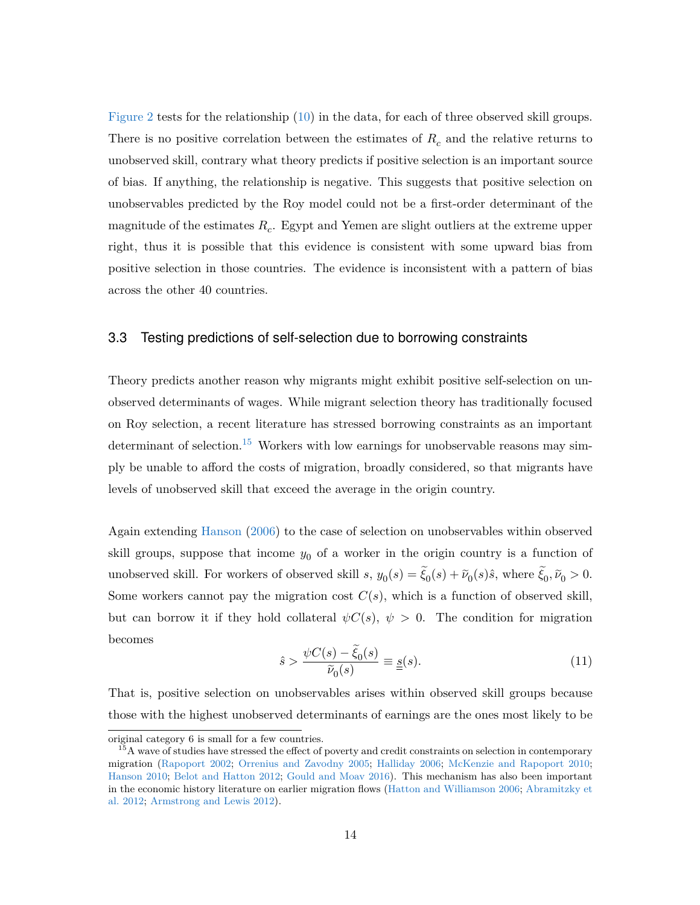[Figure 2](#page-40-0) tests for the relationship [\(10\)](#page-15-1) in the data, for each of three observed skill groups. There is no positive correlation between the estimates of *R<sup>c</sup>* and the relative returns to unobserved skill, contrary what theory predicts if positive selection is an important source of bias. If anything, the relationship is negative. This suggests that positive selection on unobservables predicted by the Roy model could not be a first-order determinant of the magnitude of the estimates *R<sup>c</sup>* . Egypt and Yemen are slight outliers at the extreme upper right, thus it is possible that this evidence is consistent with some upward bias from positive selection in those countries. The evidence is inconsistent with a pattern of bias across the other 40 countries.

#### <span id="page-16-2"></span>3.3 Testing predictions of self-selection due to borrowing constraints

Theory predicts another reason why migrants might exhibit positive self-selection on unobserved determinants of wages. While migrant selection theory has traditionally focused on Roy selection, a recent literature has stressed borrowing constraints as an important determinant of selection.<sup>[15](#page-16-0)</sup> Workers with low earnings for unobservable reasons may simply be unable to afford the costs of migration, broadly considered, so that migrants have levels of unobserved skill that exceed the average in the origin country.

Again extending [Hanson](#page-31-7) [\(2006\)](#page-31-7) to the case of selection on unobservables within observed skill groups, suppose that income  $y_0$  of a worker in the origin country is a function of unobserved skill. For workers of observed skill  $s$ ,  $y_0(s) = \xi_0(s) + \tilde{\nu}_0(s)\hat{s}$ , where  $\xi_0, \tilde{\nu}_0 > 0$ . Some workers cannot pay the migration cost  $C(s)$ , which is a function of observed skill, but can borrow it if they hold collateral  $\psi C(s)$ ,  $\psi > 0$ . The condition for migration becomes

<span id="page-16-1"></span>
$$
\hat{s} > \frac{\psi C(s) - \tilde{\xi}_0(s)}{\tilde{\nu}_0(s)} \equiv \underline{s}(s). \tag{11}
$$

That is, positive selection on unobservables arises within observed skill groups because those with the highest unobserved determinants of earnings are the ones most likely to be

original category 6 is small for a few countries.

<span id="page-16-0"></span><sup>&</sup>lt;sup>15</sup>A wave of studies have stressed the effect of poverty and credit constraints on selection in contemporary migration [\(Rapoport](#page-33-5) [2002;](#page-33-5) [Orrenius and Zavodny](#page-32-3) [2005;](#page-32-3) [Halliday](#page-31-8) [2006;](#page-31-8) [McKenzie and Rapoport](#page-32-9) [2010;](#page-32-9) [Hanson](#page-31-9) [2010;](#page-31-9) [Belot and Hatton](#page-29-9) [2012;](#page-29-9) [Gould and Moav](#page-31-10) [2016\)](#page-31-10). This mechanism has also been important in the economic history literature on earlier migration flows [\(Hatton and Williamson](#page-31-11) [2006;](#page-31-11) [Abramitzky et](#page-28-7) [al.](#page-28-7) [2012;](#page-28-7) [Armstrong and Lewis](#page-28-8) [2012\)](#page-28-8).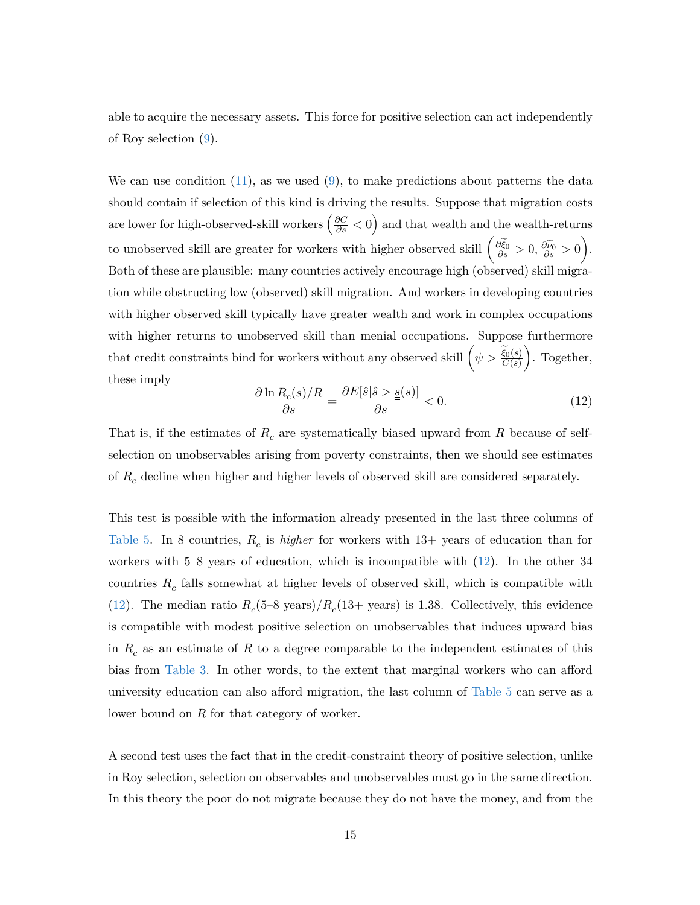able to acquire the necessary assets. This force for positive selection can act independently of Roy selection [\(9\)](#page-15-0).

We can use condition  $(11)$ , as we used  $(9)$ , to make predictions about patterns the data should contain if selection of this kind is driving the results. Suppose that migration costs are lower for high-observed-skill workers  $\left(\frac{\partial C}{\partial s} < 0\right)$  and that wealth and the wealth-returns to unobserved skill are greater for workers with higher observed skill  $\left(\frac{\partial \tilde{\xi}_0}{\partial s} > 0, \frac{\partial \tilde{\nu}_0}{\partial s} > 0\right)$ . Both of these are plausible: many countries actively encourage high (observed) skill migration while obstructing low (observed) skill migration. And workers in developing countries with higher observed skill typically have greater wealth and work in complex occupations with higher returns to unobserved skill than menial occupations. Suppose furthermore that credit constraints bind for workers without any observed skill  $(\psi > \frac{\widetilde{\xi}_0(s)}{C(s)}$  . Together, these imply

<span id="page-17-0"></span>
$$
\frac{\partial \ln R_c(s)/R}{\partial s} = \frac{\partial E[\hat{s}|\hat{s} > \underline{s}(s)]}{\partial s} < 0. \tag{12}
$$

That is, if the estimates of *R<sup>c</sup>* are systematically biased upward from *R* because of selfselection on unobservables arising from poverty constraints, then we should see estimates of *R<sup>c</sup>* decline when higher and higher levels of observed skill are considered separately.

This test is possible with the information already presented in the last three columns of [Table 5.](#page-39-0) In 8 countries, *R<sup>c</sup>* is *higher* for workers with 13+ years of education than for workers with 5–8 years of education, which is incompatible with [\(12\)](#page-17-0). In the other 34 countries *R<sup>c</sup>* falls somewhat at higher levels of observed skill, which is compatible with [\(12\)](#page-17-0). The median ratio  $R_c$ (5–8 years)/ $R_c$ (13+ years) is 1.38. Collectively, this evidence is compatible with modest positive selection on unobservables that induces upward bias in *R<sup>c</sup>* as an estimate of *R* to a degree comparable to the independent estimates of this bias from [Table 3.](#page-37-0) In other words, to the extent that marginal workers who can afford university education can also afford migration, the last column of [Table 5](#page-39-0) can serve as a lower bound on *R* for that category of worker.

A second test uses the fact that in the credit-constraint theory of positive selection, unlike in Roy selection, selection on observables and unobservables must go in the same direction. In this theory the poor do not migrate because they do not have the money, and from the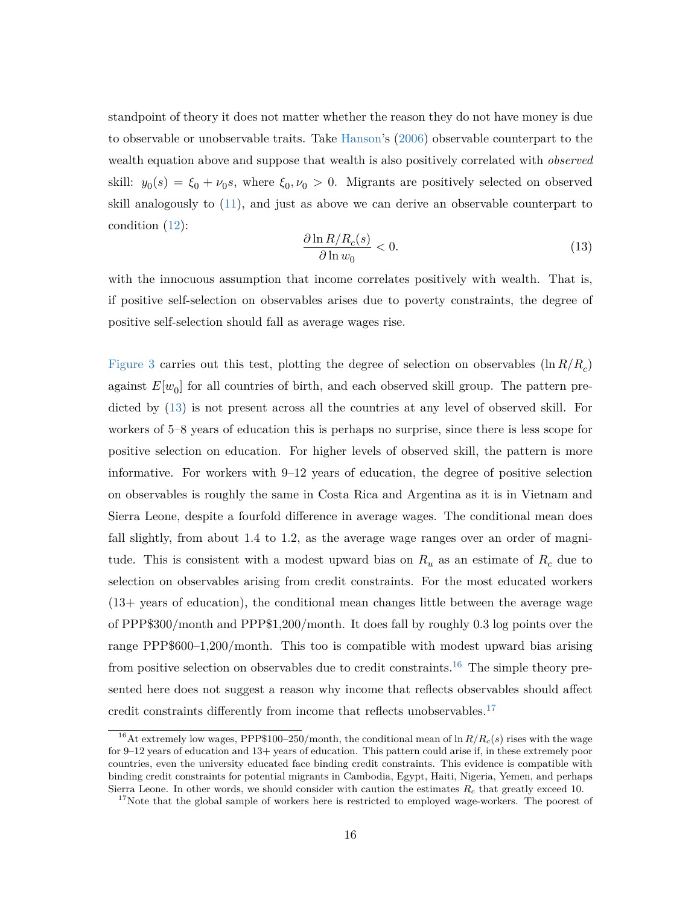standpoint of theory it does not matter whether the reason they do not have money is due to observable or unobservable traits. Take [Hanson'](#page-31-7)s [\(2006\)](#page-31-7) observable counterpart to the wealth equation above and suppose that wealth is also positively correlated with *observed* skill:  $y_0(s) = \xi_0 + \nu_0 s$ , where  $\xi_0, \nu_0 > 0$ . Migrants are positively selected on observed skill analogously to [\(11\)](#page-16-1), and just as above we can derive an observable counterpart to condition [\(12\)](#page-17-0):

<span id="page-18-0"></span>
$$
\frac{\partial \ln R/R_c(s)}{\partial \ln w_0} < 0. \tag{13}
$$

with the innocuous assumption that income correlates positively with wealth. That is, if positive self-selection on observables arises due to poverty constraints, the degree of positive self-selection should fall as average wages rise.

[Figure 3](#page-41-0) carries out this test, plotting the degree of selection on observables (ln *R/R<sup>c</sup>* ) against  $E[w_0]$  for all countries of birth, and each observed skill group. The pattern predicted by [\(13\)](#page-18-0) is not present across all the countries at any level of observed skill. For workers of 5–8 years of education this is perhaps no surprise, since there is less scope for positive selection on education. For higher levels of observed skill, the pattern is more informative. For workers with 9–12 years of education, the degree of positive selection on observables is roughly the same in Costa Rica and Argentina as it is in Vietnam and Sierra Leone, despite a fourfold difference in average wages. The conditional mean does fall slightly, from about 1.4 to 1.2, as the average wage ranges over an order of magnitude. This is consistent with a modest upward bias on  $R_u$  as an estimate of  $R_c$  due to selection on observables arising from credit constraints. For the most educated workers (13+ years of education), the conditional mean changes little between the average wage of PPP\$300/month and PPP\$1,200/month. It does fall by roughly 0.3 log points over the range PPP\$600–1,200/month. This too is compatible with modest upward bias arising from positive selection on observables due to credit constraints.<sup>[16](#page-18-1)</sup> The simple theory presented here does not suggest a reason why income that reflects observables should affect credit constraints differently from income that reflects unobservables.<sup>[17](#page-18-2)</sup>

<span id="page-18-1"></span><sup>&</sup>lt;sup>16</sup>At extremely low wages, PPP\$100–250/month, the conditional mean of  $\ln R/R_c(s)$  rises with the wage for 9–12 years of education and 13+ years of education. This pattern could arise if, in these extremely poor countries, even the university educated face binding credit constraints. This evidence is compatible with binding credit constraints for potential migrants in Cambodia, Egypt, Haiti, Nigeria, Yemen, and perhaps Sierra Leone. In other words, we should consider with caution the estimates *R<sup>c</sup>* that greatly exceed 10.

<span id="page-18-2"></span><sup>&</sup>lt;sup>17</sup>Note that the global sample of workers here is restricted to employed wage-workers. The poorest of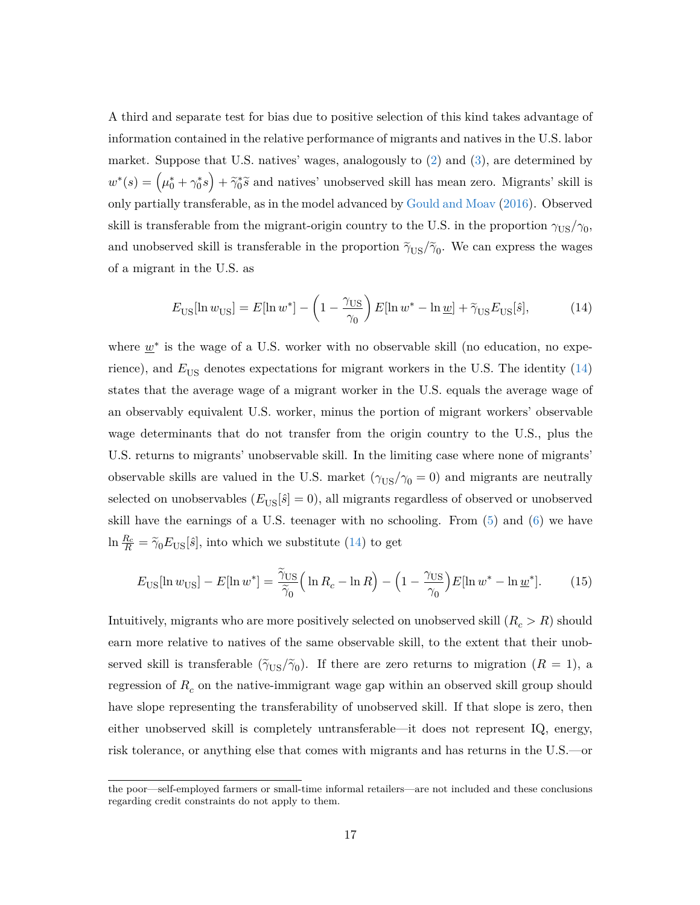A third and separate test for bias due to positive selection of this kind takes advantage of information contained in the relative performance of migrants and natives in the U.S. labor market. Suppose that U.S. natives' wages, analogously to [\(2\)](#page-6-1) and [\(3\)](#page-6-2), are determined by  $w^*(s) = (\mu_0^* + \gamma_0^*s) + \tilde{\gamma}_0^* \tilde{s}$  and natives' unobserved skill has mean zero. Migrants' skill is only partially transferable, as in the model advanced by [Gould and Moav](#page-31-10) [\(2016\)](#page-31-10). Observed skill is transferable from the migrant-origin country to the U.S. in the proportion  $\gamma_{\text{US}}/\gamma_0$ , and unobserved skill is transferable in the proportion  $\tilde{\gamma}_{US}/\tilde{\gamma}_0$ . We can express the wages of a migrant in the U.S. as

<span id="page-19-0"></span>
$$
E_{\text{US}}[\ln w_{\text{US}}] = E[\ln w^*] - \left(1 - \frac{\gamma_{\text{US}}}{\gamma_0}\right) E[\ln w^* - \ln \underline{w}] + \tilde{\gamma}_{\text{US}} E_{\text{US}}[\hat{s}],\tag{14}
$$

where  $\underline{w}^*$  is the wage of a U.S. worker with no observable skill (no education, no experience), and  $E_{US}$  denotes expectations for migrant workers in the U.S. The identity  $(14)$ states that the average wage of a migrant worker in the U.S. equals the average wage of an observably equivalent U.S. worker, minus the portion of migrant workers' observable wage determinants that do not transfer from the origin country to the U.S., plus the U.S. returns to migrants' unobservable skill. In the limiting case where none of migrants' observable skills are valued in the U.S. market  $(\gamma_{US}/\gamma_0 = 0)$  and migrants are neutrally selected on unobservables  $(E_{US}[\hat{s}] = 0)$ , all migrants regardless of observed or unobserved skill have the earnings of a U.S. teenager with no schooling. From [\(5\)](#page-6-3) and [\(6\)](#page-6-4) we have  $\ln \frac{R_c}{R} = \tilde{\gamma}_0 E_{\text{US}}[\hat{s}]$ , into which we substitute [\(14\)](#page-19-0) to get

<span id="page-19-1"></span>
$$
E_{\text{US}}[\ln w_{\text{US}}] - E[\ln w^*] = \frac{\tilde{\gamma}_{\text{US}}}{\tilde{\gamma}_0} \left( \ln R_c - \ln R \right) - \left( 1 - \frac{\gamma_{\text{US}}}{\gamma_0} \right) E[\ln w^* - \ln \underline{w}^*]. \tag{15}
$$

Intuitively, migrants who are more positively selected on unobserved skill  $(R_c > R)$  should earn more relative to natives of the same observable skill, to the extent that their unobserved skill is transferable  $(\tilde{\gamma}_{US}/\tilde{\gamma}_0)$ . If there are zero returns to migration  $(R = 1)$ , a regression of  $R_c$  on the native-immigrant wage gap within an observed skill group should have slope representing the transferability of unobserved skill. If that slope is zero, then either unobserved skill is completely untransferable—it does not represent IQ, energy, risk tolerance, or anything else that comes with migrants and has returns in the U.S.—or

the poor—self-employed farmers or small-time informal retailers—are not included and these conclusions regarding credit constraints do not apply to them.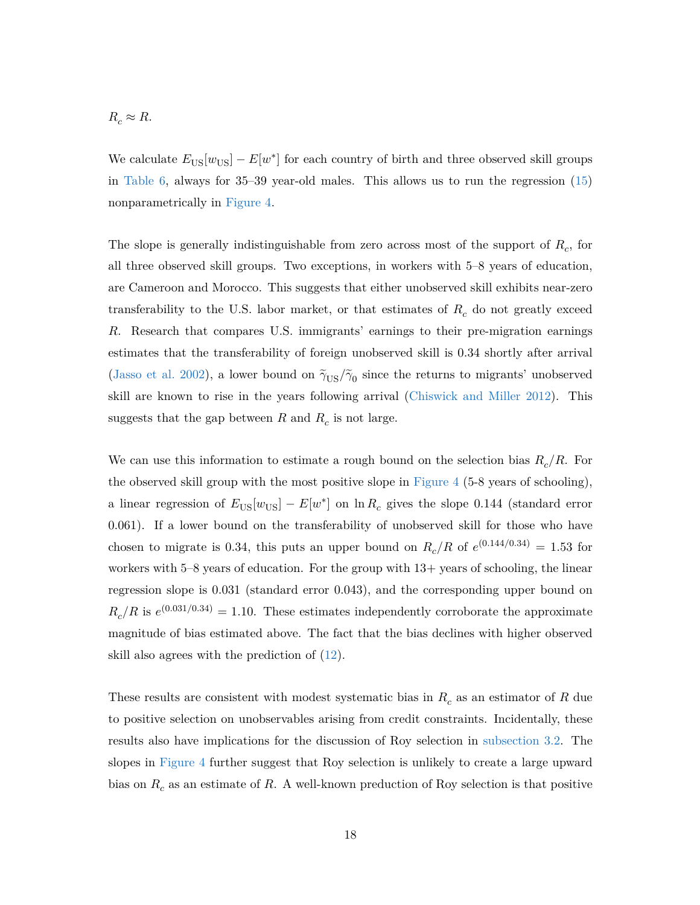$$
R_c \approx R.
$$

We calculate  $E_{\text{US}}[w_{\text{US}}] - E[w^*]$  for each country of birth and three observed skill groups in [Table 6,](#page-42-0) always for 35–39 year-old males. This allows us to run the regression [\(15\)](#page-19-1) nonparametrically in [Figure 4.](#page-43-0)

The slope is generally indistinguishable from zero across most of the support of *R<sup>c</sup>* , for all three observed skill groups. Two exceptions, in workers with 5–8 years of education, are Cameroon and Morocco. This suggests that either unobserved skill exhibits near-zero transferability to the U.S. labor market, or that estimates of *R<sup>c</sup>* do not greatly exceed *R*. Research that compares U.S. immigrants' earnings to their pre-migration earnings estimates that the transferability of foreign unobserved skill is 0.34 shortly after arrival [\(Jasso et al.](#page-32-10) [2002\)](#page-32-10), a lower bound on  $\tilde{\gamma}_{US}/\tilde{\gamma}_0$  since the returns to migrants' unobserved skill are known to rise in the years following arrival [\(Chiswick and Miller](#page-30-14) [2012\)](#page-30-14). This suggests that the gap between  $R$  and  $R_c$  is not large.

We can use this information to estimate a rough bound on the selection bias *R<sup>c</sup> /R*. For the observed skill group with the most positive slope in [Figure 4](#page-43-0) (5-8 years of schooling), a linear regression of  $E_{\text{US}}[w_{\text{US}}] - E[w^*]$  on  $\ln R_c$  gives the slope 0.144 (standard error 0.061). If a lower bound on the transferability of unobserved skill for those who have chosen to migrate is 0.34, this puts an upper bound on  $R_c/R$  of  $e^{(0.144/0.34)} = 1.53$  for workers with  $5-8$  years of education. For the group with  $13+$  years of schooling, the linear regression slope is 0.031 (standard error 0.043), and the corresponding upper bound on  $R_c/R$  is  $e^{(0.031/0.34)} = 1.10$ . These estimates independently corroborate the approximate magnitude of bias estimated above. The fact that the bias declines with higher observed skill also agrees with the prediction of [\(12\)](#page-17-0).

These results are consistent with modest systematic bias in *R<sup>c</sup>* as an estimator of *R* due to positive selection on unobservables arising from credit constraints. Incidentally, these results also have implications for the discussion of Roy selection in [subsection 3.2.](#page-14-1) The slopes in [Figure 4](#page-43-0) further suggest that Roy selection is unlikely to create a large upward bias on *R<sup>c</sup>* as an estimate of *R*. A well-known preduction of Roy selection is that positive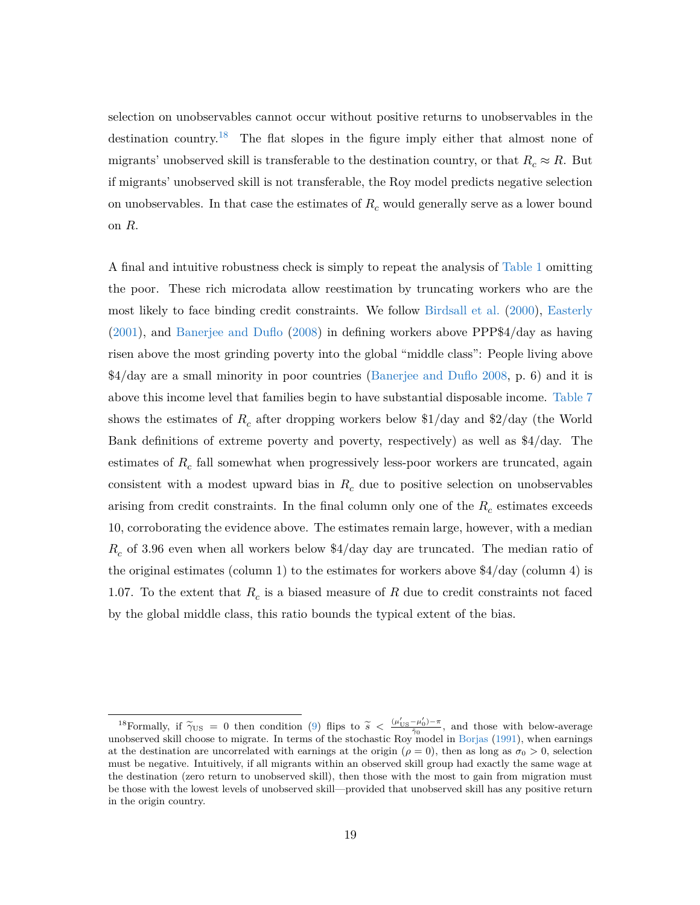selection on unobservables cannot occur without positive returns to unobservables in the destination country.[18](#page-21-0) The flat slopes in the figure imply either that almost none of migrants' unobserved skill is transferable to the destination country, or that  $R_c \approx R$ . But if migrants' unobserved skill is not transferable, the Roy model predicts negative selection on unobservables. In that case the estimates of *R<sup>c</sup>* would generally serve as a lower bound on *R*.

A final and intuitive robustness check is simply to repeat the analysis of [Table 1](#page-35-0) omitting the poor. These rich microdata allow reestimation by truncating workers who are the most likely to face binding credit constraints. We follow [Birdsall et al.](#page-29-10) [\(2000\)](#page-29-10), [Easterly](#page-30-15) [\(2001\)](#page-30-15), and [Banerjee and Duflo](#page-29-11) [\(2008\)](#page-29-11) in defining workers above PPP\$4/day as having risen above the most grinding poverty into the global "middle class": People living above \$4/day are a small minority in poor countries [\(Banerjee and Duflo](#page-29-11) [2008,](#page-29-11) p. 6) and it is above this income level that families begin to have substantial disposable income. [Table 7](#page-44-0) shows the estimates of  $R_c$  after dropping workers below \$1/day and \$2/day (the World Bank definitions of extreme poverty and poverty, respectively) as well as \$4/day. The estimates of  $R_c$  fall somewhat when progressively less-poor workers are truncated, again consistent with a modest upward bias in *R<sup>c</sup>* due to positive selection on unobservables arising from credit constraints. In the final column only one of the  $R_c$  estimates exceeds 10, corroborating the evidence above. The estimates remain large, however, with a median *Rc* of 3.96 even when all workers below \$4/day day are truncated. The median ratio of the original estimates (column 1) to the estimates for workers above \$4/day (column 4) is 1.07. To the extent that  $R_c$  is a biased measure of  $R$  due to credit constraints not faced by the global middle class, this ratio bounds the typical extent of the bias.

<span id="page-21-0"></span><sup>&</sup>lt;sup>18</sup>Formally, if  $\tilde{\gamma}_{\text{US}} = 0$  then condition [\(9\)](#page-15-0) flips to  $\tilde{s} < \frac{(\mu'_{\text{US}} - \mu'_0) - \pi}{\tilde{\gamma}_0}$  $\frac{\mu_0 - \mu_0}{\tilde{\gamma}_0}$ , and those with below-average unobserved skill choose to migrate. In terms of the stochastic Roy model in [Borjas](#page-29-8) [\(1991\)](#page-29-8), when earnings at the destination are uncorrelated with earnings at the origin ( $\rho = 0$ ), then as long as  $\sigma_0 > 0$ , selection must be negative. Intuitively, if all migrants within an observed skill group had exactly the same wage at the destination (zero return to unobserved skill), then those with the most to gain from migration must be those with the lowest levels of unobserved skill—provided that unobserved skill has any positive return in the origin country.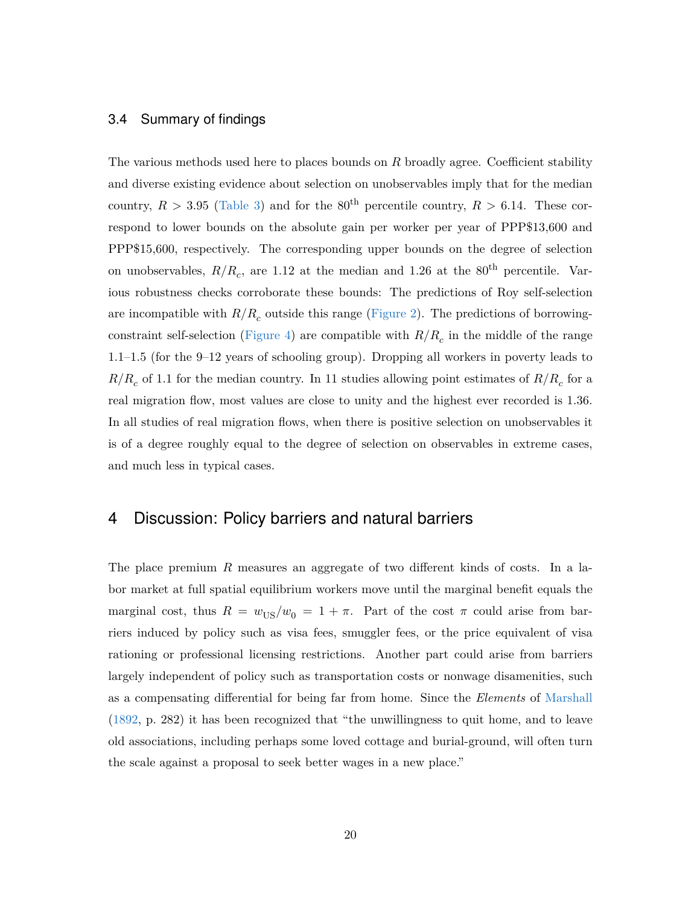#### 3.4 Summary of findings

The various methods used here to places bounds on *R* broadly agree. Coefficient stability and diverse existing evidence about selection on unobservables imply that for the median country,  $R > 3.95$  [\(Table 3\)](#page-37-0) and for the 80<sup>th</sup> percentile country,  $R > 6.14$ . These correspond to lower bounds on the absolute gain per worker per year of PPP\$13,600 and PPP\$15,600, respectively. The corresponding upper bounds on the degree of selection on unobservables,  $R/R_c$ , are 1.12 at the median and 1.26 at the 80<sup>th</sup> percentile. Various robustness checks corroborate these bounds: The predictions of Roy self-selection are incompatible with  $R/R_c$  outside this range [\(Figure 2\)](#page-40-0). The predictions of borrowingconstraint self-selection [\(Figure 4\)](#page-43-0) are compatible with *R/R<sup>c</sup>* in the middle of the range 1.1–1.5 (for the 9–12 years of schooling group). Dropping all workers in poverty leads to  $R/R_c$  of 1.1 for the median country. In 11 studies allowing point estimates of  $R/R_c$  for a real migration flow, most values are close to unity and the highest ever recorded is 1.36. In all studies of real migration flows, when there is positive selection on unobservables it is of a degree roughly equal to the degree of selection on observables in extreme cases, and much less in typical cases.

## 4 Discussion: Policy barriers and natural barriers

The place premium *R* measures an aggregate of two different kinds of costs. In a labor market at full spatial equilibrium workers move until the marginal benefit equals the marginal cost, thus  $R = w_{US}/w_0 = 1 + \pi$ . Part of the cost  $\pi$  could arise from barriers induced by policy such as visa fees, smuggler fees, or the price equivalent of visa rationing or professional licensing restrictions. Another part could arise from barriers largely independent of policy such as transportation costs or nonwage disamenities, such as a compensating differential for being far from home. Since the *Elements* of [Marshall](#page-32-11) [\(1892,](#page-32-11) p. 282) it has been recognized that "the unwillingness to quit home, and to leave old associations, including perhaps some loved cottage and burial-ground, will often turn the scale against a proposal to seek better wages in a new place."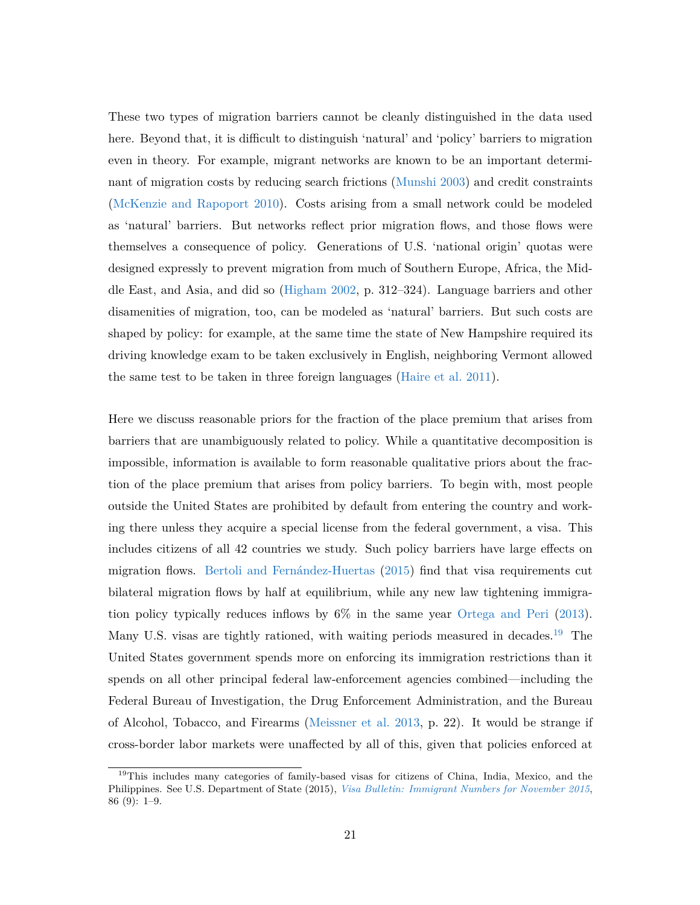These two types of migration barriers cannot be cleanly distinguished in the data used here. Beyond that, it is difficult to distinguish 'natural' and 'policy' barriers to migration even in theory. For example, migrant networks are known to be an important determinant of migration costs by reducing search frictions [\(Munshi](#page-32-12) [2003\)](#page-32-12) and credit constraints [\(McKenzie and Rapoport](#page-32-9) [2010\)](#page-32-9). Costs arising from a small network could be modeled as 'natural' barriers. But networks reflect prior migration flows, and those flows were themselves a consequence of policy. Generations of U.S. 'national origin' quotas were designed expressly to prevent migration from much of Southern Europe, Africa, the Middle East, and Asia, and did so [\(Higham](#page-31-12) [2002,](#page-31-12) p. 312–324). Language barriers and other disamenities of migration, too, can be modeled as 'natural' barriers. But such costs are shaped by policy: for example, at the same time the state of New Hampshire required its driving knowledge exam to be taken exclusively in English, neighboring Vermont allowed the same test to be taken in three foreign languages [\(Haire et al.](#page-31-13) [2011\)](#page-31-13).

Here we discuss reasonable priors for the fraction of the place premium that arises from barriers that are unambiguously related to policy. While a quantitative decomposition is impossible, information is available to form reasonable qualitative priors about the fraction of the place premium that arises from policy barriers. To begin with, most people outside the United States are prohibited by default from entering the country and working there unless they acquire a special license from the federal government, a visa. This includes citizens of all 42 countries we study. Such policy barriers have large effects on migration flows. [Bertoli and Fernández-Huertas](#page-29-12) [\(2015\)](#page-29-12) find that visa requirements cut bilateral migration flows by half at equilibrium, while any new law tightening immigration policy typically reduces inflows by 6% in the same year [Ortega and Peri](#page-33-6) [\(2013\)](#page-33-6). Many U.S. visas are tightly rationed, with waiting periods measured in decades.<sup>[19](#page-23-0)</sup> The United States government spends more on enforcing its immigration restrictions than it spends on all other principal federal law-enforcement agencies combined—including the Federal Bureau of Investigation, the Drug Enforcement Administration, and the Bureau of Alcohol, Tobacco, and Firearms [\(Meissner et al.](#page-32-13) [2013,](#page-32-13) p. 22). It would be strange if cross-border labor markets were unaffected by all of this, given that policies enforced at

<span id="page-23-0"></span><sup>&</sup>lt;sup>19</sup>This includes many categories of family-based visas for citizens of China, India, Mexico, and the Philippines. See U.S. Department of State (2015), *[Visa Bulletin: Immigrant Numbers for November 2015](https://travel.state.gov/content/visas/en/law-and-policy/bulletin/2016/visa-bulletin-for-november-2015.html)*, 86 (9): 1–9.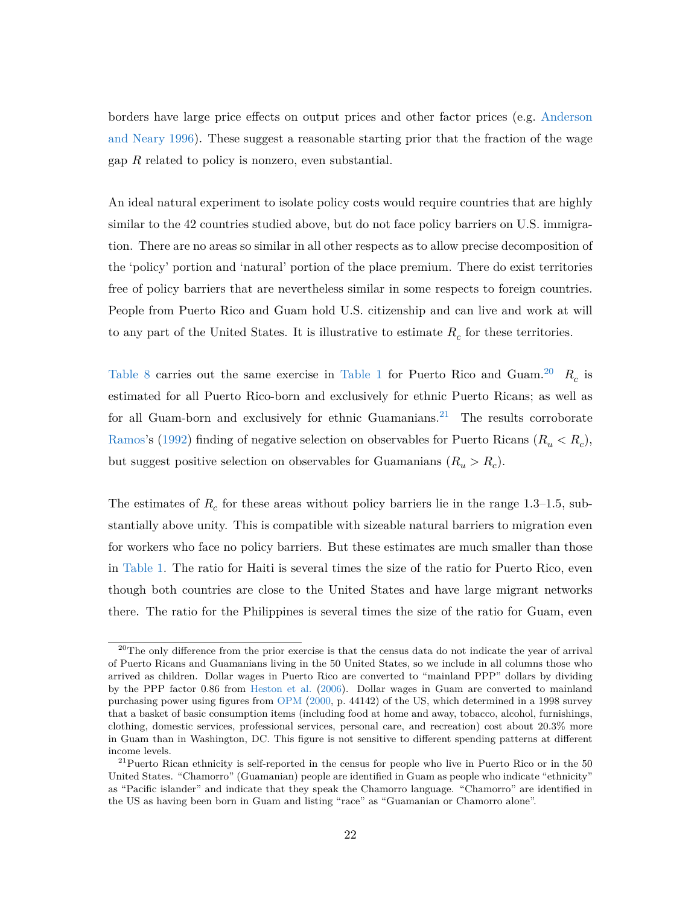borders have large price effects on output prices and other factor prices (e.g. [Anderson](#page-28-9) [and Neary](#page-28-9) [1996\)](#page-28-9). These suggest a reasonable starting prior that the fraction of the wage gap *R* related to policy is nonzero, even substantial.

An ideal natural experiment to isolate policy costs would require countries that are highly similar to the 42 countries studied above, but do not face policy barriers on U.S. immigration. There are no areas so similar in all other respects as to allow precise decomposition of the 'policy' portion and 'natural' portion of the place premium. There do exist territories free of policy barriers that are nevertheless similar in some respects to foreign countries. People from Puerto Rico and Guam hold U.S. citizenship and can live and work at will to any part of the United States. It is illustrative to estimate  $R_c$  for these territories.

[Table 8](#page-45-0) carries out the same exercise in [Table 1](#page-35-0) for Puerto Rico and Guam.<sup>[20](#page-24-0)</sup>  $R_c$  is estimated for all Puerto Rico-born and exclusively for ethnic Puerto Ricans; as well as for all Guam-born and exclusively for ethnic Guamanians.<sup>[21](#page-24-1)</sup> The results corroborate [Ramos'](#page-33-7)s [\(1992\)](#page-33-7) finding of negative selection on observables for Puerto Ricans ( $R_u < R_c$ ), but suggest positive selection on observables for Guamanians  $(R_u > R_c)$ .

The estimates of  $R_c$  for these areas without policy barriers lie in the range 1.3–1.5, substantially above unity. This is compatible with sizeable natural barriers to migration even for workers who face no policy barriers. But these estimates are much smaller than those in [Table 1.](#page-35-0) The ratio for Haiti is several times the size of the ratio for Puerto Rico, even though both countries are close to the United States and have large migrant networks there. The ratio for the Philippines is several times the size of the ratio for Guam, even

<span id="page-24-0"></span> $^{20}$ The only difference from the prior exercise is that the census data do not indicate the year of arrival of Puerto Ricans and Guamanians living in the 50 United States, so we include in all columns those who arrived as children. Dollar wages in Puerto Rico are converted to "mainland PPP" dollars by dividing by the PPP factor 0.86 from [Heston et al.](#page-31-14) [\(2006\)](#page-31-14). Dollar wages in Guam are converted to mainland purchasing power using figures from [OPM](#page-32-14) [\(2000,](#page-32-14) p. 44142) of the US, which determined in a 1998 survey that a basket of basic consumption items (including food at home and away, tobacco, alcohol, furnishings, clothing, domestic services, professional services, personal care, and recreation) cost about 20.3% more in Guam than in Washington, DC. This figure is not sensitive to different spending patterns at different income levels.

<span id="page-24-1"></span><sup>&</sup>lt;sup>21</sup>Puerto Rican ethnicity is self-reported in the census for people who live in Puerto Rico or in the 50 United States. "Chamorro" (Guamanian) people are identified in Guam as people who indicate "ethnicity" as "Pacific islander" and indicate that they speak the Chamorro language. "Chamorro" are identified in the US as having been born in Guam and listing "race" as "Guamanian or Chamorro alone".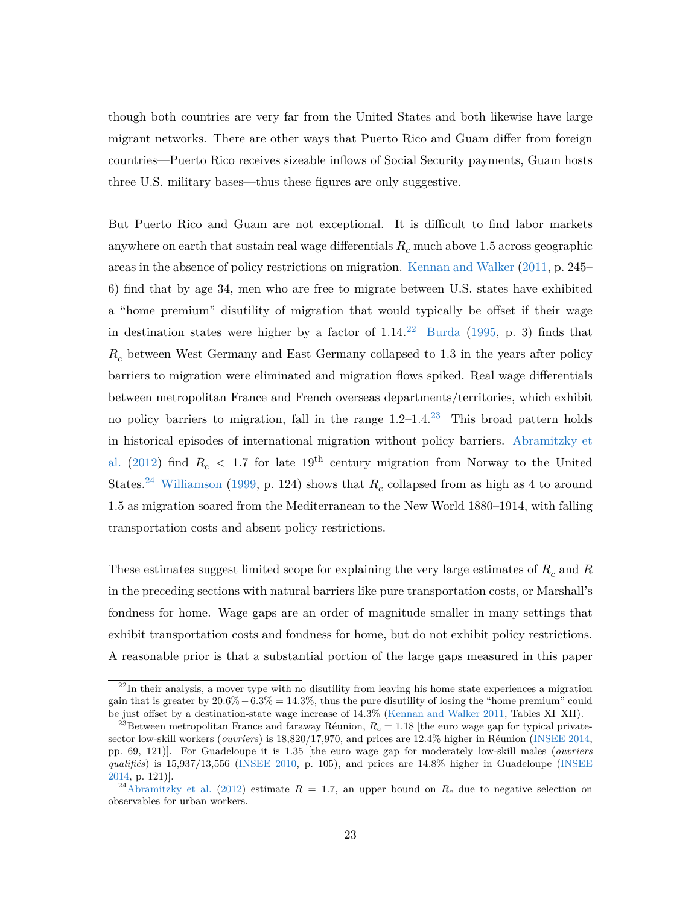though both countries are very far from the United States and both likewise have large migrant networks. There are other ways that Puerto Rico and Guam differ from foreign countries—Puerto Rico receives sizeable inflows of Social Security payments, Guam hosts three U.S. military bases—thus these figures are only suggestive.

But Puerto Rico and Guam are not exceptional. It is difficult to find labor markets anywhere on earth that sustain real wage differentials *R<sup>c</sup>* much above 1.5 across geographic areas in the absence of policy restrictions on migration. [Kennan and Walker](#page-32-15) [\(2011,](#page-32-15) p. 245– 6) find that by age 34, men who are free to migrate between U.S. states have exhibited a "home premium" disutility of migration that would typically be offset if their wage in destination states were higher by a factor of  $1.14<sup>22</sup>$  $1.14<sup>22</sup>$  $1.14<sup>22</sup>$  [Burda](#page-29-13) [\(1995,](#page-29-13) p. 3) finds that *R<sup>c</sup>* between West Germany and East Germany collapsed to 1.3 in the years after policy barriers to migration were eliminated and migration flows spiked. Real wage differentials between metropolitan France and French overseas departments/territories, which exhibit no policy barriers to migration, fall in the range  $1.2-1.4^{23}$  $1.2-1.4^{23}$  $1.2-1.4^{23}$  This broad pattern holds in historical episodes of international migration without policy barriers. [Abramitzky et](#page-28-7) [al.](#page-28-7) [\(2012\)](#page-28-7) find  $R_c < 1.7$  for late 19<sup>th</sup> century migration from Norway to the United States.<sup>[24](#page-25-2)</sup> [Williamson](#page-33-8) [\(1999,](#page-33-8) p. 124) shows that  $R_c$  collapsed from as high as 4 to around 1.5 as migration soared from the Mediterranean to the New World 1880–1914, with falling transportation costs and absent policy restrictions.

These estimates suggest limited scope for explaining the very large estimates of  $R_c$  and  $R$ in the preceding sections with natural barriers like pure transportation costs, or Marshall's fondness for home. Wage gaps are an order of magnitude smaller in many settings that exhibit transportation costs and fondness for home, but do not exhibit policy restrictions. A reasonable prior is that a substantial portion of the large gaps measured in this paper

<span id="page-25-0"></span> $22$ In their analysis, a mover type with no disutility from leaving his home state experiences a migration gain that is greater by 20*.*6%−6*.*3% = 14*.*3%, thus the pure disutility of losing the "home premium" could be just offset by a destination-state wage increase of 14*.*3% [\(Kennan and Walker](#page-32-15) [2011,](#page-32-15) Tables XI–XII).

<span id="page-25-1"></span><sup>&</sup>lt;sup>23</sup>Between metropolitan France and faraway Réunion,  $R_c = 1.18$  [the euro wage gap for typical privatesector low-skill workers (*ouvriers*) is 18,820/17,970, and prices are 12.4% higher in Réunion [\(INSEE](#page-31-15) [2014,](#page-31-15) pp. 69, 121)]. For Guadeloupe it is 1.35 [the euro wage gap for moderately low-skill males (*ouvriers qualifiés*) is 15,937/13,556 [\(INSEE](#page-31-16) [2010,](#page-31-16) p. 105), and prices are 14.8% higher in Guadeloupe [\(INSEE](#page-31-15) [2014,](#page-31-15) p. 121)].

<span id="page-25-2"></span><sup>&</sup>lt;sup>24</sup>[Abramitzky et al.](#page-28-7) [\(2012\)](#page-28-7) estimate  $R = 1.7$ , an upper bound on  $R_c$  due to negative selection on observables for urban workers.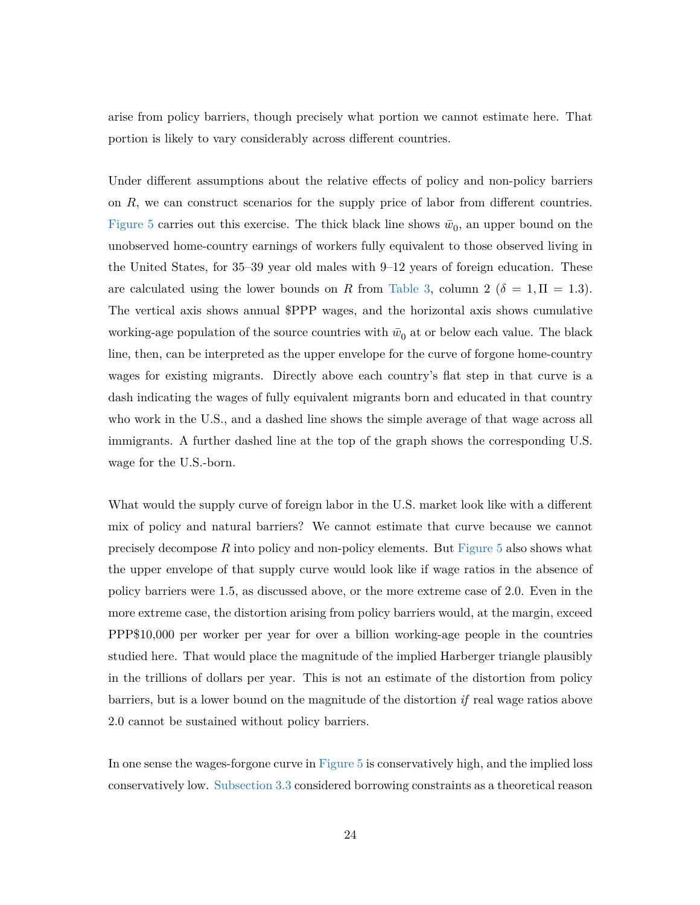arise from policy barriers, though precisely what portion we cannot estimate here. That portion is likely to vary considerably across different countries.

Under different assumptions about the relative effects of policy and non-policy barriers on *R*, we can construct scenarios for the supply price of labor from different countries. [Figure 5](#page-45-1) carries out this exercise. The thick black line shows  $\bar{w}_0$ , an upper bound on the unobserved home-country earnings of workers fully equivalent to those observed living in the United States, for 35–39 year old males with 9–12 years of foreign education. These are calculated using the lower bounds on *R* from [Table 3,](#page-37-0) column 2 ( $\delta = 1$ ,  $\Pi = 1.3$ ). The vertical axis shows annual \$PPP wages, and the horizontal axis shows cumulative working-age population of the source countries with  $\bar{w}_0$  at or below each value. The black line, then, can be interpreted as the upper envelope for the curve of forgone home-country wages for existing migrants. Directly above each country's flat step in that curve is a dash indicating the wages of fully equivalent migrants born and educated in that country who work in the U.S., and a dashed line shows the simple average of that wage across all immigrants. A further dashed line at the top of the graph shows the corresponding U.S. wage for the U.S.-born.

What would the supply curve of foreign labor in the U.S. market look like with a different mix of policy and natural barriers? We cannot estimate that curve because we cannot precisely decompose *R* into policy and non-policy elements. But [Figure 5](#page-45-1) also shows what the upper envelope of that supply curve would look like if wage ratios in the absence of policy barriers were 1.5, as discussed above, or the more extreme case of 2.0. Even in the more extreme case, the distortion arising from policy barriers would, at the margin, exceed PPP\$10,000 per worker per year for over a billion working-age people in the countries studied here. That would place the magnitude of the implied Harberger triangle plausibly in the trillions of dollars per year. This is not an estimate of the distortion from policy barriers, but is a lower bound on the magnitude of the distortion *if* real wage ratios above 2.0 cannot be sustained without policy barriers.

In one sense the wages-forgone curve in [Figure 5](#page-45-1) is conservatively high, and the implied loss conservatively low. [Subsection](sec:borrowing) [3.3](#page-16-2) considered borrowing constraints as a theoretical reason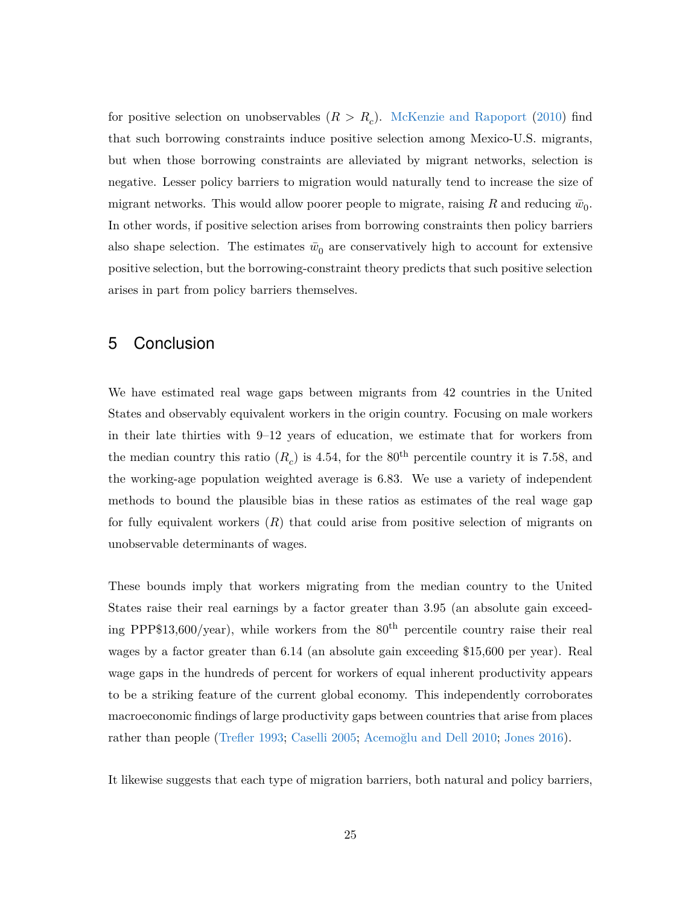for positive selection on unobservables (*R > R<sup>c</sup>* ). [McKenzie and Rapoport](#page-32-9) [\(2010\)](#page-32-9) find that such borrowing constraints induce positive selection among Mexico-U.S. migrants, but when those borrowing constraints are alleviated by migrant networks, selection is negative. Lesser policy barriers to migration would naturally tend to increase the size of migrant networks. This would allow poorer people to migrate, raising  $R$  and reducing  $\bar{w}_0$ . In other words, if positive selection arises from borrowing constraints then policy barriers also shape selection. The estimates  $\bar{w}_0$  are conservatively high to account for extensive positive selection, but the borrowing-constraint theory predicts that such positive selection arises in part from policy barriers themselves.

### 5 Conclusion

We have estimated real wage gaps between migrants from 42 countries in the United States and observably equivalent workers in the origin country. Focusing on male workers in their late thirties with 9–12 years of education, we estimate that for workers from the median country this ratio  $(R_c)$  is 4.54, for the 80<sup>th</sup> percentile country it is 7.58, and the working-age population weighted average is 6.83. We use a variety of independent methods to bound the plausible bias in these ratios as estimates of the real wage gap for fully equivalent workers (*R*) that could arise from positive selection of migrants on unobservable determinants of wages.

These bounds imply that workers migrating from the median country to the United States raise their real earnings by a factor greater than 3.95 (an absolute gain exceeding PPP\$13,600/year), while workers from the  $80<sup>th</sup>$  percentile country raise their real wages by a factor greater than 6.14 (an absolute gain exceeding \$15,600 per year). Real wage gaps in the hundreds of percent for workers of equal inherent productivity appears to be a striking feature of the current global economy. This independently corroborates macroeconomic findings of large productivity gaps between countries that arise from places rather than people [\(Trefler](#page-33-9) [1993;](#page-33-9) [Caselli](#page-29-14) [2005;](#page-29-14) [Acemoğlu and Dell](#page-28-10) [2010;](#page-28-10) [Jones](#page-32-16) [2016\)](#page-32-16).

It likewise suggests that each type of migration barriers, both natural and policy barriers,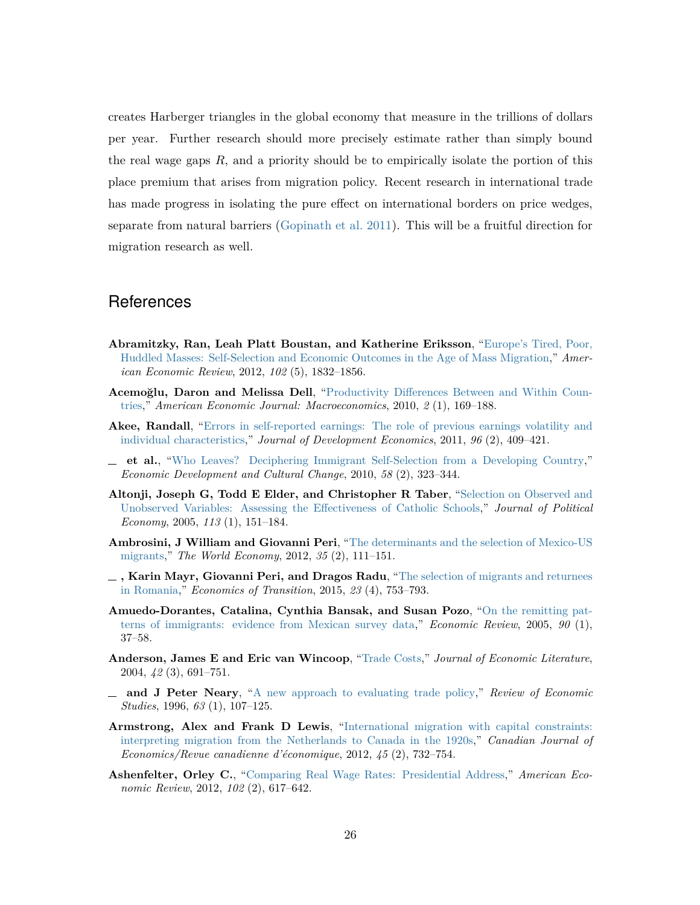creates Harberger triangles in the global economy that measure in the trillions of dollars per year. Further research should more precisely estimate rather than simply bound the real wage gaps *R*, and a priority should be to empirically isolate the portion of this place premium that arises from migration policy. Recent research in international trade has made progress in isolating the pure effect on international borders on price wedges, separate from natural barriers [\(Gopinath et al.](#page-31-17) [2011\)](#page-31-17). This will be a fruitful direction for migration research as well.

### **References**

- <span id="page-28-7"></span>**Abramitzky, Ran, Leah Platt Boustan, and Katherine Eriksson**, ["Europe's Tired, Poor,](http://dx.doi.org/10.1257/aer.102.5.1832) [Huddled Masses: Self-Selection and Economic Outcomes in the Age of Mass Migration,](http://dx.doi.org/10.1257/aer.102.5.1832)" *American Economic Review*, 2012, *102* (5), 1832–1856.
- <span id="page-28-10"></span>**Acemoğlu, Daron and Melissa Dell**, ["Productivity Differences Between and Within Coun](http://dx.doi.org/10.1257/mac.2.1.169)[tries,](http://dx.doi.org/10.1257/mac.2.1.169)" *American Economic Journal: Macroeconomics*, 2010, *2* (1), 169–188.
- <span id="page-28-3"></span>**Akee, Randall**, ["Errors in self-reported earnings: The role of previous earnings volatility and](http://dx.doi.org/10.1016/j.jdeveco.2010.08.010) [individual characteristics,](http://dx.doi.org/10.1016/j.jdeveco.2010.08.010)" *Journal of Development Economics*, 2011, *96* (2), 409–421.
- <span id="page-28-11"></span>**et al.**, ["Who Leaves? Deciphering Immigrant Self-Selection from a Developing Country,](http://dx.doi.org/10.1086/647978)" *Economic Development and Cultural Change*, 2010, *58* (2), 323–344.
- <span id="page-28-6"></span>**Altonji, Joseph G, Todd E Elder, and Christopher R Taber**, ["Selection on Observed and](http://dx.doi.org/10.1086/426036) [Unobserved Variables: Assessing the Effectiveness of Catholic Schools,](http://dx.doi.org/10.1086/426036)" *Journal of Political Economy*, 2005, *113* (1), 151–184.
- <span id="page-28-5"></span>**Ambrosini, J William and Giovanni Peri**, ["The determinants and the selection of Mexico-US](http://dx.doi.org/10.1111/j.1467-9701.2011.01425.x) [migrants,](http://dx.doi.org/10.1111/j.1467-9701.2011.01425.x)" *The World Economy*, 2012, *35* (2), 111–151.
- <span id="page-28-2"></span>**, Karin Mayr, Giovanni Peri, and Dragos Radu**, ["The selection of migrants and returnees](http://dx.doi.org/10.1111/ecot.12077) [in Romania,](http://dx.doi.org/10.1111/ecot.12077)" *Economics of Transition*, 2015, *23* (4), 753–793.
- <span id="page-28-4"></span>**Amuedo-Dorantes, Catalina, Cynthia Bansak, and Susan Pozo**, ["On the remitting pat](https://www.frbatlanta.org/research/publications/economic-review/2005/q1/vol90no1_remitting-patterns-of-immigrants.aspx)[terns of immigrants: evidence from Mexican survey data,](https://www.frbatlanta.org/research/publications/economic-review/2005/q1/vol90no1_remitting-patterns-of-immigrants.aspx)" *Economic Review*, 2005, *90* (1), 37–58.
- <span id="page-28-0"></span>**Anderson, James E and Eric van Wincoop**, ["Trade Costs,](http://dx.doi.org/10.1257/0022051042177649)" *Journal of Economic Literature*, 2004, *42* (3), 691–751.
- <span id="page-28-9"></span>**and J Peter Neary**, ["A new approach to evaluating trade policy,](http://dx.doi.org/10.2307/2298117)" *Review of Economic Studies*, 1996, *63* (1), 107–125.
- <span id="page-28-8"></span>**Armstrong, Alex and Frank D Lewis**, ["International migration with capital constraints:](http://dx.doi.org/10.1111/j.1540-5982.2012.01714.x) [interpreting migration from the Netherlands to Canada in the 1920s,](http://dx.doi.org/10.1111/j.1540-5982.2012.01714.x)" *Canadian Journal of Economics/Revue canadienne d'économique*, 2012, *45* (2), 732–754.
- <span id="page-28-1"></span>**Ashenfelter, Orley C.**, ["Comparing Real Wage Rates: Presidential Address,](http://dx.doi.org/10.1257/aer.102.2.617)" *American Economic Review*, 2012, *102* (2), 617–642.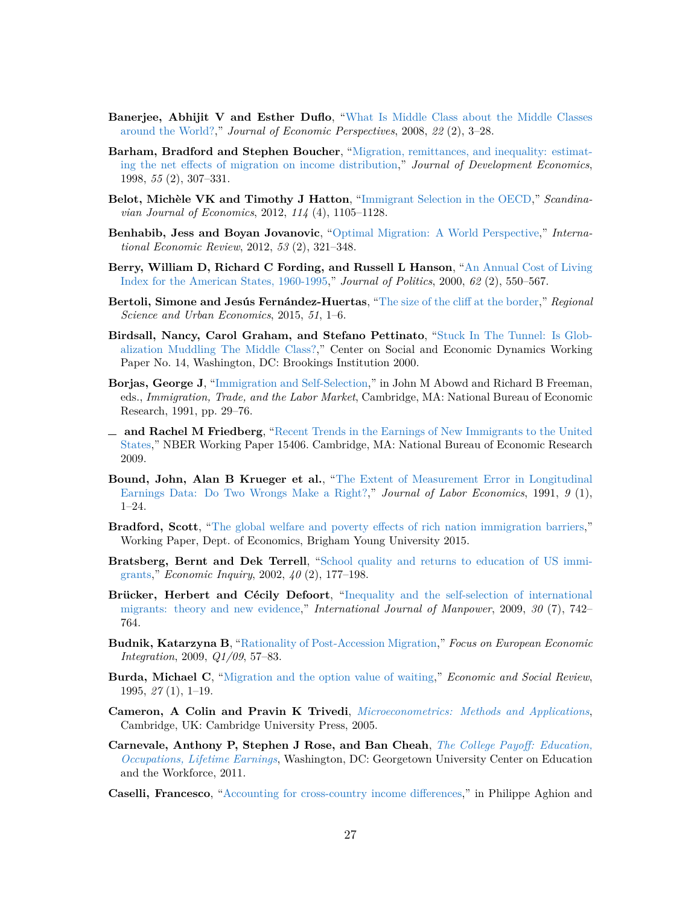- <span id="page-29-11"></span>**Banerjee, Abhijit V and Esther Duflo**, ["What Is Middle Class about the Middle Classes](http://dx.doi.org/10.1257/jep.22.2.3) [around the World?,](http://dx.doi.org/10.1257/jep.22.2.3)" *Journal of Economic Perspectives*, 2008, *22* (2), 3–28.
- <span id="page-29-5"></span>**Barham, Bradford and Stephen Boucher**, ["Migration, remittances, and inequality: estimat](http://dx.doi.org/10.1016/S0304-3878(98)90038-4)[ing the net effects of migration on income distribution,](http://dx.doi.org/10.1016/S0304-3878(98)90038-4)" *Journal of Development Economics*, 1998, *55* (2), 307–331.
- <span id="page-29-9"></span>**Belot, Michèle VK and Timothy J Hatton**, ["Immigrant Selection in the OECD,](http://dx.doi.org/10.1111/j.1467-9442.2012.01721.x)" *Scandinavian Journal of Economics*, 2012, *114* (4), 1105–1128.
- <span id="page-29-0"></span>**Benhabib, Jess and Boyan Jovanovic**, ["Optimal Migration: A World Perspective,](http://dx.doi.org/10.1111/j.1468-2354.2012.00683.x)" *International Economic Review*, 2012, *53* (2), 321–348.
- <span id="page-29-17"></span>**Berry, William D, Richard C Fording, and Russell L Hanson**, ["An Annual Cost of Living](http://dx.doi.org/10.1111/0022-3816.00025) [Index for the American States, 1960-1995,](http://dx.doi.org/10.1111/0022-3816.00025)" *Journal of Politics*, 2000, *62* (2), 550–567.
- <span id="page-29-12"></span>**Bertoli, Simone and Jesús Fernández-Huertas**, ["The size of the cliff at the border,](http://dx.doi.org/10.1016/j.regsciurbeco.2014.12.002)" *Regional Science and Urban Economics*, 2015, *51*, 1–6.
- <span id="page-29-10"></span>**Birdsall, Nancy, Carol Graham, and Stefano Pettinato**, ["Stuck In The Tunnel: Is Glob](http://www.brookings.edu/es/dynamics/papers/middleclass/middleclass.pdf)[alization Muddling The Middle Class?,](http://www.brookings.edu/es/dynamics/papers/middleclass/middleclass.pdf)" Center on Social and Economic Dynamics Working Paper No. 14, Washington, DC: Brookings Institution 2000.
- <span id="page-29-8"></span>**Borjas, George J**, ["Immigration and Self-Selection,](http://www.nber.org/chapters/c6663)" in John M Abowd and Richard B Freeman, eds., *Immigration, Trade, and the Labor Market*, Cambridge, MA: National Bureau of Economic Research, 1991, pp. 29–76.
- <span id="page-29-3"></span>**and Rachel M Friedberg**, ["Recent Trends in the Earnings of New Immigrants to the United](http://www.nber.org/papers/w15406) [States,](http://www.nber.org/papers/w15406)" NBER Working Paper 15406. Cambridge, MA: National Bureau of Economic Research 2009.
- <span id="page-29-6"></span>**Bound, John, Alan B Krueger et al.**, ["The Extent of Measurement Error in Longitudinal](http://dx.doi.org/10.1086/298256) [Earnings Data: Do Two Wrongs Make a Right?,](http://dx.doi.org/10.1086/298256)" *Journal of Labor Economics*, 1991, *9* (1), 1–24.
- <span id="page-29-1"></span>**Bradford, Scott**, ["The global welfare and poverty effects of rich nation immigration barriers,](http://www.freit.org/WorkingPapers/Papers/Immigration/FREIT432.pdf)" Working Paper, Dept. of Economics, Brigham Young University 2015.
- <span id="page-29-16"></span>**Bratsberg, Bernt and Dek Terrell**, ["School quality and returns to education of US immi](http://dx.doi.org/10.1093/ei/40.2.177)[grants,](http://dx.doi.org/10.1093/ei/40.2.177)" *Economic Inquiry*, 2002, *40* (2), 177–198.
- <span id="page-29-4"></span>**Brücker, Herbert and Cécily Defoort**, ["Inequality and the self-selection of international](http://dx.doi.org/10.1108/01437720910997371) [migrants: theory and new evidence,](http://dx.doi.org/10.1108/01437720910997371)" *International Journal of Manpower*, 2009, *30* (7), 742– 764.
- <span id="page-29-15"></span>**Budnik, Katarzyna B**, ["Rationality of Post-Accession Migration,](https://ideas.repec.org/a/onb/oenbfi/y2009i1b3.html)" *Focus on European Economic Integration*, 2009, *Q1/09*, 57–83.
- <span id="page-29-13"></span>**Burda, Michael C**, ["Migration and the option value of waiting,](http://search.proquest.com/openview/2d56323846638fb334b41022ea4c38cf/1?pq-origsite=gscholar&cbl=1817620)" *Economic and Social Review*, 1995, *27* (1), 1–19.
- <span id="page-29-2"></span>**Cameron, A Colin and Pravin K Trivedi**, *[Microeconometrics: Methods and Applications](http://www.worldcat.org/oclc/56599620)*, Cambridge, UK: Cambridge University Press, 2005.
- <span id="page-29-7"></span>**Carnevale, Anthony P, Stephen J Rose, and Ban Cheah**, *[The College Payoff: Education,](http://eric.ed.gov/?id=ED524299) [Occupations, Lifetime Earnings](http://eric.ed.gov/?id=ED524299)*, Washington, DC: Georgetown University Center on Education and the Workforce, 2011.
- <span id="page-29-14"></span>**Caselli, Francesco**, ["Accounting for cross-country income differences,](http://dx.doi.org/10.1016/S1574-0684(05)01009-9)" in Philippe Aghion and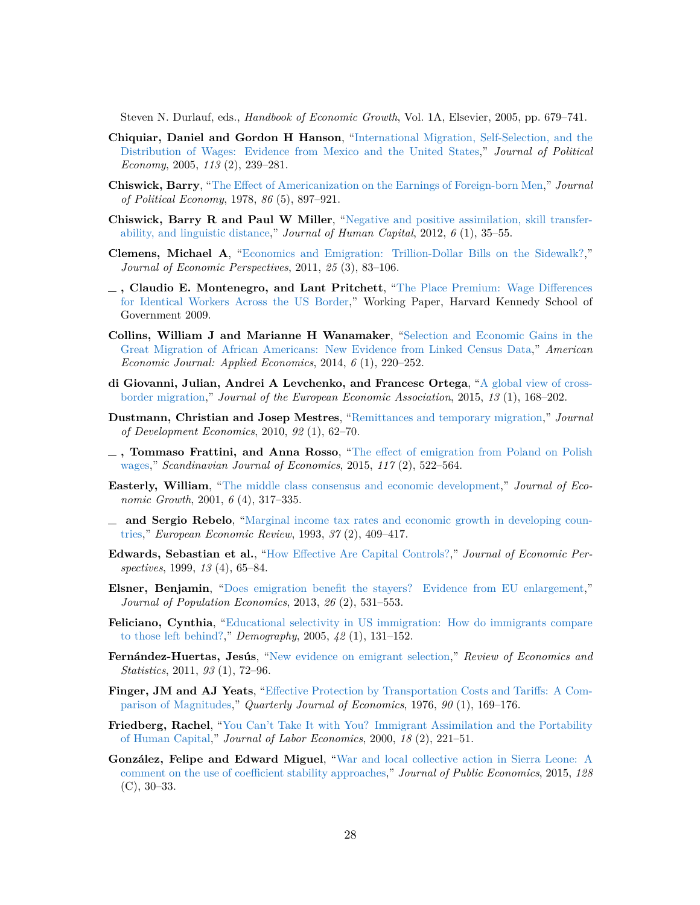Steven N. Durlauf, eds., *Handbook of Economic Growth*, Vol. 1A, Elsevier, 2005, pp. 679–741.

- <span id="page-30-8"></span>**Chiquiar, Daniel and Gordon H Hanson**, ["International Migration, Self-Selection, and the](http://dx.doi.org/10.1086/427464) [Distribution of Wages: Evidence from Mexico and the United States,](http://dx.doi.org/10.1086/427464)" *Journal of Political Economy*, 2005, *113* (2), 239–281.
- <span id="page-30-5"></span>**Chiswick, Barry**, ["The Effect of Americanization on the Earnings of Foreign-born Men,](http://dx.doi.org/10.1086/260717)" *Journal of Political Economy*, 1978, *86* (5), 897–921.
- <span id="page-30-14"></span>**Chiswick, Barry R and Paul W Miller**, ["Negative and positive assimilation, skill transfer](http://dx.doi.org/10.1086/664794)[ability, and linguistic distance,](http://dx.doi.org/10.1086/664794)" *Journal of Human Capital*, 2012, *6* (1), 35–55.
- <span id="page-30-3"></span>**Clemens, Michael A**, ["Economics and Emigration: Trillion-Dollar Bills on the Sidewalk?,](http://www.aeaweb.org/articles.php?doi=10.1257/jep.25.3.83)" *Journal of Economic Perspectives*, 2011, *25* (3), 83–106.
- <span id="page-30-2"></span>**, Claudio E. Montenegro, and Lant Pritchett**, ["The Place Premium: Wage Differences](http://EconPapers.repec.org/RePEc:ecl:harjfk:rwp09-004) [for Identical Workers Across the US Border,](http://EconPapers.repec.org/RePEc:ecl:harjfk:rwp09-004)" Working Paper, Harvard Kennedy School of Government 2009.
- <span id="page-30-12"></span>**Collins, William J and Marianne H Wanamaker**, ["Selection and Economic Gains in the](http://dx.doi.org/10.1257/app.6.1.220) [Great Migration of African Americans: New Evidence from Linked Census Data,](http://dx.doi.org/10.1257/app.6.1.220)" *American Economic Journal: Applied Economics*, 2014, *6* (1), 220–252.
- <span id="page-30-4"></span>**di Giovanni, Julian, Andrei A Levchenko, and Francesc Ortega**, ["A global view of cross](http://dx.doi.org/10.1111/jeea.12110)[border migration,](http://dx.doi.org/10.1111/jeea.12110)" *Journal of the European Economic Association*, 2015, *13* (1), 168–202.
- <span id="page-30-10"></span>**Dustmann, Christian and Josep Mestres**, ["Remittances and temporary migration,](http://dx.doi.org/10.1016/j.jdeveco.2008.12.002)" *Journal of Development Economics*, 2010, *92* (1), 62–70.
- <span id="page-30-17"></span>**, Tommaso Frattini, and Anna Rosso**, ["The effect of emigration from Poland on Polish](http://dx.doi.org/10.1111/sjoe.12102) [wages,](http://dx.doi.org/10.1111/sjoe.12102)" *Scandinavian Journal of Economics*, 2015, *117* (2), 522–564.
- <span id="page-30-15"></span>**Easterly, William**, ["The middle class consensus and economic development,](http://dx.doi.org/10.1023/A:1012786330095)" *Journal of Economic Growth*, 2001, *6* (4), 317–335.
- <span id="page-30-11"></span>**and Sergio Rebelo**, ["Marginal income tax rates and economic growth in developing coun](http://dx.doi.org/10.1016/0014-2921(93)90029-A)[tries,](http://dx.doi.org/10.1016/0014-2921(93)90029-A)" *European Economic Review*, 1993, *37* (2), 409–417.
- <span id="page-30-1"></span>**Edwards, Sebastian et al.**, ["How Effective Are Capital Controls?,](http://dx.doi.org/10.1257/jep.13.4.65)" *Journal of Economic Perspectives*, 1999, *13* (4), 65–84.
- <span id="page-30-16"></span>**Elsner, Benjamin**, ["Does emigration benefit the stayers? Evidence from EU enlargement,](http://dx.doi.org/10.1007/s00148-012-0452-6)" *Journal of Population Economics*, 2013, *26* (2), 531–553.
- <span id="page-30-7"></span>**Feliciano, Cynthia**, ["Educational selectivity in US immigration: How do immigrants compare](http://dx.doi.org/10.1353/dem.2005.0001) [to those left behind?,](http://dx.doi.org/10.1353/dem.2005.0001)" *Demography*, 2005, *42* (1), 131–152.
- <span id="page-30-9"></span>**Fernández-Huertas, Jesús**, ["New evidence on emigrant selection,](http://dx.doi.org/10.1162/REST_a_00050)" *Review of Economics and Statistics*, 2011, *93* (1), 72–96.
- <span id="page-30-0"></span>**Finger, JM and AJ Yeats**, ["Effective Protection by Transportation Costs and Tariffs: A Com](http://dx.doi.org/10.2307/1886094)[parison of Magnitudes,](http://dx.doi.org/10.2307/1886094)" *Quarterly Journal of Economics*, 1976, *90* (1), 169–176.
- <span id="page-30-6"></span>**Friedberg, Rachel**, ["You Can't Take It with You? Immigrant Assimilation and the Portability](http://dx.doi.org/10.1086/209957) [of Human Capital,](http://dx.doi.org/10.1086/209957)" *Journal of Labor Economics*, 2000, *18* (2), 221–51.
- <span id="page-30-13"></span>**González, Felipe and Edward Miguel**, ["War and local collective action in Sierra Leone: A](http://dx.doi.org/10.1016/j.jpubeco.2015.05.004) [comment on the use of coefficient stability approaches,](http://dx.doi.org/10.1016/j.jpubeco.2015.05.004)" *Journal of Public Economics*, 2015, *128*  $(C)$ , 30–33.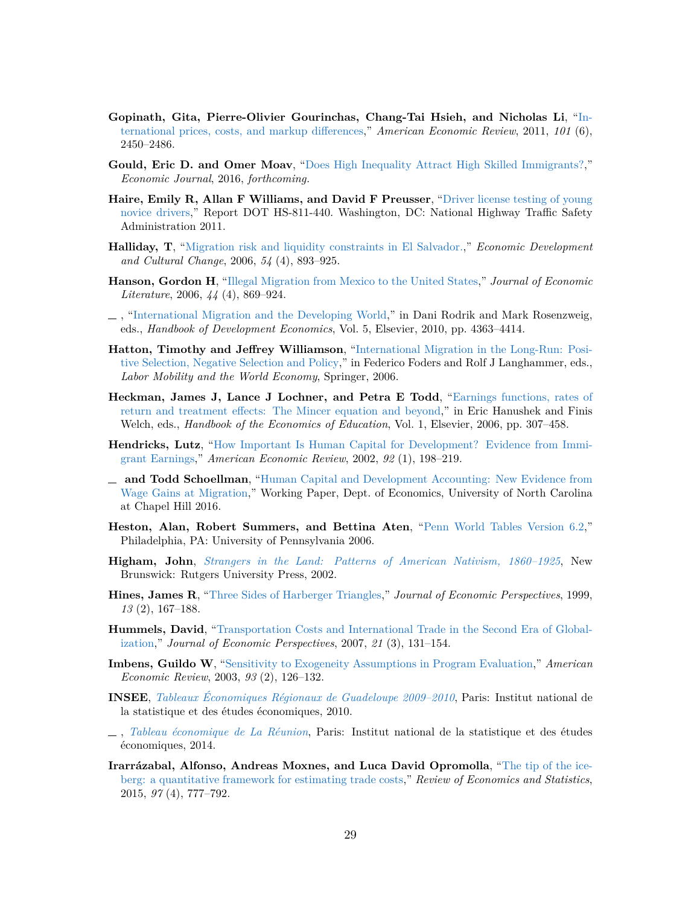- <span id="page-31-17"></span>**Gopinath, Gita, Pierre-Olivier Gourinchas, Chang-Tai Hsieh, and Nicholas Li**, ["In](http://dx.doi.org/10.1257/aer.101.6.2450)[ternational prices, costs, and markup differences,](http://dx.doi.org/10.1257/aer.101.6.2450)" *American Economic Review*, 2011, *101* (6), 2450–2486.
- <span id="page-31-10"></span>**Gould, Eric D. and Omer Moav**, ["Does High Inequality Attract High Skilled Immigrants?,](http://dx.doi.org/10.1111/ecoj.12185)" *Economic Journal*, 2016, *forthcoming.*
- <span id="page-31-13"></span>**Haire, Emily R, Allan F Williams, and David F Preusser**, ["Driver license testing of young](http://www.nhtsa.gov/staticfiles/nti/pdf/811440.pdf) [novice drivers,](http://www.nhtsa.gov/staticfiles/nti/pdf/811440.pdf)" Report DOT HS-811-440. Washington, DC: National Highway Traffic Safety Administration 2011.
- <span id="page-31-8"></span>**Halliday, T**, ["Migration risk and liquidity constraints in El Salvador.,](http://dx.doi.org/10.1086/503584)" *Economic Development and Cultural Change*, 2006, *54* (4), 893–925.
- <span id="page-31-7"></span>**Hanson, Gordon H**, ["Illegal Migration from Mexico to the United States,](http://dx.doi.org/10.1257/jel.44.4.869)" *Journal of Economic Literature*, 2006, *44* (4), 869–924.
- <span id="page-31-9"></span>, ["International Migration and the Developing World,](http://dx.doi.org/10.1016/B978-0-444-52944-2.00004-5)" in Dani Rodrik and Mark Rosenzweig, eds., *Handbook of Development Economics*, Vol. 5, Elsevier, 2010, pp. 4363–4414.
- <span id="page-31-11"></span>**Hatton, Timothy and Jeffrey Williamson**, ["International Migration in the Long-Run: Posi](http://dx.doi.org/10.1007/978-3-540-31045-7)[tive Selection, Negative Selection and Policy,](http://dx.doi.org/10.1007/978-3-540-31045-7)" in Federico Foders and Rolf J Langhammer, eds., *Labor Mobility and the World Economy*, Springer, 2006.
- <span id="page-31-5"></span>**Heckman, James J, Lance J Lochner, and Petra E Todd**, ["Earnings functions, rates of](http://dx.doi.org/10.1016/S1574-0692(06)01007-5) [return and treatment effects: The Mincer equation and beyond,](http://dx.doi.org/10.1016/S1574-0692(06)01007-5)" in Eric Hanushek and Finis Welch, eds., *Handbook of the Economics of Education*, Vol. 1, Elsevier, 2006, pp. 307–458.
- <span id="page-31-3"></span>**Hendricks, Lutz**, ["How Important Is Human Capital for Development? Evidence from Immi](http://dx.doi.org/10.1257/000282802760015676)[grant Earnings,](http://dx.doi.org/10.1257/000282802760015676)" *American Economic Review*, 2002, *92* (1), 198–219.
- <span id="page-31-4"></span>**and Todd Schoellman**, ["Human Capital and Development Accounting: New Evidence from](http://lhendricks.org/Research/nis/newimmigrants2.pdf) [Wage Gains at Migration,](http://lhendricks.org/Research/nis/newimmigrants2.pdf)" Working Paper, Dept. of Economics, University of North Carolina at Chapel Hill 2016.
- <span id="page-31-14"></span>**Heston, Alan, Robert Summers, and Bettina Aten**, ["Penn World Tables Version 6.2,](https://pwt.sas.upenn.edu)" Philadelphia, PA: University of Pennsylvania 2006.
- <span id="page-31-12"></span>**Higham, John**, *[Strangers in the Land: Patterns of American Nativism, 1860–1925](http://www.worldcat.org/oclc/162348607)*, New Brunswick: Rutgers University Press, 2002.
- <span id="page-31-2"></span>**Hines, James R**, ["Three Sides of Harberger Triangles,](http://dx.doi.org/10.1257/jep.13.2.167)" *Journal of Economic Perspectives*, 1999, *13* (2), 167–188.
- <span id="page-31-1"></span>**Hummels, David**, ["Transportation Costs and International Trade in the Second Era of Global](http://dx.doi.org/10.1257/jep.21.3.131)[ization,](http://dx.doi.org/10.1257/jep.21.3.131)" *Journal of Economic Perspectives*, 2007, *21* (3), 131–154.
- <span id="page-31-6"></span>**Imbens, Guildo W**, ["Sensitivity to Exogeneity Assumptions in Program Evaluation,](http://dx.doi.org/10.1257/000282803321946921)" *American Economic Review*, 2003, *93* (2), 126–132.
- <span id="page-31-16"></span>**INSEE**, *[Tableaux Économiques Régionaux de Guadeloupe 2009–2010](http://www.insee.fr/fr/themes/document.asp?reg_id=26&ref_id=17977)*, Paris: Institut national de la statistique et des études économiques, 2010.
- <span id="page-31-15"></span>, *[Tableau économique de La Réunion](http://www.insee.fr/fr/insee_regions/reunion/themes/dossiers/ter/archives/archives-2014/ter2014.pdf)*, Paris: Institut national de la statistique et des études économiques, 2014.
- <span id="page-31-0"></span>**Irarrázabal, Alfonso, Andreas Moxnes, and Luca David Opromolla**, ["The tip of the ice](http://dx.doi.org/10.1162/REST_a_00517)[berg: a quantitative framework for estimating trade costs,](http://dx.doi.org/10.1162/REST_a_00517)" *Review of Economics and Statistics*, 2015, *97* (4), 777–792.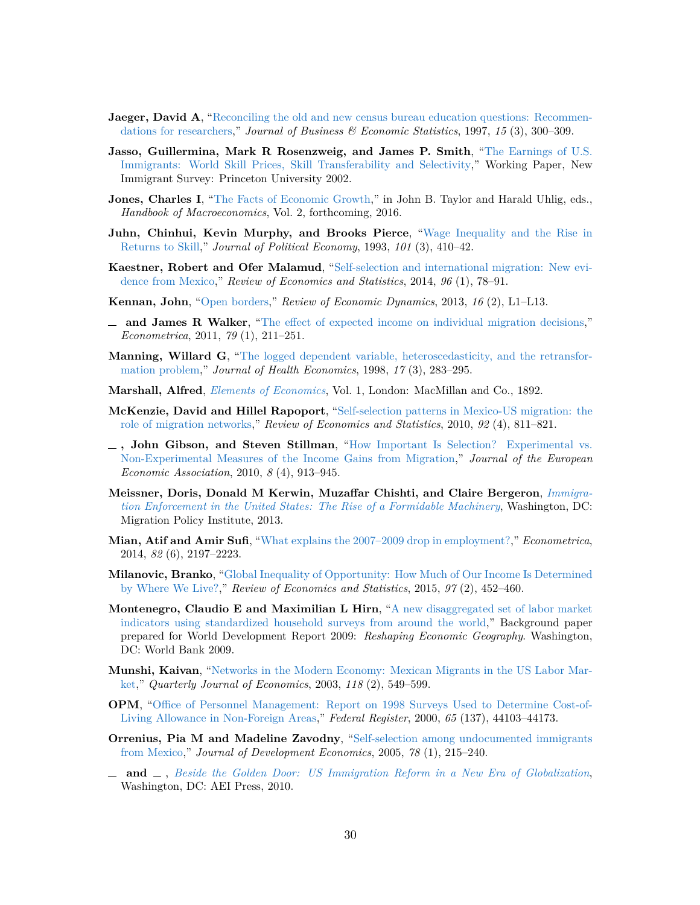- <span id="page-32-18"></span>**Jaeger, David A**, ["Reconciling the old and new census bureau education questions: Recommen](http://dx.doi.org/10.1080/07350015.1997.10524708)[dations for researchers,](http://dx.doi.org/10.1080/07350015.1997.10524708)" *Journal of Business & Economic Statistics*, 1997, *15* (3), 300–309.
- <span id="page-32-10"></span>**Jasso, Guillermina, Mark R Rosenzweig, and James P. Smith**, ["The Earnings of U.S.](http://nis.princeton.edu/downloads/papers/earnings.pdf) [Immigrants: World Skill Prices, Skill Transferability and Selectivity,](http://nis.princeton.edu/downloads/papers/earnings.pdf)" Working Paper, New Immigrant Survey: Princeton University 2002.
- <span id="page-32-16"></span>**Jones, Charles I**, ["The Facts of Economic Growth,](http://dx.doi.org/10.3386/w21142)" in John B. Taylor and Harald Uhlig, eds., *Handbook of Macroeconomics*, Vol. 2, forthcoming, 2016.
- <span id="page-32-8"></span>**Juhn, Chinhui, Kevin Murphy, and Brooks Pierce**, ["Wage Inequality and the Rise in](http://dx.doi.org/10.1086/261881) [Returns to Skill,](http://dx.doi.org/10.1086/261881)" *Journal of Political Economy*, 1993, *101* (3), 410–42.
- <span id="page-32-4"></span>**Kaestner, Robert and Ofer Malamud**, ["Self-selection and international migration: New evi](http://dx.doi.org/10.1162/REST_a_00375)[dence from Mexico,](http://dx.doi.org/10.1162/REST_a_00375)" *Review of Economics and Statistics*, 2014, *96* (1), 78–91.
- <span id="page-32-0"></span>**Kennan, John**, ["Open borders,](http://dx.doi.org/10.1016/j.red.2012.08.003)" *Review of Economic Dynamics*, 2013, *16* (2), L1–L13.
- <span id="page-32-15"></span>**and James R Walker**, ["The effect of expected income on individual migration decisions,](http://dx.doi.org/10.3982/ECTA4657)" *Econometrica*, 2011, *79* (1), 211–251.
- <span id="page-32-5"></span>**Manning, Willard G**, ["The logged dependent variable, heteroscedasticity, and the retransfor](http://dx.doi.org/10.1016/S0167-6296(98)00025-3)[mation problem,](http://dx.doi.org/10.1016/S0167-6296(98)00025-3)" *Journal of Health Economics*, 1998, *17* (3), 283–295.
- <span id="page-32-11"></span>**Marshall, Alfred**, *[Elements of Economics](http://www.worldcat.org/oclc/916529744)*, Vol. 1, London: MacMillan and Co., 1892.
- <span id="page-32-9"></span>**McKenzie, David and Hillel Rapoport**, ["Self-selection patterns in Mexico-US migration: the](http://dx.doi.org/10.1162/REST_a_00032) [role of migration networks,](http://dx.doi.org/10.1162/REST_a_00032)" *Review of Economics and Statistics*, 2010, *92* (4), 811–821.
- <span id="page-32-17"></span>**, John Gibson, and Steven Stillman**, ["How Important Is Selection? Experimental vs.](http://dx.doi.org/10.1111/j.1542-4774.2010.tb00544.x) [Non-Experimental Measures of the Income Gains from Migration,](http://dx.doi.org/10.1111/j.1542-4774.2010.tb00544.x)" *Journal of the European Economic Association*, 2010, *8* (4), 913–945.
- <span id="page-32-13"></span>**Meissner, Doris, Donald M Kerwin, Muzaffar Chishti, and Claire Bergeron**, *[Immigra](http://www.migrationpolicy.org/research/immigration-enforcement-united-states-rise-formidable-machinery)[tion Enforcement in the United States: The Rise of a Formidable Machinery](http://www.migrationpolicy.org/research/immigration-enforcement-united-states-rise-formidable-machinery)*, Washington, DC: Migration Policy Institute, 2013.
- <span id="page-32-7"></span>**Mian, Atif and Amir Sufi**, ["What explains the 2007–2009 drop in employment?,](http://dx.doi.org/10.3982/ECTA10451)" *Econometrica*, 2014, *82* (6), 2197–2223.
- <span id="page-32-1"></span>**Milanovic, Branko**, ["Global Inequality of Opportunity: How Much of Our Income Is Determined](http://dx.doi.org/10.1162/REST_a_00432) [by Where We Live?,](http://dx.doi.org/10.1162/REST_a_00432)" *Review of Economics and Statistics*, 2015, *97* (2), 452–460.
- <span id="page-32-2"></span>**Montenegro, Claudio E and Maximilian L Hirn**, ["A new disaggregated set of labor market](https://openknowledge.worldbank.org/bitstream/handle/10986/9033/WDR2009_0015.pdf) [indicators using standardized household surveys from around the world,](https://openknowledge.worldbank.org/bitstream/handle/10986/9033/WDR2009_0015.pdf)" Background paper prepared for World Development Report 2009: *Reshaping Economic Geography*. Washington, DC: World Bank 2009.
- <span id="page-32-12"></span>**Munshi, Kaivan**, ["Networks in the Modern Economy: Mexican Migrants in the US Labor Mar](http://dx.doi.org/10.1162/003355303321675455)[ket,](http://dx.doi.org/10.1162/003355303321675455)" *Quarterly Journal of Economics*, 2003, *118* (2), 549–599.
- <span id="page-32-14"></span>**OPM**, ["Office of Personnel Management: Report on 1998 Surveys Used to Determine Cost-of-](https://www.federalregister.gov/articles/2000/07/17/00-17570/cost-of-living-allowances-in-nonforeign-areas)[Living Allowance in Non-Foreign Areas,](https://www.federalregister.gov/articles/2000/07/17/00-17570/cost-of-living-allowances-in-nonforeign-areas)" *Federal Register*, 2000, *65* (137), 44103–44173.
- <span id="page-32-3"></span>**Orrenius, Pia M and Madeline Zavodny**, ["Self-selection among undocumented immigrants](http://dx.doi.org/10.1016/j.jdeveco.2004.07.001) [from Mexico,](http://dx.doi.org/10.1016/j.jdeveco.2004.07.001)" *Journal of Development Economics*, 2005, *78* (1), 215–240.
- <span id="page-32-6"></span>**and**  $\Box$ , *[Beside the Golden Door: US Immigration Reform in a New Era of Globalization](http://www.worldcat.org/oclc/929809026)*, Washington, DC: AEI Press, 2010.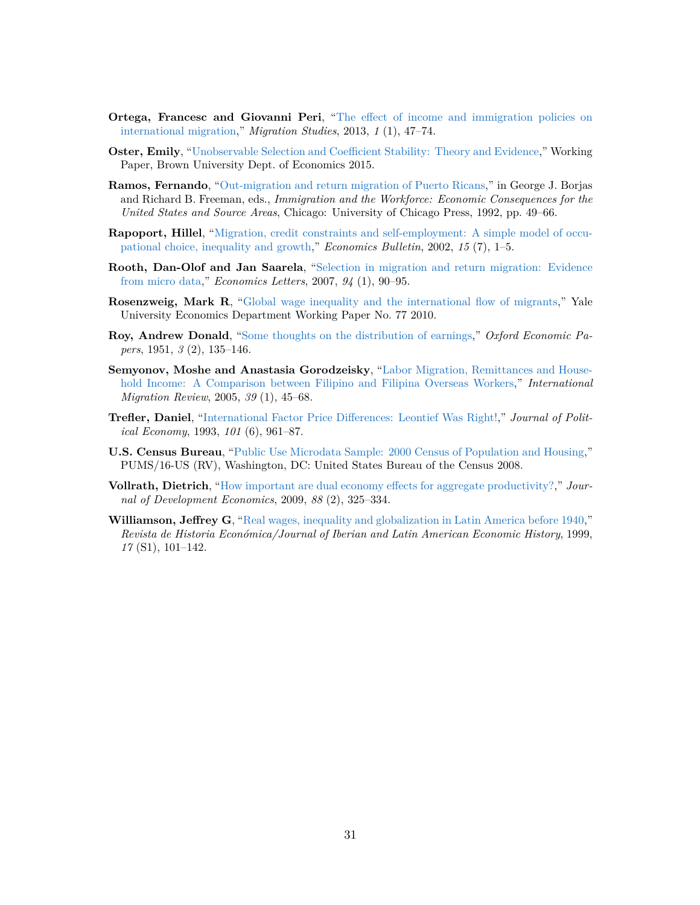- <span id="page-33-6"></span>**Ortega, Francesc and Giovanni Peri**, ["The effect of income and immigration policies on](http://dx.doi.org/10.1093/migration/mns004) [international migration,](http://dx.doi.org/10.1093/migration/mns004)" *Migration Studies*, 2013, *1* (1), 47–74.
- <span id="page-33-4"></span>**Oster, Emily**, ["Unobservable Selection and Coefficient Stability: Theory and Evidence,](https://www.brown.edu/research/projects/oster/sites/brown.edu.research.projects.oster/files/uploads/Unobservable_Selection_and_Coefficient_Stability.pdf)" Working Paper, Brown University Dept. of Economics 2015.
- <span id="page-33-7"></span>**Ramos, Fernando**, ["Out-migration and return migration of Puerto Ricans,](http://www.nber.org/books/borj92-1)" in George J. Borjas and Richard B. Freeman, eds., *Immigration and the Workforce: Economic Consequences for the United States and Source Areas*, Chicago: University of Chicago Press, 1992, pp. 49–66.
- <span id="page-33-5"></span>**Rapoport, Hillel**, ["Migration, credit constraints and self-employment: A simple model of occu](http://accessecon.com/pubs/EB/2002/Volume15/EB-02O10004A.pdf)[pational choice, inequality and growth,](http://accessecon.com/pubs/EB/2002/Volume15/EB-02O10004A.pdf)" *Economics Bulletin*, 2002, *15* (7), 1–5.
- <span id="page-33-10"></span>**Rooth, Dan-Olof and Jan Saarela**, ["Selection in migration and return migration: Evidence](http://dx.doi.org/10.1016/j.econlet.2006.08.006) [from micro data,](http://dx.doi.org/10.1016/j.econlet.2006.08.006)" *Economics Letters*, 2007, *94* (1), 90–95.
- <span id="page-33-0"></span>**Rosenzweig, Mark R**, ["Global wage inequality and the international flow of migrants,](http://dx.doi.org/10.2139/ssrn.1539670)" Yale University Economics Department Working Paper No. 77 2010.
- <span id="page-33-3"></span>**Roy, Andrew Donald**, ["Some thoughts on the distribution of earnings,](http://www.jstor.org/stable/2662082)" *Oxford Economic Papers*, 1951, *3* (2), 135–146.
- <span id="page-33-2"></span>**Semyonov, Moshe and Anastasia Gorodzeisky**, ["Labor Migration, Remittances and House](http://dx.doi.org/10.1111/j.1747-7379.2005.tb00255.x)[hold Income: A Comparison between Filipino and Filipina Overseas Workers,](http://dx.doi.org/10.1111/j.1747-7379.2005.tb00255.x)" *International Migration Review*, 2005, *39* (1), 45–68.
- <span id="page-33-9"></span>**Trefler, Daniel**, ["International Factor Price Differences: Leontief Was Right!,](http://dx.doi.org/10.1086/261911)" *Journal of Political Economy*, 1993, *101* (6), 961–87.
- <span id="page-33-1"></span>**U.S. Census Bureau**, ["Public Use Microdata Sample: 2000 Census of Population and Housing,](https://www.census.gov/prod/cen2000/doc/pums.pdf)" PUMS/16-US (RV), Washington, DC: United States Bureau of the Census 2008.
- <span id="page-33-11"></span>**Vollrath, Dietrich**, ["How important are dual economy effects for aggregate productivity?,](http://dx.doi.org/10.1016/j.jdeveco.2008.03.004)" *Journal of Development Economics*, 2009, *88* (2), 325–334.
- <span id="page-33-8"></span>**Williamson, Jeffrey G**, ["Real wages, inequality and globalization in Latin America before 1940,](http://dx.doi.org/10.1017/S0212610900002287)" *Revista de Historia Económica/Journal of Iberian and Latin American Economic History*, 1999, *17* (S1), 101–142.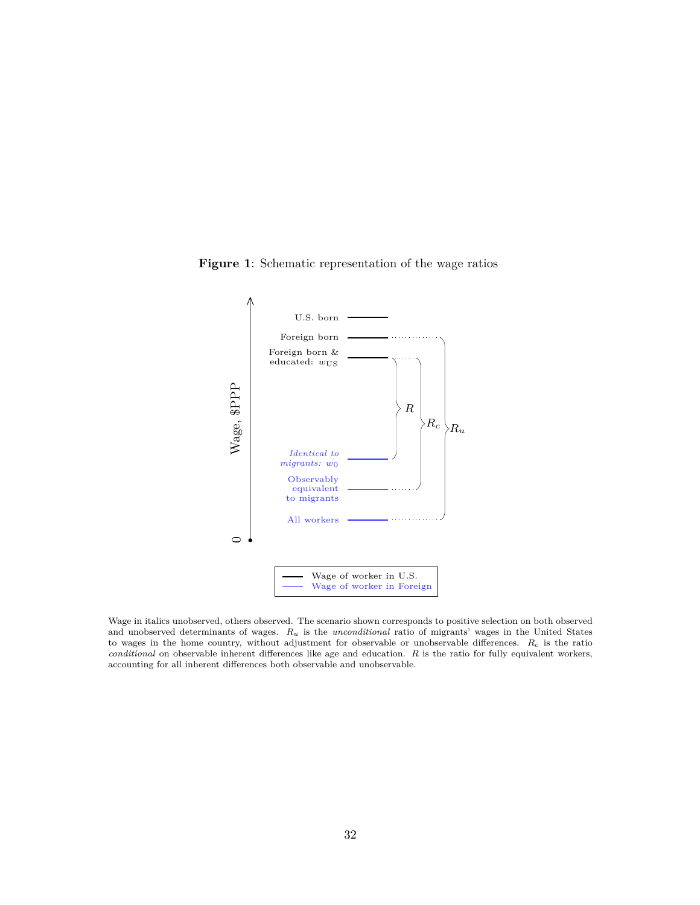

<span id="page-34-0"></span>**Figure 1**: Schematic representation of the wage ratios

Wage in italics unobserved, others observed. The scenario shown corresponds to positive selection on both observed and unobserved determinants of wages. *Ru* is the *unconditional* ratio of migrants' wages in the United States to wages in the home country, without adjustment for observable or unobservable differences. *Rc* is the ratio *conditional* on observable inherent differences like age and education. *R* is the ratio for fully equivalent workers, accounting for all inherent differences both observable and unobservable.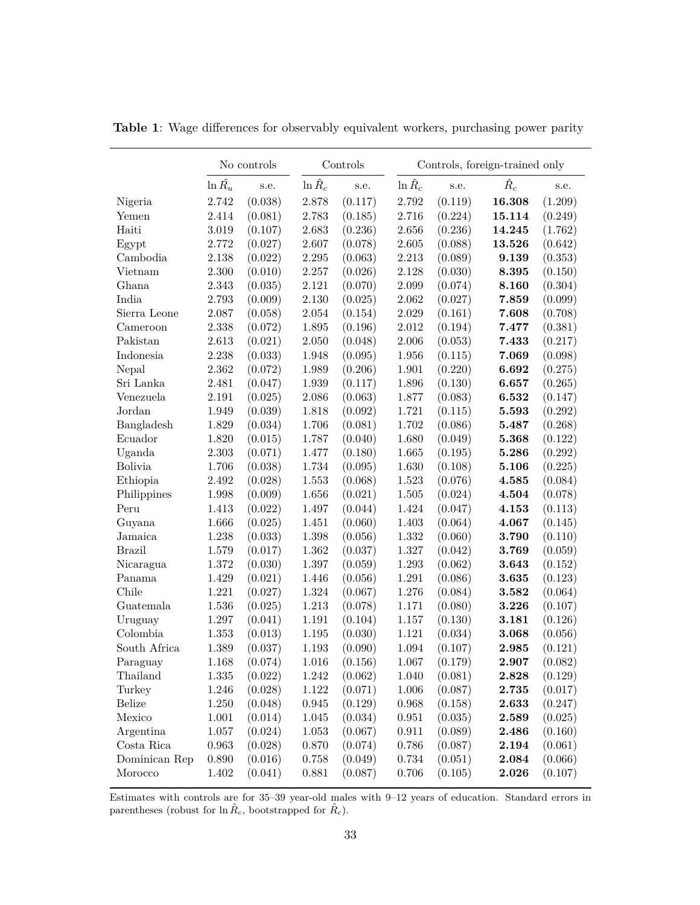|                        |                 | No controls |                 | Controls |                 |         | Controls, foreign-trained only |         |
|------------------------|-----------------|-------------|-----------------|----------|-----------------|---------|--------------------------------|---------|
|                        | $\ln \hat{R_u}$ | s.e.        | $\ln \hat{R}_c$ | s.e.     | $\ln \hat{R}_c$ | s.e.    | $\hat{R}_c$                    | s.e.    |
| Nigeria                | 2.742           | (0.038)     | 2.878           | (0.117)  | 2.792           | (0.119) | 16.308                         | (1.209) |
| Yemen                  | 2.414           | (0.081)     | 2.783           | (0.185)  | 2.716           | (0.224) | 15.114                         | (0.249) |
| Haiti                  | 3.019           | (0.107)     | 2.683           | (0.236)  | 2.656           | (0.236) | 14.245                         | (1.762) |
| Egypt                  | 2.772           | (0.027)     | 2.607           | (0.078)  | 2.605           | (0.088) | 13.526                         | (0.642) |
| Cambodia               | 2.138           | (0.022)     | 2.295           | (0.063)  | 2.213           | (0.089) | 9.139                          | (0.353) |
| Vietnam                | 2.300           | (0.010)     | 2.257           | (0.026)  | 2.128           | (0.030) | 8.395                          | (0.150) |
| Ghana                  | 2.343           | (0.035)     | 2.121           | (0.070)  | 2.099           | (0.074) | 8.160                          | (0.304) |
| India                  | 2.793           | (0.009)     | 2.130           | (0.025)  | 2.062           | (0.027) | 7.859                          | (0.099) |
| Sierra Leone           | 2.087           | (0.058)     | $2.054\,$       | (0.154)  | 2.029           | (0.161) | 7.608                          | (0.708) |
| Cameroon               | 2.338           | (0.072)     | 1.895           | (0.196)  | 2.012           | (0.194) | 7.477                          | (0.381) |
| Pakistan               | 2.613           | (0.021)     | 2.050           | (0.048)  | $2.006\,$       | (0.053) | 7.433                          | (0.217) |
| Indonesia              | 2.238           | (0.033)     | 1.948           | (0.095)  | 1.956           | (0.115) | 7.069                          | (0.098) |
| Nepal                  | 2.362           | (0.072)     | 1.989           | (0.206)  | 1.901           | (0.220) | 6.692                          | (0.275) |
| Sri Lanka              | 2.481           | (0.047)     | 1.939           | (0.117)  | 1.896           | (0.130) | 6.657                          | (0.265) |
| Venezuela              | 2.191           | (0.025)     | 2.086           | (0.063)  | 1.877           | (0.083) | 6.532                          | (0.147) |
| Jordan                 | 1.949           | (0.039)     | 1.818           | (0.092)  | 1.721           | (0.115) | 5.593                          | (0.292) |
| Bangladesh             | 1.829           | (0.034)     | 1.706           | (0.081)  | 1.702           | (0.086) | 5.487                          | (0.268) |
| Ecuador                | 1.820           | (0.015)     | 1.787           | (0.040)  | 1.680           | (0.049) | 5.368                          | (0.122) |
| Uganda                 | 2.303           | (0.071)     | 1.477           | (0.180)  | 1.665           | (0.195) | 5.286                          | (0.292) |
| <b>Bolivia</b>         | 1.706           | (0.038)     | 1.734           | (0.095)  | 1.630           | (0.108) | 5.106                          | (0.225) |
| Ethiopia               | 2.492           | (0.028)     | 1.553           | (0.068)  | 1.523           | (0.076) | 4.585                          | (0.084) |
| Philippines            | 1.998           | (0.009)     | 1.656           | (0.021)  | 1.505           | (0.024) | 4.504                          | (0.078) |
| Peru                   | 1.413           | (0.022)     | 1.497           | (0.044)  | 1.424           | (0.047) | 4.153                          | (0.113) |
| Guyana                 | 1.666           | (0.025)     | 1.451           | (0.060)  | 1.403           | (0.064) | 4.067                          | (0.145) |
| Jamaica                | 1.238           | (0.033)     | 1.398           | (0.056)  | 1.332           | (0.060) | 3.790                          | (0.110) |
| <b>Brazil</b>          | 1.579           | (0.017)     | 1.362           | (0.037)  | 1.327           | (0.042) | 3.769                          | (0.059) |
| Nicaragua              | 1.372           | (0.030)     | 1.397           | (0.059)  | 1.293           | (0.062) | 3.643                          | (0.152) |
| Panama                 | 1.429           | (0.021)     | 1.446           | (0.056)  | 1.291           | (0.086) | 3.635                          | (0.123) |
| Chile                  | 1.221           | (0.027)     | 1.324           | (0.067)  | 1.276           | (0.084) | 3.582                          | (0.064) |
| Guatemala              | 1.536           | (0.025)     | 1.213           | (0.078)  | 1.171           | (0.080) | 3.226                          | (0.107) |
| Uruguay                | 1.297           | (0.041)     | $1.191\,$       | (0.104)  | 1.157           | (0.130) | 3.181                          | (0.126) |
| Colombia               | 1.353           | (0.013)     | 1.195           | (0.030)  | 1.121           | (0.034) | 3.068                          | (0.056) |
| South Africa           | 1.389           | (0.037)     | 1.193           | (0.090)  | 1.094           | (0.107) | 2.985                          | (0.121) |
| Paraguay               | 1.168           | (0.074)     | 1.016           | (0.156)  | 1.067           | (0.179) | 2.907                          | (0.082) |
| Thailand               | 1.335           | (0.022)     | 1.242           | (0.062)  | 1.040           | (0.081) | 2.828                          | (0.129) |
| Turkey                 | 1.246           | (0.028)     | 1.122           | (0.071)  | 1.006           | (0.087) | 2.735                          | (0.017) |
| <b>Belize</b>          | 1.250           | (0.048)     | 0.945           | (0.129)  | 0.968           | (0.158) | 2.633                          | (0.247) |
| Mexico                 | 1.001           | (0.014)     | 1.045           | (0.034)  | 0.951           | (0.035) | 2.589                          | (0.025) |
| Argentina              | 1.057           | (0.024)     | 1.053           | (0.067)  | 0.911           | (0.089) | 2.486                          | (0.160) |
| $\rm Costa$ $\rm Rica$ | 0.963           | (0.028)     | 0.870           | (0.074)  | 0.786           | (0.087) | 2.194                          | (0.061) |
| Dominican Rep          | 0.890           | (0.016)     | 0.758           | (0.049)  | 0.734           | (0.051) | 2.084                          | (0.066) |
| Morocco                | 1.402           | (0.041)     | 0.881           | (0.087)  | 0.706           | (0.105) | 2.026                          | (0.107) |

<span id="page-35-0"></span>**Table 1**: Wage differences for observably equivalent workers, purchasing power parity

Estimates with controls are for 35–39 year-old males with 9–12 years of education. Standard errors in parentheses (robust for  $\ln \hat{R}_c$ , bootstrapped for  $\hat{R}_c$ ).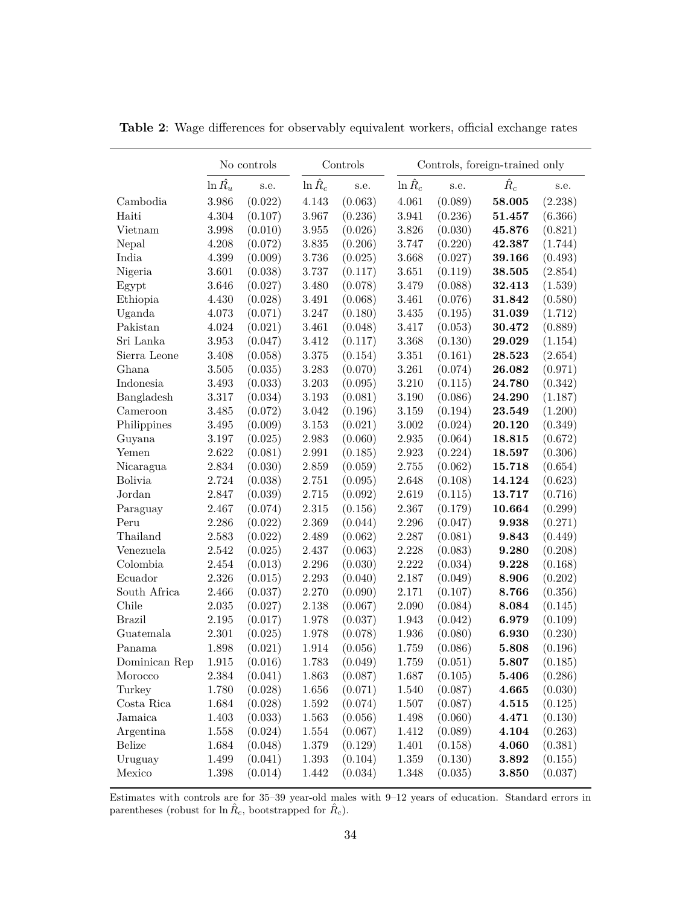|                                      |                 | No controls |                 | Controls |                 | Controls, foreign-trained only |             |         |
|--------------------------------------|-----------------|-------------|-----------------|----------|-----------------|--------------------------------|-------------|---------|
|                                      | $\ln \hat{R_u}$ | s.e.        | $\ln \hat{R}_c$ | s.e.     | $\ln \hat{R}_c$ | s.e.                           | $\hat{R}_c$ | s.e.    |
| Cambodia                             | 3.986           | (0.022)     | 4.143           | (0.063)  | 4.061           | (0.089)                        | 58.005      | (2.238) |
| Haiti                                | 4.304           | (0.107)     | 3.967           | (0.236)  | 3.941           | (0.236)                        | 51.457      | (6.366) |
| Vietnam                              | 3.998           | (0.010)     | $3.955\,$       | (0.026)  | 3.826           | (0.030)                        | 45.876      | (0.821) |
| Nepal                                | 4.208           | (0.072)     | 3.835           | (0.206)  | 3.747           | (0.220)                        | 42.387      | (1.744) |
| India                                | 4.399           | (0.009)     | 3.736           | (0.025)  | 3.668           | (0.027)                        | 39.166      | (0.493) |
| Nigeria                              | 3.601           | (0.038)     | 3.737           | (0.117)  | 3.651           | (0.119)                        | 38.505      | (2.854) |
| Egypt                                | 3.646           | (0.027)     | 3.480           | (0.078)  | 3.479           | (0.088)                        | 32.413      | (1.539) |
| Ethiopia                             | 4.430           | (0.028)     | 3.491           | (0.068)  | 3.461           | (0.076)                        | 31.842      | (0.580) |
| Uganda                               | 4.073           | (0.071)     | 3.247           | (0.180)  | 3.435           | (0.195)                        | 31.039      | (1.712) |
| Pakistan                             | 4.024           | (0.021)     | 3.461           | (0.048)  | 3.417           | (0.053)                        | 30.472      | (0.889) |
| Sri Lanka                            | 3.953           | (0.047)     | 3.412           | (0.117)  | 3.368           | (0.130)                        | 29.029      | (1.154) |
| Sierra Leone                         | 3.408           | (0.058)     | $3.375\,$       | (0.154)  | 3.351           | (0.161)                        | 28.523      | (2.654) |
| Ghana                                | $3.505\,$       | (0.035)     | 3.283           | (0.070)  | 3.261           | (0.074)                        | 26.082      | (0.971) |
| Indonesia                            | 3.493           | (0.033)     | 3.203           | (0.095)  | 3.210           | (0.115)                        | 24.780      | (0.342) |
| Bangladesh                           | 3.317           | (0.034)     | $3.193\,$       | (0.081)  | 3.190           | (0.086)                        | 24.290      | (1.187) |
| Cameroon                             | $3.485\,$       | (0.072)     | 3.042           | (0.196)  | 3.159           | (0.194)                        | 23.549      | (1.200) |
| Philippines                          | $3.495\,$       | (0.009)     | $3.153\,$       | (0.021)  | 3.002           | (0.024)                        | 20.120      | (0.349) |
| Guyana                               | $3.197\,$       | (0.025)     | $2.983\,$       | (0.060)  | 2.935           | (0.064)                        | 18.815      | (0.672) |
| Yemen                                | 2.622           | (0.081)     | 2.991           | (0.185)  | 2.923           | (0.224)                        | 18.597      | (0.306) |
| Nicaragua                            | 2.834           | (0.030)     | 2.859           | (0.059)  | 2.755           | (0.062)                        | 15.718      | (0.654) |
| <b>Bolivia</b>                       | 2.724           | (0.038)     | 2.751           | (0.095)  | 2.648           | (0.108)                        | 14.124      | (0.623) |
| Jordan                               | 2.847           | (0.039)     | 2.715           | (0.092)  | 2.619           | (0.115)                        | 13.717      | (0.716) |
| Paraguay                             | 2.467           | (0.074)     | 2.315           | (0.156)  | 2.367           | (0.179)                        | 10.664      | (0.299) |
| Peru                                 | $2.286\,$       | (0.022)     | 2.369           | (0.044)  | 2.296           | (0.047)                        | 9.938       | (0.271) |
| Thailand                             | 2.583           | (0.022)     | 2.489           | (0.062)  | 2.287           | (0.081)                        | 9.843       | (0.449) |
| Venezuela                            | 2.542           | (0.025)     | 2.437           | (0.063)  | 2.228           | (0.083)                        | 9.280       | (0.208) |
| Colombia                             | 2.454           | (0.013)     | 2.296           | (0.030)  | 2.222           | (0.034)                        | 9.228       | (0.168) |
| Ecuador                              | 2.326           | (0.015)     | 2.293           | (0.040)  | 2.187           | (0.049)                        | 8.906       | (0.202) |
| South Africa                         | 2.466           | (0.037)     | 2.270           | (0.090)  | 2.171           | (0.107)                        | 8.766       | (0.356) |
| Chile                                | 2.035           | (0.027)     | 2.138           | (0.067)  | 2.090           | (0.084)                        | 8.084       | (0.145) |
| <b>Brazil</b>                        | 2.195           | (0.017)     | 1.978           | (0.037)  | 1.943           | (0.042)                        | 6.979       | (0.109) |
| Guatemala                            | 2.301           | (0.025)     | 1.978           | (0.078)  | 1.936           | (0.080)                        | 6.930       | (0.230) |
| Panama                               | 1.898           | (0.021)     | 1.914           | (0.056)  | 1.759           | (0.086)                        | 5.808       | (0.196) |
| $\label{eq:1} {\rm Dominican\; Rep}$ | 1.915           | (0.016)     | 1.783           | (0.049)  | 1.759           | (0.051)                        | 5.807       | (0.185) |
| Morocco                              | 2.384           | (0.041)     | 1.863           | (0.087)  | 1.687           | (0.105)                        | 5.406       | (0.286) |
| Turkey                               | 1.780           | (0.028)     | 1.656           | (0.071)  | 1.540           | (0.087)                        | 4.665       | (0.030) |
| $\rm Costa$ $\rm Rica$               | 1.684           | (0.028)     | 1.592           | (0.074)  | 1.507           | (0.087)                        | 4.515       | (0.125) |
| Jamaica                              | 1.403           | (0.033)     | 1.563           | (0.056)  | 1.498           | (0.060)                        | 4.471       | (0.130) |
| Argentina                            | 1.558           | (0.024)     | 1.554           | (0.067)  | 1.412           | (0.089)                        | 4.104       | (0.263) |
| <b>Belize</b>                        | 1.684           | (0.048)     | 1.379           | (0.129)  | 1.401           | (0.158)                        | 4.060       | (0.381) |
| Uruguay                              | 1.499           | (0.041)     | 1.393           | (0.104)  | 1.359           | (0.130)                        | 3.892       | (0.155) |
| Mexico                               | 1.398           | (0.014)     | 1.442           | (0.034)  | 1.348           | (0.035)                        | 3.850       | (0.037) |

<span id="page-36-0"></span>**Table 2**: Wage differences for observably equivalent workers, official exchange rates

Estimates with controls are for 35–39 year-old males with 9–12 years of education. Standard errors in parentheses (robust for  $\ln \hat{R}_c$ , bootstrapped for  $\hat{R}_c$ ).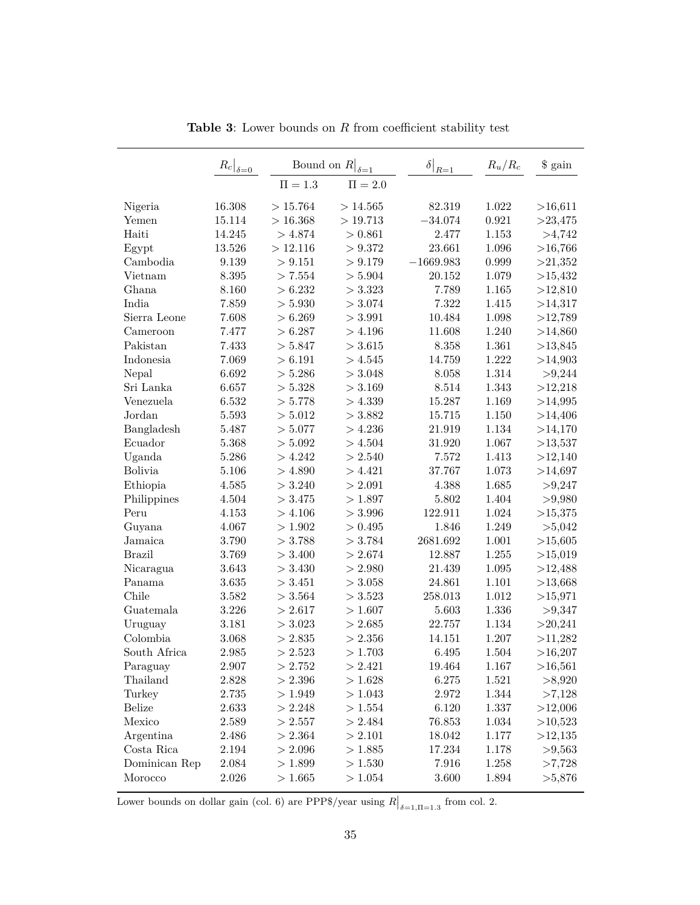<span id="page-37-0"></span>

|                | $\left. R_c \right _{\delta \underline{=0}}$ | Bound on $R$<br>$\delta = 1$ |             | $\delta$<br>$R=1$ | $R_u/R_c$ | \$ gain    |
|----------------|----------------------------------------------|------------------------------|-------------|-------------------|-----------|------------|
|                |                                              | $\Pi = 1.3$                  | $\Pi = 2.0$ |                   |           |            |
| Nigeria        | 16.308                                       | >15.764                      | >14.565     | 82.319            | 1.022     | >16,611    |
| Yemen          | 15.114                                       | > 16.368                     | >19.713     | $-34.074$         | 0.921     | $>$ 23,475 |
| Haiti          | 14.245                                       | > 4.874                      | > 0.861     | 2.477             | 1.153     | >4,742     |
| Egypt          | 13.526                                       | >12.116                      | > 9.372     | $23.661\,$        | 1.096     | >16,766    |
| Cambodia       | 9.139                                        | > 9.151                      | > 9.179     | $-1669.983$       | 0.999     | >21,352    |
| Vietnam        | 8.395                                        | > 7.554                      | > 5.904     | 20.152            | 1.079     | >15,432    |
| Ghana          | 8.160                                        | > 6.232                      | > 3.323     | 7.789             | 1.165     | >12,810    |
| India          | 7.859                                        | > 5.930                      | > 3.074     | 7.322             | 1.415     | >14,317    |
| Sierra Leone   | 7.608                                        | > 6.269                      | > 3.991     | 10.484            | 1.098     | >12,789    |
| Cameroon       | 7.477                                        | > 6.287                      | > 4.196     | 11.608            | 1.240     | >14,860    |
| Pakistan       | 7.433                                        | > 5.847                      | > 3.615     | 8.358             | 1.361     | >13,845    |
| Indonesia      | 7.069                                        | > 6.191                      | > 4.545     | 14.759            | 1.222     | >14,903    |
| Nepal          | 6.692                                        | > 5.286                      | > 3.048     | 8.058             | 1.314     | >9,244     |
| Sri Lanka      | 6.657                                        | > 5.328                      | > 3.169     | 8.514             | 1.343     | >12,218    |
| Venezuela      | 6.532                                        | > 5.778                      | > 4.339     | 15.287            | 1.169     | >14,995    |
| Jordan         | 5.593                                        | > 5.012                      | > 3.882     | 15.715            | 1.150     | >14,406    |
| Bangladesh     | 5.487                                        | > 5.077                      | > 4.236     | 21.919            | 1.134     | >14,170    |
| Ecuador        | 5.368                                        | > 5.092                      | > 4.504     | 31.920            | 1.067     | >13,537    |
| Uganda         | 5.286                                        | > 4.242                      | > 2.540     | 7.572             | 1.413     | >12,140    |
| <b>Bolivia</b> | 5.106                                        | > 4.890                      | > 4.421     | 37.767            | 1.073     | >14,697    |
| Ethiopia       | 4.585                                        | > 3.240                      | > 2.091     | 4.388             | 1.685     | >9,247     |
| Philippines    | 4.504                                        | > 3.475                      | >1.897      | 5.802             | 1.404     | >9,980     |
| Peru           | 4.153                                        | > 4.106                      | > 3.996     | 122.911           | 1.024     | >15,375    |
| Guyana         | 4.067                                        | >1.902                       | > 0.495     | 1.846             | 1.249     | > 5,042    |
| Jamaica        | 3.790                                        | > 3.788                      | > 3.784     | 2681.692          | $1.001\,$ | >15,605    |
| <b>Brazil</b>  | 3.769                                        | > 3.400                      | > 2.674     | 12.887            | 1.255     | >15,019    |
| Nicaragua      | 3.643                                        | > 3.430                      | > 2.980     | 21.439            | 1.095     | >12,488    |
| Panama         | 3.635                                        | > 3.451                      | > 3.058     | 24.861            | 1.101     | >13,668    |
| Chile          | 3.582                                        | > 3.564                      | > 3.523     | 258.013           | 1.012     | >15,971    |
| Guatemala      | 3.226                                        | > 2.617                      | >1.607      | 5.603             | 1.336     | > 9,347    |
| Uruguay        | 3.181                                        | > 3.023                      | > 2.685     | 22.757            | 1.134     | >20,241    |
| Colombia       | 3.068                                        | > 2.835                      | > 2.356     | 14.151            | 1.207     | >11,282    |
| South Africa   | 2.985                                        | > 2.523                      | >1.703      | 6.495             | 1.504     | >16,207    |
| Paraguay       | 2.907                                        | > 2.752                      | > 2.421     | 19.464            | $1.167\,$ | >16,561    |
| Thailand       | 2.828                                        | > 2.396                      | >1.628      | 6.275             | 1.521     | >8,920     |
| Turkey         | 2.735                                        | > 1.949                      | >1.043      | 2.972             | 1.344     | >7,128     |
| <b>Belize</b>  | 2.633                                        | > 2.248                      | >1.554      | 6.120             | 1.337     | >12,006    |
| Mexico         | 2.589                                        | > 2.557                      | > 2.484     | 76.853            | 1.034     | >10,523    |
| Argentina      | 2.486                                        | > 2.364                      | > 2.101     | 18.042            | 1.177     | >12,135    |
| Costa Rica     | 2.194                                        | > 2.096                      | > 1.885     | 17.234            | 1.178     | > 9,563    |
| Dominican Rep  | 2.084                                        | > 1.899                      | >1.530      | 7.916             | 1.258     | >7,728     |
| Morocco        | 2.026                                        | >1.665                       | >1.054      | 3.600             | 1.894     | >5,876     |

**Table 3**: Lower bounds on *R* from coefficient stability test

Lower bounds on dollar gain (col. 6) are PPP\$/year using  $R|_{\delta=1,\Pi=1.3}$  from col. 2.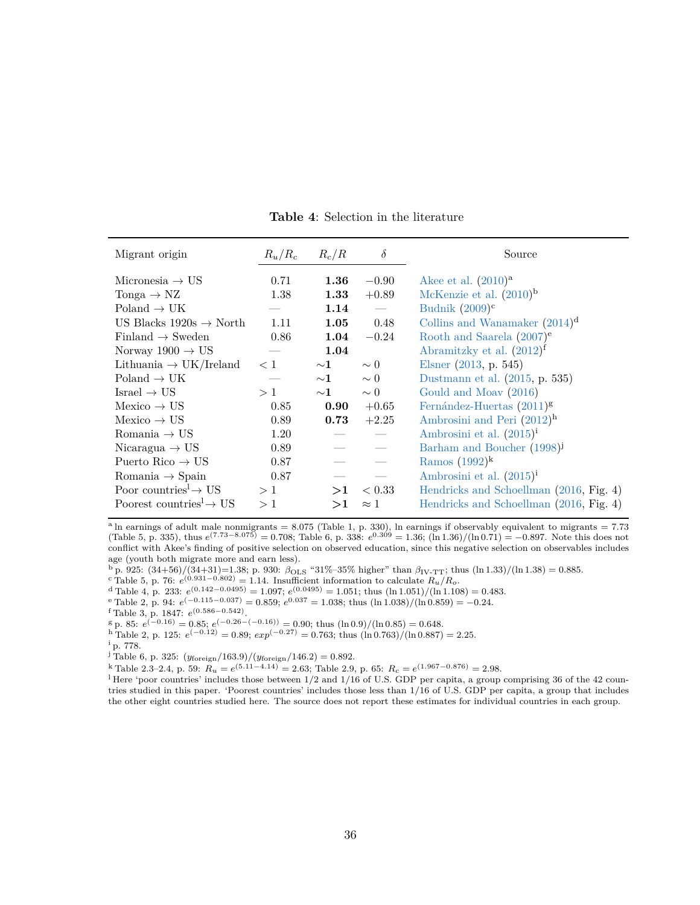<span id="page-38-0"></span>

| Migrant origin                                  | $R_u/R_c$ | $R_c/R$     | $\delta$                 | Source                                  |
|-------------------------------------------------|-----------|-------------|--------------------------|-----------------------------------------|
| Micronesia $\rightarrow$ US                     | 0.71      | 1.36        | $-0.90$                  | Akee et al. $(2010)a$                   |
| Tonga $\rightarrow$ NZ                          | 1.38      | 1.33        | $+0.89$                  | McKenzie et al. $(2010)^{b}$            |
| Poland $\rightarrow$ UK                         |           | 1.14        | $\overline{\phantom{m}}$ | Budnik $(2009)^c$                       |
| US Blacks $1920s \rightarrow North$             | 1.11      | 1.05        | 0.48                     | Collins and Wanamaker $(2014)^d$        |
| Finland $\rightarrow$ Sweden                    | 0.86      | 1.04        | $-0.24$                  | Rooth and Saarela $(2007)^e$            |
| Norway $1900 \rightarrow US$                    |           | 1.04        |                          | Abramitzky et al. $(2012)^f$            |
| Lithuania $\rightarrow$ UK/Ireland              | < 1       | ${\sim}1$   | $\sim 0$                 | Elsner $(2013, p. 545)$                 |
| $Poland \rightarrow UK$                         |           | $\sim\!\!1$ | $\sim 0$                 | Dustmann et al. (2015, p. 535)          |
| Israel $\rightarrow$ US                         | >1        | ${\sim}1$   | $\sim 0$                 | Gould and Moav (2016)                   |
| $Mexico \rightarrow US$                         | 0.85      | 0.90        | $+0.65$                  | Fernández-Huertas $(2011)^{g}$          |
| $Mexico \rightarrow US$                         | 0.89      | 0.73        | $+2.25$                  | Ambrosini and Peri $(2012)^h$           |
| Romania $\rightarrow$ US                        | 1.20      |             | $\overline{\phantom{a}}$ | Ambrosini et al. $(2015)^{i}$           |
| Nicaragua $\rightarrow$ US                      | 0.89      |             | $\overline{\phantom{a}}$ | Barham and Boucher (1998) <sup>j</sup>  |
| Puerto Rico $\rightarrow$ US                    | 0.87      |             |                          | Ramos $(1992)^k$                        |
| Romania $\rightarrow$ Spain                     | 0.87      |             |                          | Ambrosini et al. $(2015)^{i}$           |
| Poor countries <sup>1</sup> $\rightarrow$ US    | >1        | >1          | < 0.33                   | Hendricks and Schoellman (2016, Fig. 4) |
| Poorest countries <sup>1</sup> $\rightarrow$ US | >1        | >1          | $\approx 1$              | Hendricks and Schoellman (2016, Fig. 4) |

**Table 4**: Selection in the literature

<sup>a</sup> ln earnings of adult male nonmigrants = 8.075 (Table 1, p. 330), ln earnings if observably equivalent to migrants = 7.73  $(Table 5, p. 335),$  thus  $e^{(7.73-8.075)} = 0.708$ ; Table 6, p. 338:  $e^{0.309} = 1.36$ ;  $(\ln 1.36)/( \ln 0.71) = -0.897$ . Note this does not conflict with Akee's finding of positive selection on observed education, since this negative selection on observables includes age (youth both migrate more and earn less).

<sup>b</sup> p. 925: (34+56)/(34+31)=1.38; p. 930: *β*OLS "31%–35% higher" than *β*IV-TT; thus (ln 1*.*33)*/*(ln 1*.*38) = 0*.*885.

<sup>c</sup>Table 5, p. 76:  $e^{(0.931-0.802)} = 1.14$ . Insufficient information to calculate  $R_u/R_o$ .

 $\frac{d}{dt}$ Table 4, p. 233:  $e^{(0.142-0.0495)} = 1.097$ ;  $e^{(0.0495)} = 1.051$ ; thus  $(\ln 1.051)/( \ln 1.108) = 0.483$ .

 $e^{\text{c}}$ Table 2, p. 94:  $e^{(-0.115 - 0.037)} = 0.859$ ;  $e^{0.037} = 1.038$ ; thus  $(\ln 1.038)/( \ln 0.859) = -0.24$ .

<sup>f</sup> Table 3, p. 1847: *e* (0*.*586−0*.*542) .

 $g_{\rm p. 85: e^{(-0.16)} = 0.85; e^{(-0.26 - (-0.16))} = 0.90;$  thus  $(\ln 0.9)/(\ln 0.85) = 0.648.$ 

 $h$  Table 2, p. 125:  $e^{(-0.12)} = 0.89$ ;  $exp^{(-0.27)} = 0.763$ ; thus  $(\ln 0.763) / (\ln 0.887) = 2.25$ .

<sup>i</sup> p. 778.

 $j$  Table 6, p. 325:  $(y_{\text{foreign}}/163.9)/(y_{\text{foreign}}/146.2) = 0.892$ .

 $k$  Table 2.3–2.4, p. 59:  $R_u = e^{(5.11-4.14)} = 2.63$ ; Table 2.9, p. 65:  $R_c = e^{(1.967-0.876)} = 2.98$ .

<sup>1</sup> Here 'poor countries' includes those between 1/2 and 1/16 of U.S. GDP per capita, a group comprising 36 of the 42 countries studied in this paper. 'Poorest countries' includes those less than 1/16 of U.S. GDP per capita, a group that includes the other eight countries studied here. The source does not report these estimates for individual countries in each group.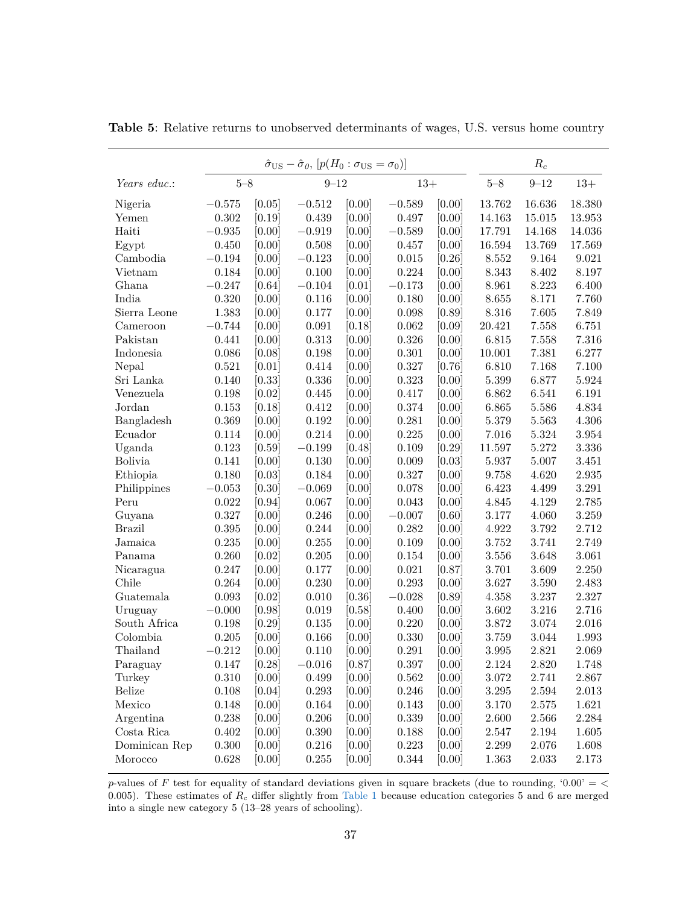|                |           | $\hat{\sigma}_{\text{US}} - \hat{\sigma}_{\theta}, [p(H_0 : \sigma_{\text{US}} = \sigma_0)]$ |            |        |           |        |           | $R_c$     |           |
|----------------|-----------|----------------------------------------------------------------------------------------------|------------|--------|-----------|--------|-----------|-----------|-----------|
| Years educ.:   | $5 - 8$   |                                                                                              | $9 - 12$   |        | $13+$     |        | $5 - 8$   | $9 - 12$  | $13+$     |
| Nigeria        | $-0.575$  | [0.05]                                                                                       | $-0.512$   | [0.00] | $-0.589$  | [0.00] | 13.762    | 16.636    | 18.380    |
| Yemen          | 0.302     | [0.19]                                                                                       | 0.439      | [0.00] | 0.497     | [0.00] | 14.163    | 15.015    | 13.953    |
| Haiti          | $-0.935$  | [0.00]                                                                                       | $-0.919$   | [0.00] | $-0.589$  | [0.00] | 17.791    | 14.168    | 14.036    |
| Egypt          | 0.450     | [0.00]                                                                                       | 0.508      | [0.00] | 0.457     | [0.00] | 16.594    | 13.769    | 17.569    |
| Cambodia       | $-0.194$  | [0.00]                                                                                       | $-0.123$   | [0.00] | 0.015     | [0.26] | 8.552     | 9.164     | 9.021     |
| Vietnam        | 0.184     | [0.00]                                                                                       | 0.100      | [0.00] | 0.224     | [0.00] | 8.343     | 8.402     | 8.197     |
| Ghana          | $-0.247$  | [0.64]                                                                                       | $-0.104$   | [0.01] | $-0.173$  | [0.00] | 8.961     | 8.223     | 6.400     |
| India          | 0.320     | [0.00]                                                                                       | 0.116      | [0.00] | 0.180     | [0.00] | 8.655     | 8.171     | 7.760     |
| Sierra Leone   | 1.383     | [0.00]                                                                                       | 0.177      | [0.00] | 0.098     | [0.89] | 8.316     | 7.605     | 7.849     |
| Cameroon       | $-0.744$  | [0.00]                                                                                       | 0.091      | [0.18] | 0.062     | [0.09] | 20.421    | 7.558     | 6.751     |
| Pakistan       | 0.441     | [0.00]                                                                                       | 0.313      | [0.00] | 0.326     | [0.00] | 6.815     | 7.558     | 7.316     |
| Indonesia      | 0.086     | [0.08]                                                                                       | 0.198      | [0.00] | 0.301     | [0.00] | 10.001    | 7.381     | 6.277     |
| Nepal          | 0.521     | [0.01]                                                                                       | 0.414      | [0.00] | 0.327     | [0.76] | 6.810     | 7.168     | 7.100     |
| Sri Lanka      | 0.140     | [0.33]                                                                                       | 0.336      | [0.00] | 0.323     | [0.00] | 5.399     | 6.877     | 5.924     |
| Venezuela      | 0.198     | [0.02]                                                                                       | 0.445      | [0.00] | 0.417     | [0.00] | 6.862     | 6.541     | 6.191     |
| Jordan         | 0.153     | [0.18]                                                                                       | 0.412      | [0.00] | 0.374     | [0.00] | 6.865     | 5.586     | 4.834     |
| Bangladesh     | 0.369     | [0.00]                                                                                       | 0.192      | [0.00] | 0.281     | [0.00] | 5.379     | 5.563     | 4.306     |
| Ecuador        | 0.114     | [0.00]                                                                                       | 0.214      | [0.00] | 0.225     | [0.00] | 7.016     | 5.324     | 3.954     |
| Uganda         | 0.123     | [0.59]                                                                                       | $-0.199$   | [0.48] | 0.109     | [0.29] | 11.597    | 5.272     | $3.336\,$ |
| <b>Bolivia</b> | 0.141     | [0.00]                                                                                       | 0.130      | [0.00] | 0.009     | [0.03] | 5.937     | 5.007     | 3.451     |
| Ethiopia       | 0.180     | [0.03]                                                                                       | 0.184      | [0.00] | 0.327     | [0.00] | 9.758     | 4.620     | 2.935     |
| Philippines    | $-0.053$  | [0.30]                                                                                       | $-0.069$   | [0.00] | 0.078     | [0.00] | 6.423     | 4.499     | 3.291     |
| Peru           | 0.022     | [0.94]                                                                                       | 0.067      | 0.00   | 0.043     | [0.00] | 4.845     | 4.129     | 2.785     |
| Guyana         | 0.327     | [0.00]                                                                                       | 0.246      | [0.00] | $-0.007$  | [0.60] | 3.177     | 4.060     | 3.259     |
| <b>Brazil</b>  | 0.395     | [0.00]                                                                                       | 0.244      | [0.00] | 0.282     | [0.00] | 4.922     | 3.792     | 2.712     |
| Jamaica        | 0.235     | [0.00]                                                                                       | 0.255      | [0.00] | 0.109     | [0.00] | 3.752     | 3.741     | 2.749     |
| Panama         | 0.260     | [0.02]                                                                                       | 0.205      | [0.00] | 0.154     | [0.00] | 3.556     | 3.648     | 3.061     |
| Nicaragua      | 0.247     | [0.00]                                                                                       | 0.177      | [0.00] | 0.021     | [0.87] | 3.701     | 3.609     | 2.250     |
| Chile          | 0.264     | [0.00]                                                                                       | 0.230      | [0.00] | 0.293     | [0.00] | 3.627     | 3.590     | 2.483     |
| Guatemala      | 0.093     | [0.02]                                                                                       | 0.010      | [0.36] | $-0.028$  | [0.89] | 4.358     | 3.237     | 2.327     |
| Uruguay        | $-0.000$  | [0.98]                                                                                       | 0.019      | [0.58] | 0.400     | [0.00] | 3.602     | 3.216     | 2.716     |
| South Africa   | 0.198     | [0.29]                                                                                       | 0.135      | [0.00] | 0.220     | [0.00] | 3.872     | 3.074     | 2.016     |
| Colombia       | 0.205     | [0.00]                                                                                       | 0.166      | [0.00] | 0.330     | [0.00] | 3.759     | 3.044     | 1.993     |
| Thailand       | $-0.212$  | [0.00]                                                                                       | 0.110      | [0.00] | 0.291     | [0.00] | 3.995     | 2.821     | 2.069     |
| Paraguay       | $0.147\,$ | [0.28]                                                                                       | $-0.016\,$ | [0.87] | $0.397\,$ | [0.00] | $2.124\,$ | $2.820\,$ | 1.748     |
| Turkey         | 0.310     | [0.00]                                                                                       | 0.499      | [0.00] | 0.562     | [0.00] | 3.072     | 2.741     | 2.867     |
| Belize         | $0.108\,$ | [0.04]                                                                                       | 0.293      | [0.00] | 0.246     | [0.00] | 3.295     | 2.594     | 2.013     |
| Mexico         | 0.148     | [0.00]                                                                                       | 0.164      | [0.00] | 0.143     | [0.00] | 3.170     | 2.575     | 1.621     |
| Argentina      | 0.238     | [0.00]                                                                                       | 0.206      | [0.00] | 0.339     | [0.00] | 2.600     | 2.566     | 2.284     |
| Costa Rica     | 0.402     | [0.00]                                                                                       | 0.390      | [0.00] | 0.188     | [0.00] | 2.547     | 2.194     | 1.605     |
| Dominican Rep  | 0.300     | [0.00]                                                                                       | 0.216      | [0.00] | 0.223     | [0.00] | 2.299     | 2.076     | 1.608     |
| Morocco        | 0.628     | [0.00]                                                                                       | 0.255      | [0.00] | 0.344     | [0.00] | 1.363     | 2.033     | 2.173     |

<span id="page-39-0"></span>**Table 5**: Relative returns to unobserved determinants of wages, U.S. versus home country

*p*-values of *F* test for equality of standard deviations given in square brackets (due to rounding, '0.00' = *<* 0*.*005). These estimates of *R<sup>c</sup>* differ slightly from [Table 1](#page-35-0) because education categories 5 and 6 are merged into a single new category 5 (13–28 years of schooling).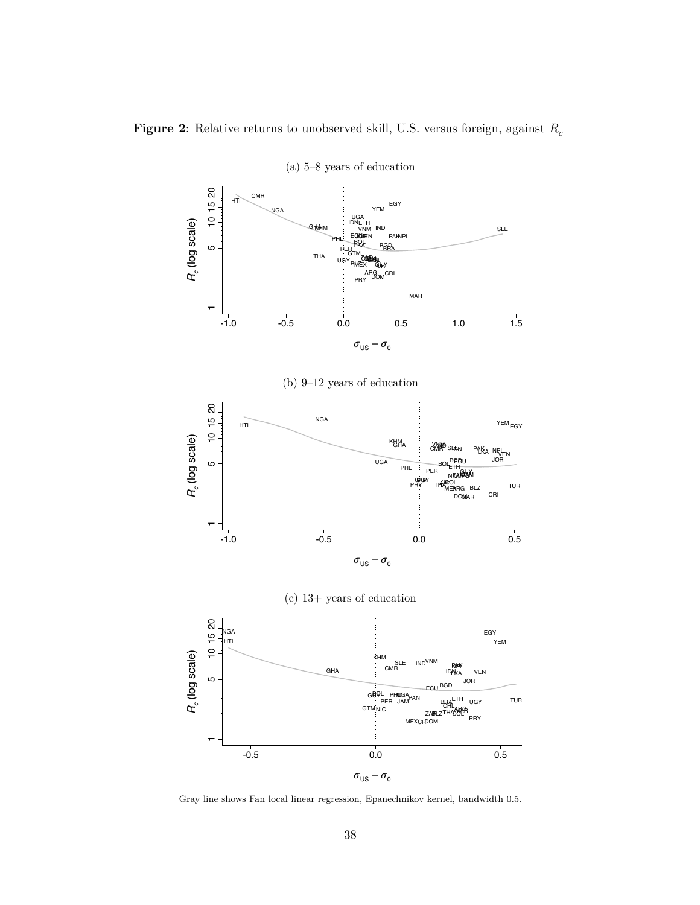<span id="page-40-0"></span> $\bold{Figure~2:}$  Relative returns to unobserved skill, U.S. versus foreign, against  $R_c$ 



(a) 5–8 years of education

Gray line shows Fan local linear regression, Epanechnikov kernel, bandwidth 0.5.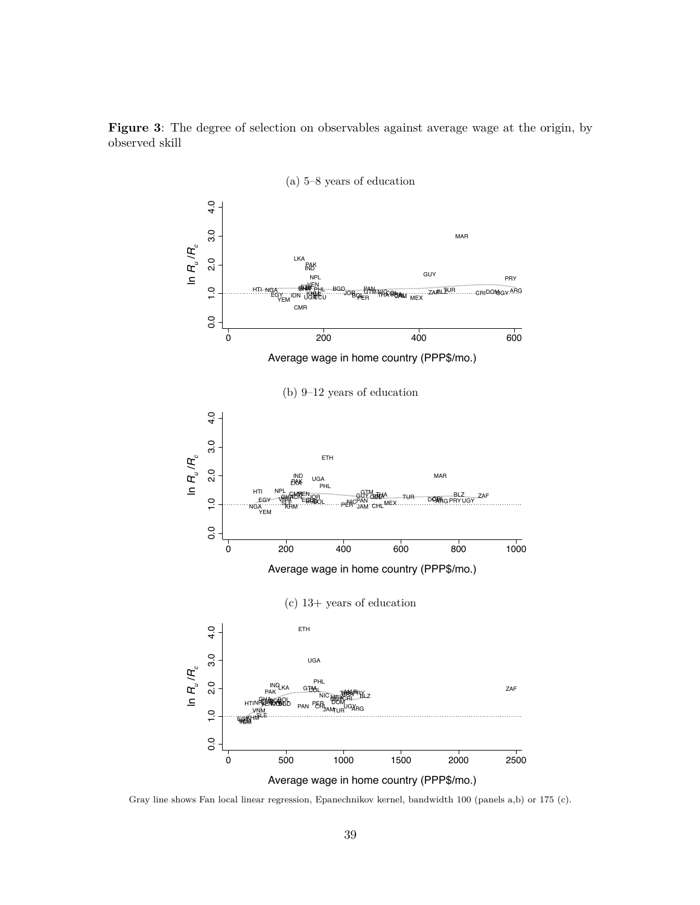

<span id="page-41-0"></span>

Gray line shows Fan local linear regression, Epanechnikov kernel, bandwidth 100 (panels a,b) or 175 (c).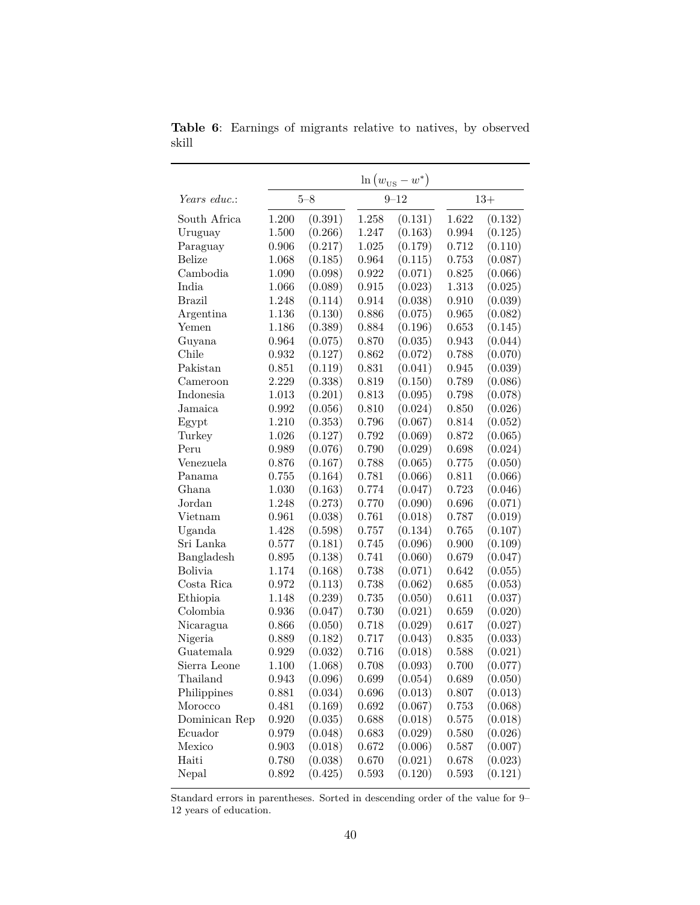|                |       |         |       | $\ln(w_{\text{US}}-w^*)$ |       |         |
|----------------|-------|---------|-------|--------------------------|-------|---------|
| Years educ.:   |       | $5 - 8$ |       | $9 - 12$                 | $13+$ |         |
| South Africa   | 1.200 | (0.391) | 1.258 | (0.131)                  | 1.622 | (0.132) |
| Uruguay        | 1.500 | (0.266) | 1.247 | (0.163)                  | 0.994 | (0.125) |
| Paraguay       | 0.906 | (0.217) | 1.025 | (0.179)                  | 0.712 | (0.110) |
| <b>Belize</b>  | 1.068 | (0.185) | 0.964 | (0.115)                  | 0.753 | (0.087) |
| Cambodia       | 1.090 | (0.098) | 0.922 | (0.071)                  | 0.825 | (0.066) |
| India          | 1.066 | (0.089) | 0.915 | (0.023)                  | 1.313 | (0.025) |
| <b>Brazil</b>  | 1.248 | (0.114) | 0.914 | (0.038)                  | 0.910 | (0.039) |
| Argentina      | 1.136 | (0.130) | 0.886 | (0.075)                  | 0.965 | (0.082) |
| Yemen          | 1.186 | (0.389) | 0.884 | (0.196)                  | 0.653 | (0.145) |
| Guyana         | 0.964 | (0.075) | 0.870 | (0.035)                  | 0.943 | (0.044) |
| Chile          | 0.932 | (0.127) | 0.862 | (0.072)                  | 0.788 | (0.070) |
| Pakistan       | 0.851 | (0.119) | 0.831 | (0.041)                  | 0.945 | (0.039) |
| Cameroon       | 2.229 | (0.338) | 0.819 | (0.150)                  | 0.789 | (0.086) |
| Indonesia      | 1.013 | (0.201) | 0.813 | (0.095)                  | 0.798 | (0.078) |
| Jamaica        | 0.992 | (0.056) | 0.810 | (0.024)                  | 0.850 | (0.026) |
| Egypt          | 1.210 | (0.353) | 0.796 | (0.067)                  | 0.814 | (0.052) |
| Turkey         | 1.026 | (0.127) | 0.792 | (0.069)                  | 0.872 | (0.065) |
| Peru           | 0.989 | (0.076) | 0.790 | (0.029)                  | 0.698 | (0.024) |
| Venezuela      | 0.876 | (0.167) | 0.788 | (0.065)                  | 0.775 | (0.050) |
| Panama         | 0.755 | (0.164) | 0.781 | (0.066)                  | 0.811 | (0.066) |
| Ghana          | 1.030 | (0.163) | 0.774 | (0.047)                  | 0.723 | (0.046) |
| Jordan         | 1.248 | (0.273) | 0.770 | (0.090)                  | 0.696 | (0.071) |
| Vietnam        | 0.961 | (0.038) | 0.761 | (0.018)                  | 0.787 | (0.019) |
| Uganda         | 1.428 | (0.598) | 0.757 | (0.134)                  | 0.765 | (0.107) |
| Sri Lanka      | 0.577 | (0.181) | 0.745 | (0.096)                  | 0.900 | (0.109) |
| Bangladesh     | 0.895 | (0.138) | 0.741 | (0.060)                  | 0.679 | (0.047) |
| <b>Bolivia</b> | 1.174 | (0.168) | 0.738 | (0.071)                  | 0.642 | (0.055) |
| Costa Rica     | 0.972 | (0.113) | 0.738 | (0.062)                  | 0.685 | (0.053) |
| Ethiopia       | 1.148 | (0.239) | 0.735 | (0.050)                  | 0.611 | (0.037) |
| Colombia       | 0.936 | (0.047) | 0.730 | (0.021)                  | 0.659 | (0.020) |
| Nicaragua      | 0.866 | (0.050) | 0.718 | (0.029)                  | 0.617 | (0.027) |
| Nigeria        | 0.889 | (0.182) | 0.717 | (0.043)                  | 0.835 | (0.033) |
| Guatemala      | 0.929 | (0.032) | 0.716 | (0.018)                  | 0.588 | (0.021) |
| Sierra Leone   | 1.100 | (1.068) | 0.708 | (0.093)                  | 0.700 | (0.077) |
| Thailand       | 0.943 | (0.096) | 0.699 | (0.054)                  | 0.689 | (0.050) |
| Philippines    | 0.881 | (0.034) | 0.696 | (0.013)                  | 0.807 | (0.013) |
| Morocco        | 0.481 | (0.169) | 0.692 | (0.067)                  | 0.753 | (0.068) |
| Dominican Rep  | 0.920 | (0.035) | 0.688 | (0.018)                  | 0.575 | (0.018) |
| Ecuador        | 0.979 | (0.048) | 0.683 | (0.029)                  | 0.580 | (0.026) |
| Mexico         | 0.903 | (0.018) | 0.672 | (0.006)                  | 0.587 | (0.007) |
| Haiti          | 0.780 | (0.038) | 0.670 | (0.021)                  | 0.678 | (0.023) |
| Nepal          | 0.892 | (0.425) | 0.593 | (0.120)                  | 0.593 | (0.121) |

<span id="page-42-0"></span>**Table 6**: Earnings of migrants relative to natives, by observed skill

Standard errors in parentheses. Sorted in descending order of the value for 9– 12 years of education.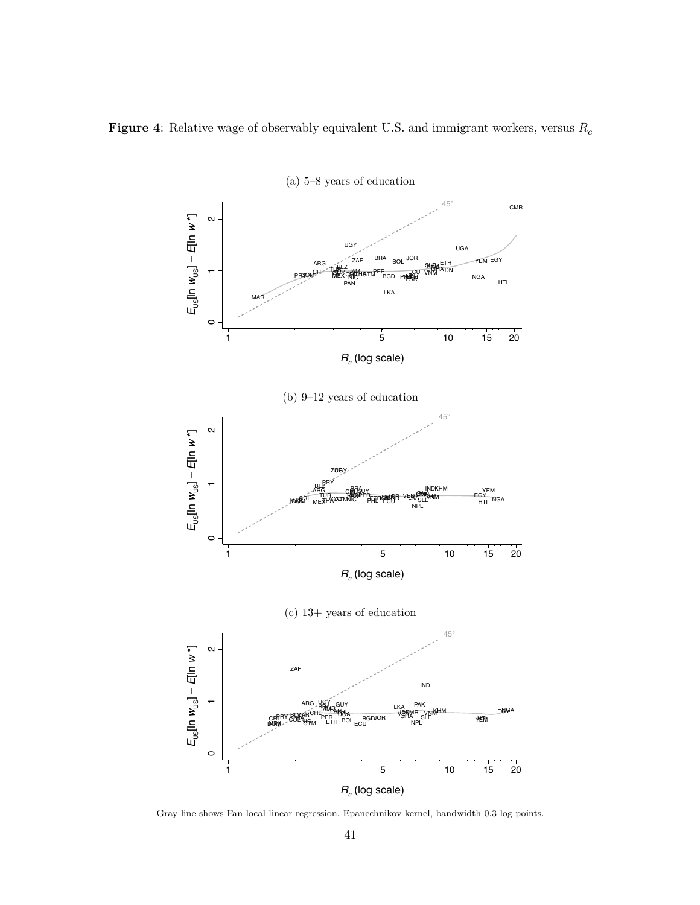<span id="page-43-0"></span>



Gray line shows Fan local linear regression, Epanechnikov kernel, bandwidth 0.3 log points.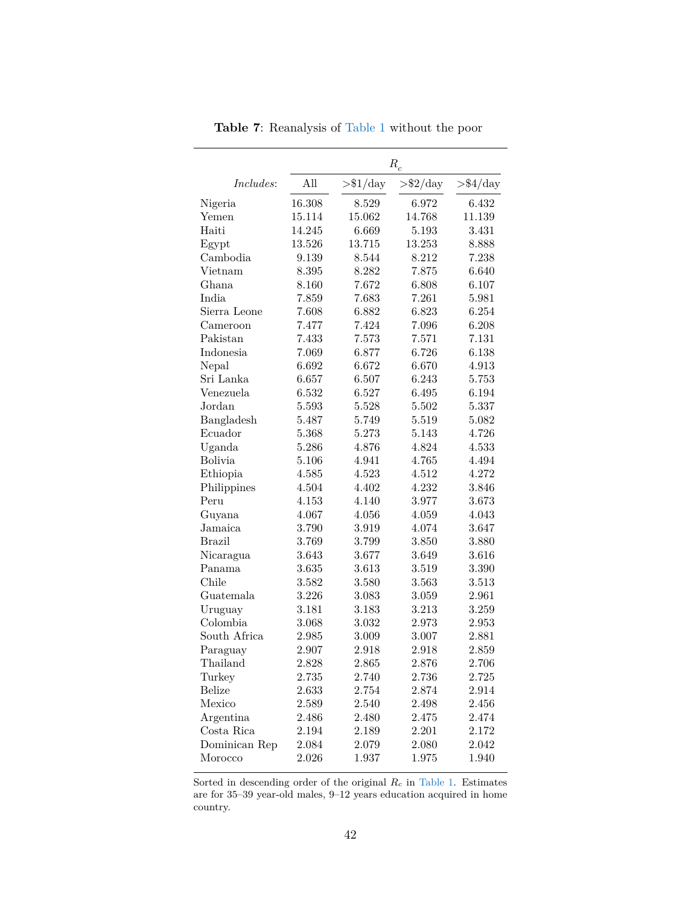<span id="page-44-0"></span>

|                  | $R_{\boldsymbol{c}}$ |                   |                   |                   |  |  |
|------------------|----------------------|-------------------|-------------------|-------------------|--|--|
| <i>Includes:</i> | All                  | $>\frac{$1}{day}$ | $>\frac{$2}{day}$ | $>\frac{$4}{day}$ |  |  |
| Nigeria          | 16.308               | 8.529             | 6.972             | 6.432             |  |  |
| Yemen            | 15.114               | 15.062            | 14.768            | 11.139            |  |  |
| Haiti            | 14.245               | 6.669             | 5.193             | 3.431             |  |  |
| Egypt            | 13.526               | 13.715            | 13.253            | 8.888             |  |  |
| Cambodia         | 9.139                | 8.544             | 8.212             | 7.238             |  |  |
| Vietnam          | 8.395                | 8.282             | 7.875             | 6.640             |  |  |
| Ghana            | 8.160                | 7.672             | 6.808             | 6.107             |  |  |
| India            | 7.859                | 7.683             | 7.261             | 5.981             |  |  |
| Sierra Leone     | 7.608                | 6.882             | 6.823             | 6.254             |  |  |
| Cameroon         | 7.477                | 7.424             | 7.096             | 6.208             |  |  |
| Pakistan         | 7.433                | 7.573             | 7.571             | 7.131             |  |  |
| Indonesia        | 7.069                | 6.877             | 6.726             | 6.138             |  |  |
| Nepal            | 6.692                | 6.672             | 6.670             | 4.913             |  |  |
| Sri Lanka        | 6.657                | 6.507             | 6.243             | 5.753             |  |  |
| Venezuela        | 6.532                | 6.527             | 6.495             | 6.194             |  |  |
| Jordan           | 5.593                | 5.528             | 5.502             | 5.337             |  |  |
| Bangladesh       | 5.487                | 5.749             | 5.519             | 5.082             |  |  |
| Ecuador          | 5.368                | 5.273             | 5.143             | 4.726             |  |  |
| Uganda           | 5.286                | 4.876             | 4.824             | 4.533             |  |  |
| <b>Bolivia</b>   | 5.106                | 4.941             | 4.765             | 4.494             |  |  |
| Ethiopia         | 4.585                | 4.523             | 4.512             | 4.272             |  |  |
| Philippines      | 4.504                | 4.402             | 4.232             | 3.846             |  |  |
| Peru             | 4.153                | 4.140             | 3.977             | 3.673             |  |  |
| Guyana           | 4.067                | 4.056             | 4.059             | 4.043             |  |  |
| Jamaica          | 3.790                | 3.919             | 4.074             | 3.647             |  |  |
| <b>Brazil</b>    | 3.769                | 3.799             | 3.850             | 3.880             |  |  |
| Nicaragua        | 3.643                | 3.677             | 3.649             | 3.616             |  |  |
| Panama           | 3.635                | 3.613             | 3.519             | 3.390             |  |  |
| Chile            | 3.582                | 3.580             | 3.563             | 3.513             |  |  |
| Guatemala        | 3.226                | 3.083             | 3.059             | 2.961             |  |  |
| Uruguay          | 3.181                | 3.183             | 3.213             | 3.259             |  |  |
| Colombia         | 3.068                | 3.032             | 2.973             | 2.953             |  |  |
| South Africa     | 2.985                | 3.009             | 3.007             | 2.881             |  |  |
| Paraguay         | 2.907                | 2.918             | 2.918             | 2.859             |  |  |
| Thailand         | 2.828                | 2.865             | 2.876             | 2.706             |  |  |
| Turkey           | 2.735                | 2.740             | 2.736             | 2.725             |  |  |
| <b>Belize</b>    | 2.633                | 2.754             | 2.874             | 2.914             |  |  |
| Mexico           | 2.589                | 2.540             | 2.498             | 2.456             |  |  |
| Argentina        | 2.486                | 2.480             | 2.475             | 2.474             |  |  |
| Costa Rica       | 2.194                | 2.189             | 2.201             | 2.172             |  |  |
| Dominican Rep    | 2.084                | 2.079             | 2.080             | 2.042             |  |  |
| Morocco          | 2.026                | 1.937             | 1.975             | 1.940             |  |  |

**Table 7**: Reanalysis of [Table 1](#page-35-0) without the poor

Sorted in descending order of the original *R<sup>c</sup>* in [Table 1.](#page-35-0) Estimates are for 35–39 year-old males, 9–12 years education acquired in home country.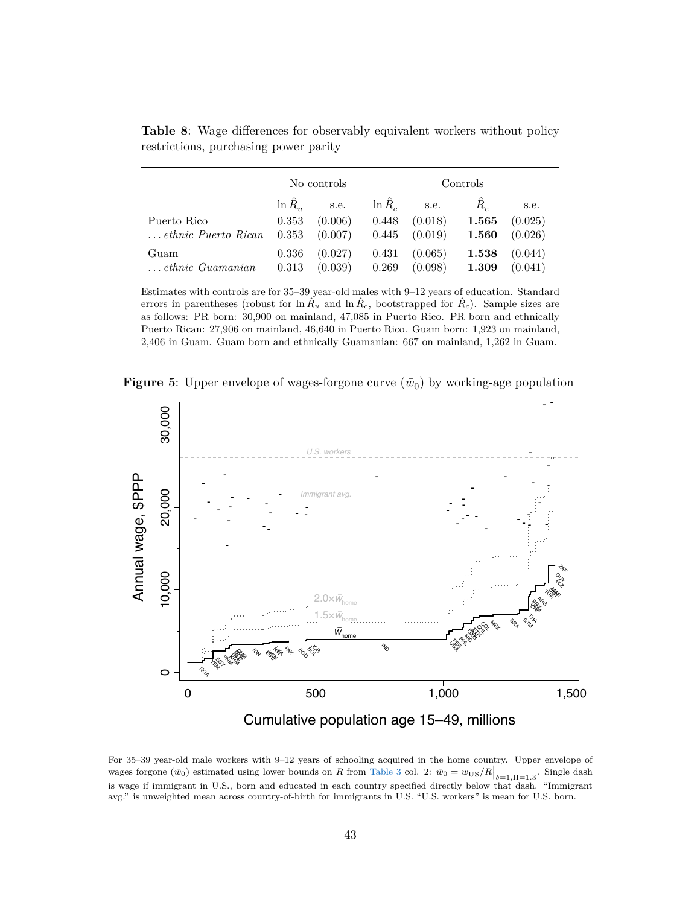|                              | No controls   |         |           | Controls |         |         |  |
|------------------------------|---------------|---------|-----------|----------|---------|---------|--|
|                              | $\ln R_{\nu}$ | s.e.    | $\ln R_c$ | s.e.     | $R_{c}$ | s.e.    |  |
| Puerto Rico                  | 0.353         | (0.006) | 0.448     | (0.018)  | 1.565   | (0.025) |  |
| $\ldots$ ethnic Puerto Rican | 0.353         | (0.007) | 0.445     | (0.019)  | 1.560   | (0.026) |  |
| Guam                         | 0.336         | (0.027) | 0.431     | (0.065)  | 1.538   | (0.044) |  |
| $\ldots$ ethnic Guamanian    | 0.313         | (0.039) | 0.269     | (0.098)  | 1.309   | (0.041) |  |

<span id="page-45-0"></span>**Table 8**: Wage differences for observably equivalent workers without policy restrictions, purchasing power parity

Estimates with controls are for 35–39 year-old males with 9–12 years of education. Standard errors in parentheses (robust for  $\ln \hat{R}_u$  and  $\ln \hat{R}_c$ , bootstrapped for  $\hat{R}_c$ ). Sample sizes are as follows: PR born: 30,900 on mainland, 47,085 in Puerto Rico. PR born and ethnically Puerto Rican: 27,906 on mainland, 46,640 in Puerto Rico. Guam born: 1,923 on mainland, 2,406 in Guam. Guam born and ethnically Guamanian: 667 on mainland, 1,262 in Guam.

<span id="page-45-1"></span>**Figure 5:** Upper envelope of wages-forgone curve  $(\bar{w}_0)$  by working-age population



For 35–39 year-old male workers with 9–12 years of schooling acquired in the home country. Upper envelope of wages forgone  $(\bar{w}_0)$  estimated using lower bounds on *R* from [Table 3](#page-37-0) col. 2:  $\bar{w}_0 = w_{\text{US}}/R\Big|_{\delta=1,\Pi=1,3}$ . Single dash is wage if immigrant in U.S., born and educated in each country specified directly below that dash. "Immigrant avg." is unweighted mean across country-of-birth for immigrants in U.S. "U.S. workers" is mean for U.S. born.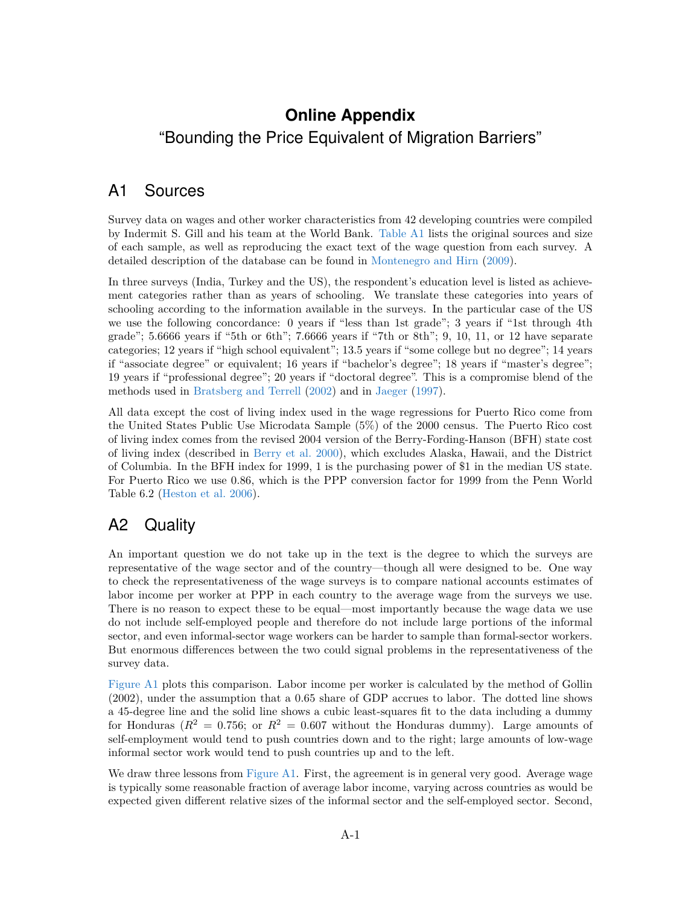## **Online Appendix** "Bounding the Price Equivalent of Migration Barriers"

## A1 Sources

Survey data on wages and other worker characteristics from 42 developing countries were compiled by Indermit S. Gill and his team at the World Bank. [Table A1](#page-47-0) lists the original sources and size of each sample, as well as reproducing the exact text of the wage question from each survey. A detailed description of the database can be found in [Montenegro and Hirn](#page-32-2) [\(2009\)](#page-32-2).

In three surveys (India, Turkey and the US), the respondent's education level is listed as achievement categories rather than as years of schooling. We translate these categories into years of schooling according to the information available in the surveys. In the particular case of the US we use the following concordance: 0 years if "less than 1st grade"; 3 years if "1st through 4th grade";  $5.6666$  years if "5th or 6th";  $7.6666$  years if "7th or 8th";  $9, 10, 11,$  or  $12$  have separate categories; 12 years if "high school equivalent"; 13.5 years if "some college but no degree"; 14 years if "associate degree" or equivalent; 16 years if "bachelor's degree"; 18 years if "master's degree"; 19 years if "professional degree"; 20 years if "doctoral degree". This is a compromise blend of the methods used in [Bratsberg and Terrell](#page-29-16) [\(2002\)](#page-29-16) and in [Jaeger](#page-32-18) [\(1997\)](#page-32-18).

All data except the cost of living index used in the wage regressions for Puerto Rico come from the United States Public Use Microdata Sample (5%) of the 2000 census. The Puerto Rico cost of living index comes from the revised 2004 version of the Berry-Fording-Hanson (BFH) state cost of living index (described in [Berry et al.](#page-29-17) [2000\)](#page-29-17), which excludes Alaska, Hawaii, and the District of Columbia. In the BFH index for 1999, 1 is the purchasing power of \$1 in the median US state. For Puerto Rico we use 0.86, which is the PPP conversion factor for 1999 from the Penn World Table 6.2 [\(Heston et al.](#page-31-14) [2006\)](#page-31-14).

## A2 Quality

An important question we do not take up in the text is the degree to which the surveys are representative of the wage sector and of the country—though all were designed to be. One way to check the representativeness of the wage surveys is to compare national accounts estimates of labor income per worker at PPP in each country to the average wage from the surveys we use. There is no reason to expect these to be equal—most importantly because the wage data we use do not include self-employed people and therefore do not include large portions of the informal sector, and even informal-sector wage workers can be harder to sample than formal-sector workers. But enormous differences between the two could signal problems in the representativeness of the survey data.

[Figure A1](#page-47-1) plots this comparison. Labor income per worker is calculated by the method of Gollin (2002), under the assumption that a 0.65 share of GDP accrues to labor. The dotted line shows a 45-degree line and the solid line shows a cubic least-squares fit to the data including a dummy for Honduras ( $R^2 = 0.756$ ; or  $R^2 = 0.607$  without the Honduras dummy). Large amounts of self-employment would tend to push countries down and to the right; large amounts of low-wage informal sector work would tend to push countries up and to the left.

We draw three lessons from [Figure A1.](#page-47-1) First, the agreement is in general very good. Average wage is typically some reasonable fraction of average labor income, varying across countries as would be expected given different relative sizes of the informal sector and the self-employed sector. Second,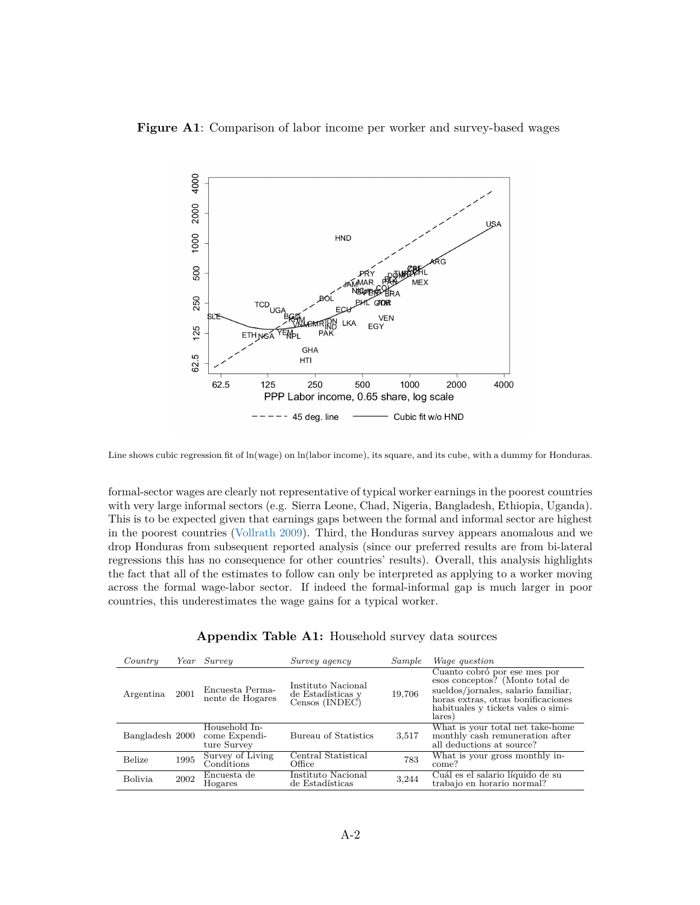

#### <span id="page-47-1"></span>**Figure A1**: Comparison of labor income per worker and survey-based wages

Line shows cubic regression fit of ln(wage) on ln(labor income), its square, and its cube, with a dummy for Honduras.

formal-sector wages are clearly not representative of typical worker earnings in the poorest countries with very large informal sectors (e.g. Sierra Leone, Chad, Nigeria, Bangladesh, Ethiopia, Uganda). This is to be expected given that earnings gaps between the formal and informal sector are highest in the poorest countries [\(Vollrath](#page-33-11) [2009\)](#page-33-11). Third, the Honduras survey appears anomalous and we drop Honduras from subsequent reported analysis (since our preferred results are from bi-lateral regressions this has no consequence for other countries' results). Overall, this analysis highlights the fact that all of the estimates to follow can only be interpreted as applying to a worker moving across the formal wage-labor sector. If indeed the formal-informal gap is much larger in poor countries, this underestimates the wage gains for a typical worker.

<span id="page-47-0"></span>

| Country         | Year | Surveu                                        | Survey agency                                             | Sample | <i>Wage question</i>                                                                                                                                                                         |
|-----------------|------|-----------------------------------------------|-----------------------------------------------------------|--------|----------------------------------------------------------------------------------------------------------------------------------------------------------------------------------------------|
| Argentina       | 2001 | Encuesta Perma-<br>nente de Hogares           | Instituto Nacional<br>de Estadísticas y<br>Censos (INDEC) | 19,706 | Cuanto cobró por ese mes por<br>esos conceptos? (Monto total de<br>sueldos/jornales, salario familiar,<br>horas extras, otras bonificaciones<br>habituales y tickets vales o simi-<br>lares) |
| Bangladesh 2000 |      | Household In-<br>come Expendi-<br>ture Survey | Bureau of Statistics                                      | 3,517  | What is your total net take-home<br>monthly cash remuneration after<br>all deductions at source?                                                                                             |
| <b>Belize</b>   | 1995 | Survey of Living<br>Conditions                | Central Statistical<br>Office                             | 783    | What is your gross monthly in-<br>come?                                                                                                                                                      |
| <b>Bolivia</b>  | 2002 | Encuesta de<br>Hogares                        | Instituto Nacional<br>de Estadísticas                     | 3,244  | Cuál es el salario líquido de su<br>trabajo en horario normal?                                                                                                                               |

| Appendix Table A1: Household survey data sources |  |  |  |
|--------------------------------------------------|--|--|--|
|--------------------------------------------------|--|--|--|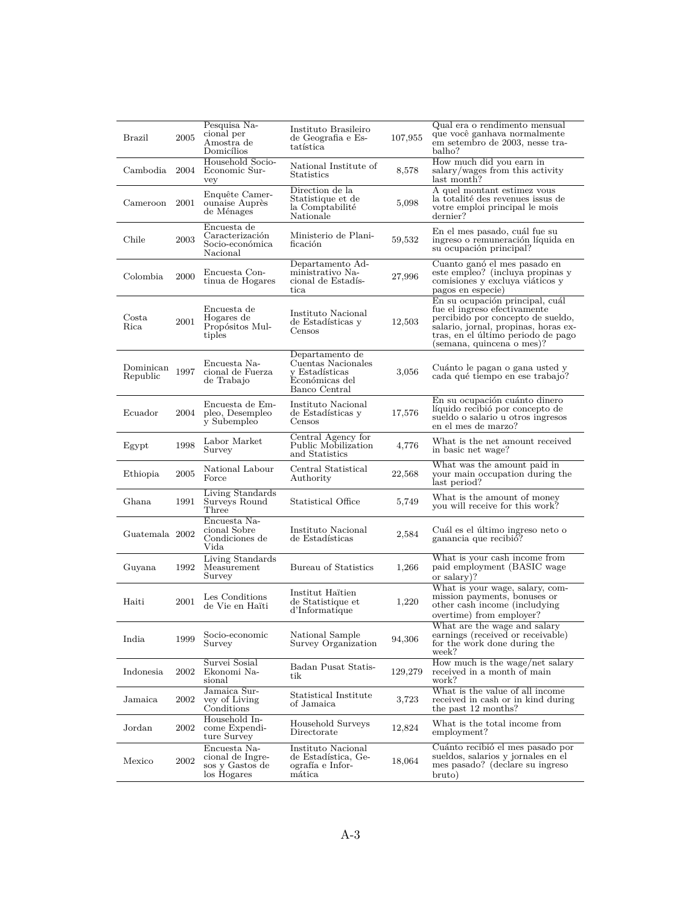| Brazil                   | 2005 | Pesquisa Na-<br>cional per<br>Amostra de<br>Domicílios             | Instituto Brasileiro<br>de Geografia e Es-<br>tatística                                    | 107,955 | Qual era o rendimento mensual<br>que você ganhava normalmente<br>em setembro de 2003, nesse tra-<br>balho?                                                                                                      |
|--------------------------|------|--------------------------------------------------------------------|--------------------------------------------------------------------------------------------|---------|-----------------------------------------------------------------------------------------------------------------------------------------------------------------------------------------------------------------|
| Cambodia                 | 2004 | Household Socio-<br>Economic Sur-<br>vey                           | National Institute of<br><b>Statistics</b>                                                 | 8,578   | How much did you earn in<br>salary/wages from this activity<br>last month?                                                                                                                                      |
| Cameroon 2001            |      | Enquête Camer-<br>ounaise Auprès<br>de Ménages                     | Direction de la<br>Statistique et de<br>la Comptabilité<br>Nationale                       | 5,098   | A quel montant estimez vous<br>la totalité des revenues issus de<br>votre emploi principal le mois<br>dernier?                                                                                                  |
| Chile                    | 2003 | Encuesta de<br>Caracterización<br>Socio-económica<br>Nacional      | Ministerio de Plani-<br>ficación                                                           | 59,532  | En el mes pasado, cuál fue su<br>ingreso o remuneración líquida en<br>su ocupación principal?                                                                                                                   |
| Colombia                 | 2000 | Encuesta Con-<br>tinua de Hogares                                  | Departamento Ad-<br>ministrativo Na-<br>cional de Estadís-<br>tica                         | 27,996  | Cuanto ganó el mes pasado en<br>este empleo? (incluya propinas y<br>comisiones y excluya viáticos y<br>pagos en especie)                                                                                        |
| $\mathrm{Costa}$<br>Rica | 2001 | Encuesta de<br>Hogares de<br>Propósitos Mul-<br>tiples             | Instituto Nacional<br>de Estadísticas y<br>Censos                                          | 12,503  | En su ocupación principal, cuál<br>fue el ingreso efectivamente<br>percibido por concepto de sueldo,<br>salario, jornal, propinas, horas ex-<br>tras, en el último periodo de pago<br>(semana, quincena o mes)? |
| Dominican<br>Republic    | 1997 | Encuesta Na-<br>cional de Fuerza<br>de Trabajo                     | Departamento de<br>Cuentas Nacionales<br>v Estadísticas<br>Económicas del<br>Banco Central | 3,056   | Cuánto le pagan o gana usted y<br>cada qué tiempo en ese trabajo?                                                                                                                                               |
| Ecuador                  | 2004 | Encuesta de Em-<br>pleo, Desempleo<br>y Subempleo                  | Instituto Nacional<br>de Estadísticas y<br>Censos                                          | 17,576  | En su ocupación cuánto dinero<br>líquido recibió por concepto de<br>sueldo o salario u otros ingresos<br>en el mes de marzo?                                                                                    |
| Egypt                    | 1998 | Labor Market<br>Survey                                             | Central Agency for<br>Public Mobilization<br>and Statistics                                | 4,776   | What is the net amount received<br>in basic net wage?                                                                                                                                                           |
| Ethiopia                 | 2005 | National Labour<br>Force                                           | Central Statistical<br>Authority                                                           | 22,568  | What was the amount paid in<br>your main occupation during the<br>last period?                                                                                                                                  |
| Ghana                    | 1991 | Living Standards<br>Surveys Round<br>Three                         | Statistical Office                                                                         | 5,749   | What is the amount of money<br>you will receive for this work?                                                                                                                                                  |
| Guatemala 2002           |      | Encuesta Na-<br>cional Sobre<br>Condiciones de<br>Vida             | Instituto Nacional<br>de Estadísticas                                                      | 2,584   | Cuál es el último ingreso neto o<br>ganancia que recibió?                                                                                                                                                       |
| Guyana                   | 1992 | Living Standards<br>Measurement<br>Survey                          | Bureau of Statistics                                                                       | 1,266   | What is your cash income from<br>paid employment (BASIC wage<br>or salary)?                                                                                                                                     |
| Haiti                    | 2001 | Les Conditions<br>de Vie en Haïti                                  | Institut Haïtien<br>de Statistique et<br>d'Informatique                                    | 1,220   | What is your wage, salary, com-<br>mission payments, bonuses or<br>other cash income (includying)<br>overtime) from employer?                                                                                   |
| India                    | 1999 | Socio-economic<br>Survey                                           | National Sample<br>Survey Organization                                                     | 94,306  | What are the wage and salary<br>earnings (received or receivable)<br>for the work done during the<br>week?                                                                                                      |
| Indonesia                | 2002 | Survei Sosial<br>Ekonomi Na-<br>sional                             | Badan Pusat Statis-<br>tik                                                                 | 129,279 | How much is the wage/net salary<br>received in a month of main<br>work?                                                                                                                                         |
| Jamaica                  | 2002 | Jamaica Sur-<br>vey of Living<br>Conditions                        | Statistical Institute<br>of Jamaica                                                        | 3,723   | What is the value of all income<br>received in cash or in kind during<br>the past 12 months?                                                                                                                    |
| Jordan                   | 2002 | Household In-<br>come Expendi-<br>ture Survey                      | Household Surveys<br>Directorate                                                           | 12,824  | What is the total income from<br>employment?                                                                                                                                                                    |
| Mexico                   | 2002 | Encuesta Na-<br>cional de Ingre-<br>sos y Gastos de<br>los Hogares | Instituto Nacional<br>de Estadística, Ge-<br>ografía e Infor-<br>mática                    | 18,064  | Cuánto recibió el mes pasado por<br>sueldos, salarios y jornales en el<br>mes pasado? (declare su ingreso<br>bruto)                                                                                             |